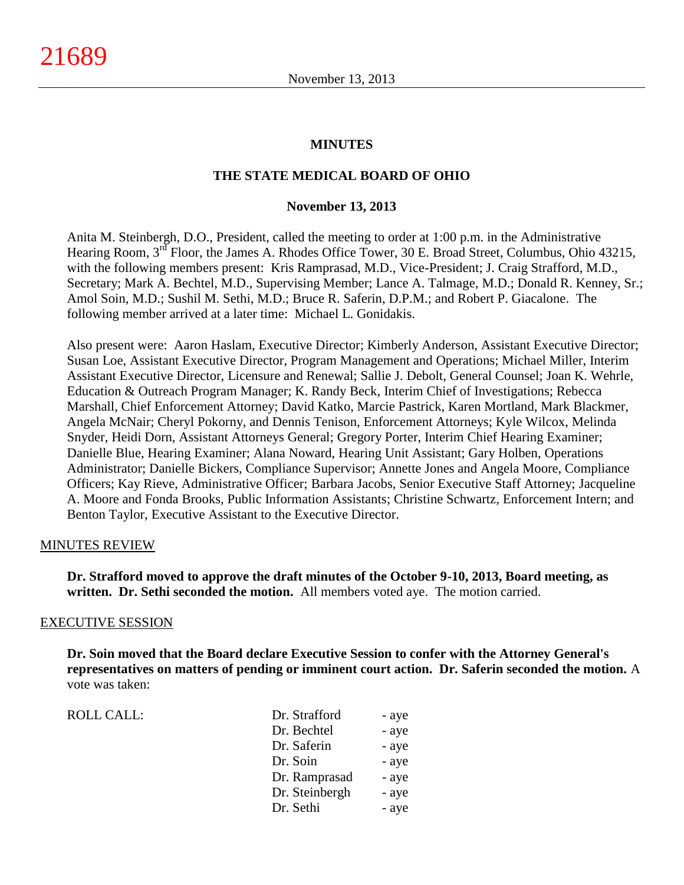#### **MINUTES**

#### **THE STATE MEDICAL BOARD OF OHIO**

#### **November 13, 2013**

Anita M. Steinbergh, D.O., President, called the meeting to order at 1:00 p.m. in the Administrative Hearing Room, 3<sup>rd</sup> Floor, the James A. Rhodes Office Tower, 30 E. Broad Street, Columbus, Ohio 43215, with the following members present: Kris Ramprasad, M.D., Vice-President; J. Craig Strafford, M.D., Secretary; Mark A. Bechtel, M.D., Supervising Member; Lance A. Talmage, M.D.; Donald R. Kenney, Sr.; Amol Soin, M.D.; Sushil M. Sethi, M.D.; Bruce R. Saferin, D.P.M.; and Robert P. Giacalone. The following member arrived at a later time: Michael L. Gonidakis.

Also present were: Aaron Haslam, Executive Director; Kimberly Anderson, Assistant Executive Director; Susan Loe, Assistant Executive Director, Program Management and Operations; Michael Miller, Interim Assistant Executive Director, Licensure and Renewal; Sallie J. Debolt, General Counsel; Joan K. Wehrle, Education & Outreach Program Manager; K. Randy Beck, Interim Chief of Investigations; Rebecca Marshall, Chief Enforcement Attorney; David Katko, Marcie Pastrick, Karen Mortland, Mark Blackmer, Angela McNair; Cheryl Pokorny, and Dennis Tenison, Enforcement Attorneys; Kyle Wilcox, Melinda Snyder, Heidi Dorn, Assistant Attorneys General; Gregory Porter, Interim Chief Hearing Examiner; Danielle Blue, Hearing Examiner; Alana Noward, Hearing Unit Assistant; Gary Holben, Operations Administrator; Danielle Bickers, Compliance Supervisor; Annette Jones and Angela Moore, Compliance Officers; Kay Rieve, Administrative Officer; Barbara Jacobs, Senior Executive Staff Attorney; Jacqueline A. Moore and Fonda Brooks, Public Information Assistants; Christine Schwartz, Enforcement Intern; and Benton Taylor, Executive Assistant to the Executive Director.

#### MINUTES REVIEW

**Dr. Strafford moved to approve the draft minutes of the October 9-10, 2013, Board meeting, as written. Dr. Sethi seconded the motion.** All members voted aye. The motion carried.

#### EXECUTIVE SESSION

**Dr. Soin moved that the Board declare Executive Session to confer with the Attorney General's representatives on matters of pending or imminent court action. Dr. Saferin seconded the motion.** A vote was taken:

ROLL CALL:

| Dr. Strafford  | - aye |
|----------------|-------|
| Dr. Bechtel    | - aye |
| Dr. Saferin    | - aye |
| Dr. Soin       | - aye |
| Dr. Ramprasad  | - aye |
| Dr. Steinbergh | - aye |
| Dr. Sethi      | - aye |
|                |       |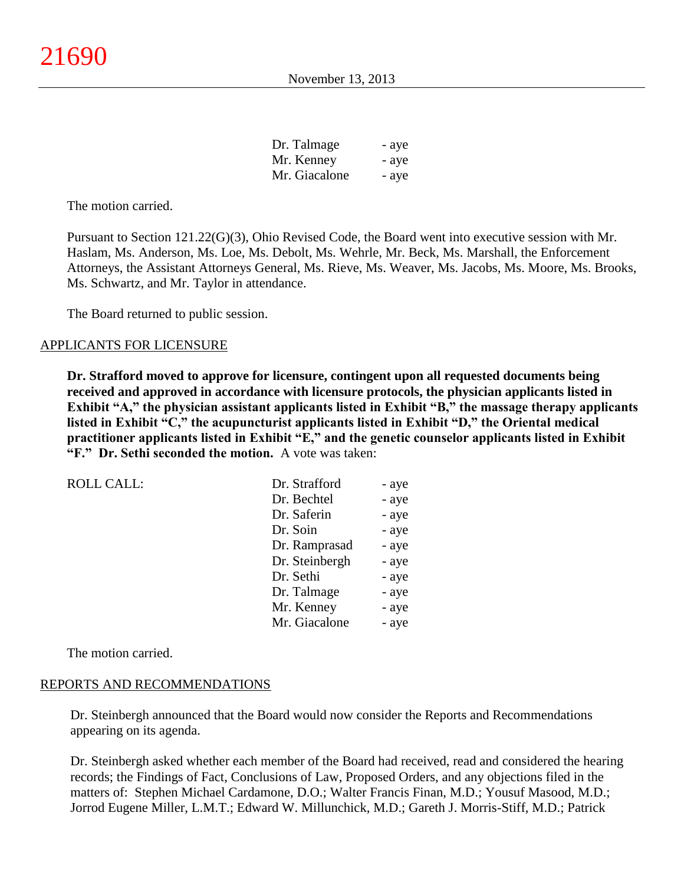| Dr. Talmage   | - aye |
|---------------|-------|
| Mr. Kenney    | - aye |
| Mr. Giacalone | - aye |

The motion carried.

Pursuant to Section 121.22(G)(3), Ohio Revised Code, the Board went into executive session with Mr. Haslam, Ms. Anderson, Ms. Loe, Ms. Debolt, Ms. Wehrle, Mr. Beck, Ms. Marshall, the Enforcement Attorneys, the Assistant Attorneys General, Ms. Rieve, Ms. Weaver, Ms. Jacobs, Ms. Moore, Ms. Brooks, Ms. Schwartz, and Mr. Taylor in attendance.

The Board returned to public session.

#### APPLICANTS FOR LICENSURE

**Dr. Strafford moved to approve for licensure, contingent upon all requested documents being received and approved in accordance with licensure protocols, the physician applicants listed in Exhibit "A," the physician assistant applicants listed in Exhibit "B," the massage therapy applicants listed in Exhibit "C," the acupuncturist applicants listed in Exhibit "D," the Oriental medical practitioner applicants listed in Exhibit "E," and the genetic counselor applicants listed in Exhibit "F." Dr. Sethi seconded the motion.** A vote was taken:

| <b>ROLL CALL:</b> | Dr. Strafford  | - aye |
|-------------------|----------------|-------|
|                   | Dr. Bechtel    | - aye |
|                   | Dr. Saferin    | - aye |
|                   | Dr. Soin       | - aye |
|                   | Dr. Ramprasad  | - aye |
|                   | Dr. Steinbergh | - aye |
|                   | Dr. Sethi      | - aye |
|                   | Dr. Talmage    | - aye |
|                   | Mr. Kenney     | - aye |
|                   | Mr. Giacalone  | - aye |
|                   |                |       |

The motion carried.

#### REPORTS AND RECOMMENDATIONS

Dr. Steinbergh announced that the Board would now consider the Reports and Recommendations appearing on its agenda.

Dr. Steinbergh asked whether each member of the Board had received, read and considered the hearing records; the Findings of Fact, Conclusions of Law, Proposed Orders, and any objections filed in the matters of: Stephen Michael Cardamone, D.O.; Walter Francis Finan, M.D.; Yousuf Masood, M.D.; Jorrod Eugene Miller, L.M.T.; Edward W. Millunchick, M.D.; Gareth J. Morris-Stiff, M.D.; Patrick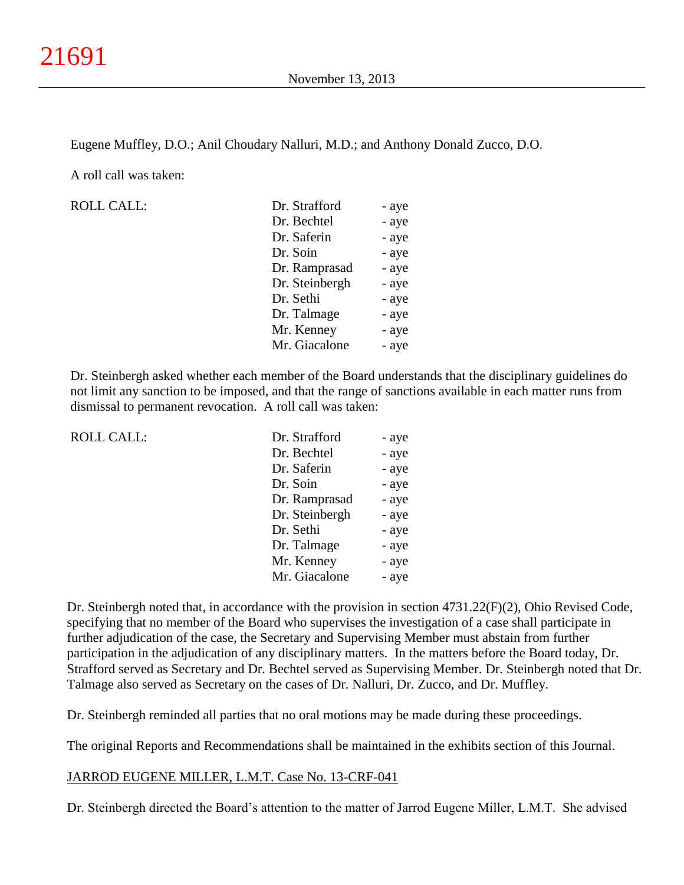Eugene Muffley, D.O.; Anil Choudary Nalluri, M.D.; and Anthony Donald Zucco, D.O.

A roll call was taken:

ROLL CALL:

| Dr. Strafford  | - aye |
|----------------|-------|
|                |       |
| Dr. Bechtel    | - aye |
| Dr. Saferin    | - aye |
| Dr. Soin       | - aye |
| Dr. Ramprasad  | - aye |
| Dr. Steinbergh | - aye |
| Dr. Sethi      | - aye |
| Dr. Talmage    | - aye |
| Mr. Kenney     | - aye |
| Mr. Giacalone  | - aye |

Dr. Steinbergh asked whether each member of the Board understands that the disciplinary guidelines do not limit any sanction to be imposed, and that the range of sanctions available in each matter runs from dismissal to permanent revocation. A roll call was taken:

| <b>ROLL CALL:</b> | Dr. Strafford  | - aye |
|-------------------|----------------|-------|
|                   | Dr. Bechtel    | - aye |
|                   | Dr. Saferin    | - aye |
|                   | Dr. Soin       | - aye |
|                   | Dr. Ramprasad  | - aye |
|                   | Dr. Steinbergh | - aye |
|                   | Dr. Sethi      | - aye |
|                   | Dr. Talmage    | - aye |
|                   | Mr. Kenney     | - aye |
|                   | Mr. Giacalone  | - aye |

Dr. Steinbergh noted that, in accordance with the provision in section 4731.22(F)(2), Ohio Revised Code, specifying that no member of the Board who supervises the investigation of a case shall participate in further adjudication of the case, the Secretary and Supervising Member must abstain from further participation in the adjudication of any disciplinary matters. In the matters before the Board today, Dr. Strafford served as Secretary and Dr. Bechtel served as Supervising Member. Dr. Steinbergh noted that Dr. Talmage also served as Secretary on the cases of Dr. Nalluri, Dr. Zucco, and Dr. Muffley.

Dr. Steinbergh reminded all parties that no oral motions may be made during these proceedings.

The original Reports and Recommendations shall be maintained in the exhibits section of this Journal.

#### JARROD EUGENE MILLER, L.M.T. Case No. 13-CRF-041

Dr. Steinbergh directed the Board's attention to the matter of Jarrod Eugene Miller, L.M.T. She advised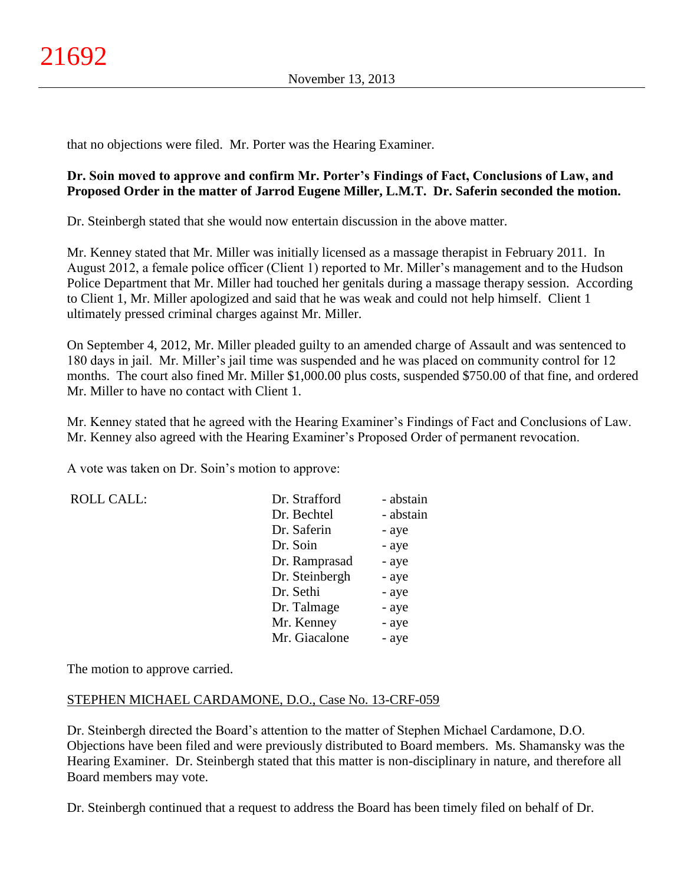that no objections were filed. Mr. Porter was the Hearing Examiner.

## **Dr. Soin moved to approve and confirm Mr. Porter's Findings of Fact, Conclusions of Law, and Proposed Order in the matter of Jarrod Eugene Miller, L.M.T. Dr. Saferin seconded the motion.**

Dr. Steinbergh stated that she would now entertain discussion in the above matter.

Mr. Kenney stated that Mr. Miller was initially licensed as a massage therapist in February 2011. In August 2012, a female police officer (Client 1) reported to Mr. Miller's management and to the Hudson Police Department that Mr. Miller had touched her genitals during a massage therapy session. According to Client 1, Mr. Miller apologized and said that he was weak and could not help himself. Client 1 ultimately pressed criminal charges against Mr. Miller.

On September 4, 2012, Mr. Miller pleaded guilty to an amended charge of Assault and was sentenced to 180 days in jail. Mr. Miller's jail time was suspended and he was placed on community control for 12 months. The court also fined Mr. Miller \$1,000.00 plus costs, suspended \$750.00 of that fine, and ordered Mr. Miller to have no contact with Client 1.

Mr. Kenney stated that he agreed with the Hearing Examiner's Findings of Fact and Conclusions of Law. Mr. Kenney also agreed with the Hearing Examiner's Proposed Order of permanent revocation.

A vote was taken on Dr. Soin's motion to approve:

| <b>ROLL CALL:</b> | Dr. Strafford  | - abstain |
|-------------------|----------------|-----------|
|                   | Dr. Bechtel    | - abstain |
|                   | Dr. Saferin    | - aye     |
|                   | Dr. Soin       | - aye     |
|                   | Dr. Ramprasad  | - aye     |
|                   | Dr. Steinbergh | - aye     |
|                   | Dr. Sethi      | - aye     |
|                   | Dr. Talmage    | - aye     |
|                   | Mr. Kenney     | - aye     |
|                   | Mr. Giacalone  | - aye     |

The motion to approve carried.

## STEPHEN MICHAEL CARDAMONE, D.O., Case No. 13-CRF-059

Dr. Steinbergh directed the Board's attention to the matter of Stephen Michael Cardamone, D.O. Objections have been filed and were previously distributed to Board members. Ms. Shamansky was the Hearing Examiner. Dr. Steinbergh stated that this matter is non-disciplinary in nature, and therefore all Board members may vote.

Dr. Steinbergh continued that a request to address the Board has been timely filed on behalf of Dr.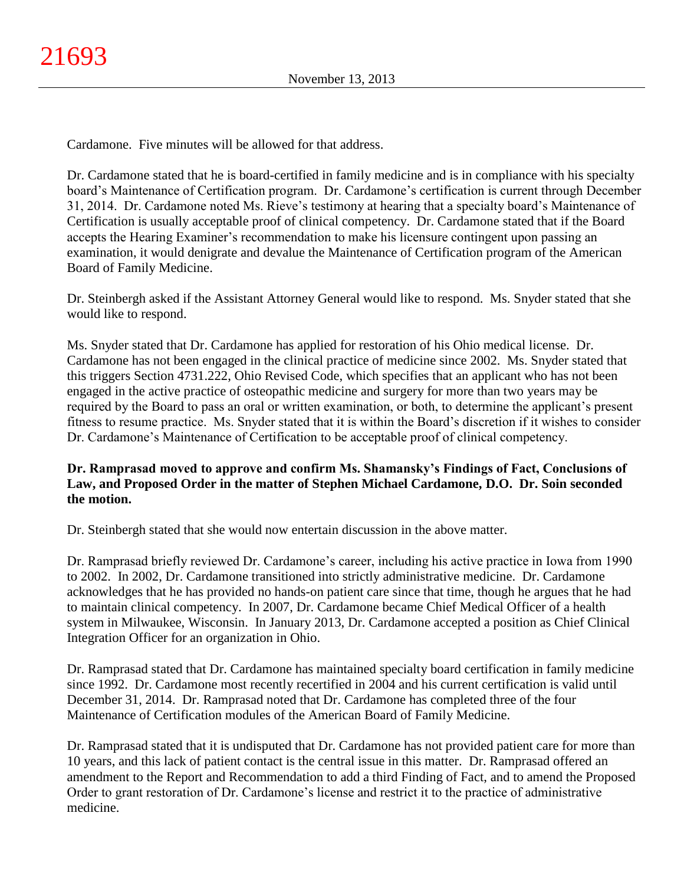Cardamone. Five minutes will be allowed for that address.

Dr. Cardamone stated that he is board-certified in family medicine and is in compliance with his specialty board's Maintenance of Certification program. Dr. Cardamone's certification is current through December 31, 2014. Dr. Cardamone noted Ms. Rieve's testimony at hearing that a specialty board's Maintenance of Certification is usually acceptable proof of clinical competency. Dr. Cardamone stated that if the Board accepts the Hearing Examiner's recommendation to make his licensure contingent upon passing an examination, it would denigrate and devalue the Maintenance of Certification program of the American Board of Family Medicine.

Dr. Steinbergh asked if the Assistant Attorney General would like to respond. Ms. Snyder stated that she would like to respond.

Ms. Snyder stated that Dr. Cardamone has applied for restoration of his Ohio medical license. Dr. Cardamone has not been engaged in the clinical practice of medicine since 2002. Ms. Snyder stated that this triggers Section 4731.222, Ohio Revised Code, which specifies that an applicant who has not been engaged in the active practice of osteopathic medicine and surgery for more than two years may be required by the Board to pass an oral or written examination, or both, to determine the applicant's present fitness to resume practice. Ms. Snyder stated that it is within the Board's discretion if it wishes to consider Dr. Cardamone's Maintenance of Certification to be acceptable proof of clinical competency.

# **Dr. Ramprasad moved to approve and confirm Ms. Shamansky's Findings of Fact, Conclusions of Law, and Proposed Order in the matter of Stephen Michael Cardamone, D.O. Dr. Soin seconded the motion.**

Dr. Steinbergh stated that she would now entertain discussion in the above matter.

Dr. Ramprasad briefly reviewed Dr. Cardamone's career, including his active practice in Iowa from 1990 to 2002. In 2002, Dr. Cardamone transitioned into strictly administrative medicine. Dr. Cardamone acknowledges that he has provided no hands-on patient care since that time, though he argues that he had to maintain clinical competency. In 2007, Dr. Cardamone became Chief Medical Officer of a health system in Milwaukee, Wisconsin. In January 2013, Dr. Cardamone accepted a position as Chief Clinical Integration Officer for an organization in Ohio.

Dr. Ramprasad stated that Dr. Cardamone has maintained specialty board certification in family medicine since 1992. Dr. Cardamone most recently recertified in 2004 and his current certification is valid until December 31, 2014. Dr. Ramprasad noted that Dr. Cardamone has completed three of the four Maintenance of Certification modules of the American Board of Family Medicine.

Dr. Ramprasad stated that it is undisputed that Dr. Cardamone has not provided patient care for more than 10 years, and this lack of patient contact is the central issue in this matter. Dr. Ramprasad offered an amendment to the Report and Recommendation to add a third Finding of Fact, and to amend the Proposed Order to grant restoration of Dr. Cardamone's license and restrict it to the practice of administrative medicine.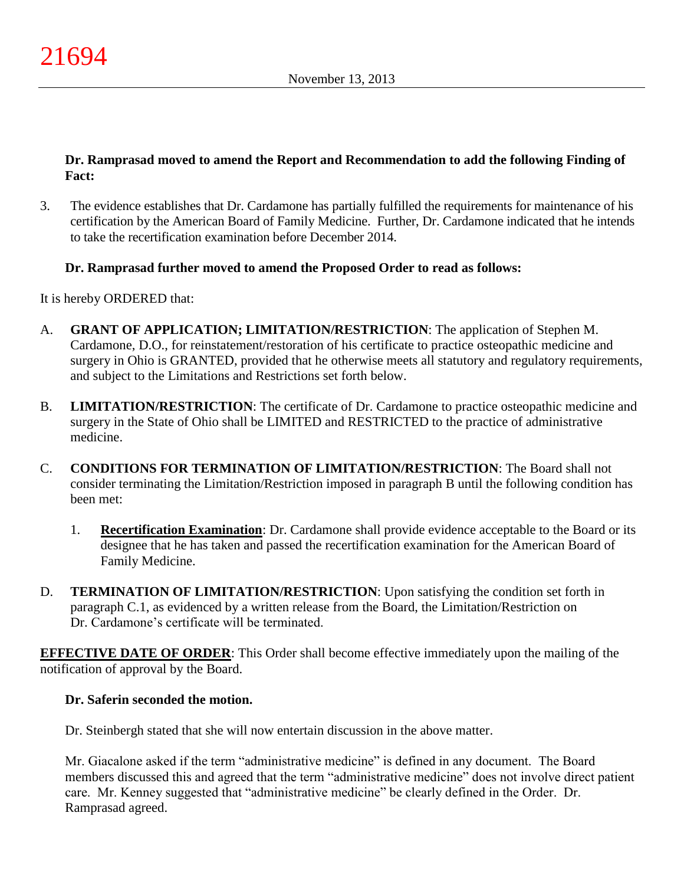## **Dr. Ramprasad moved to amend the Report and Recommendation to add the following Finding of Fact:**

3. The evidence establishes that Dr. Cardamone has partially fulfilled the requirements for maintenance of his certification by the American Board of Family Medicine. Further, Dr. Cardamone indicated that he intends to take the recertification examination before December 2014.

# **Dr. Ramprasad further moved to amend the Proposed Order to read as follows:**

It is hereby ORDERED that:

- A. **GRANT OF APPLICATION; LIMITATION/RESTRICTION**: The application of Stephen M. Cardamone, D.O., for reinstatement/restoration of his certificate to practice osteopathic medicine and surgery in Ohio is GRANTED, provided that he otherwise meets all statutory and regulatory requirements, and subject to the Limitations and Restrictions set forth below.
- B. **LIMITATION/RESTRICTION**: The certificate of Dr. Cardamone to practice osteopathic medicine and surgery in the State of Ohio shall be LIMITED and RESTRICTED to the practice of administrative medicine.
- C. **CONDITIONS FOR TERMINATION OF LIMITATION/RESTRICTION**: The Board shall not consider terminating the Limitation/Restriction imposed in paragraph B until the following condition has been met:
	- 1. **Recertification Examination**: Dr. Cardamone shall provide evidence acceptable to the Board or its designee that he has taken and passed the recertification examination for the American Board of Family Medicine.
- D. **TERMINATION OF LIMITATION/RESTRICTION**: Upon satisfying the condition set forth in paragraph C.1, as evidenced by a written release from the Board, the Limitation/Restriction on Dr. Cardamone's certificate will be terminated.

**EFFECTIVE DATE OF ORDER**: This Order shall become effective immediately upon the mailing of the notification of approval by the Board.

## **Dr. Saferin seconded the motion.**

Dr. Steinbergh stated that she will now entertain discussion in the above matter.

Mr. Giacalone asked if the term "administrative medicine" is defined in any document. The Board members discussed this and agreed that the term "administrative medicine" does not involve direct patient care. Mr. Kenney suggested that "administrative medicine" be clearly defined in the Order. Dr. Ramprasad agreed.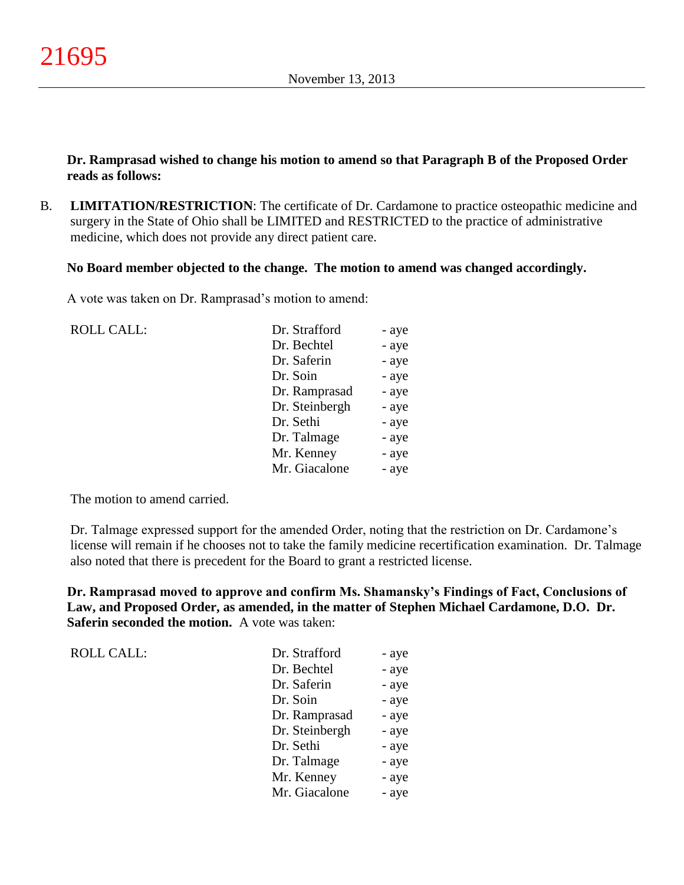**Dr. Ramprasad wished to change his motion to amend so that Paragraph B of the Proposed Order reads as follows:**

B. **LIMITATION/RESTRICTION**: The certificate of Dr. Cardamone to practice osteopathic medicine and surgery in the State of Ohio shall be LIMITED and RESTRICTED to the practice of administrative medicine, which does not provide any direct patient care.

**No Board member objected to the change. The motion to amend was changed accordingly.**

A vote was taken on Dr. Ramprasad's motion to amend:

| <b>ROLL CALL:</b> | Dr. Strafford  | - aye |
|-------------------|----------------|-------|
|                   | Dr. Bechtel    | - aye |
|                   | Dr. Saferin    | - aye |
|                   | Dr. Soin       | - aye |
|                   | Dr. Ramprasad  | - aye |
|                   | Dr. Steinbergh | - aye |
|                   | Dr. Sethi      | - aye |
|                   | Dr. Talmage    | - aye |
|                   | Mr. Kenney     | - aye |
|                   | Mr. Giacalone  | - aye |
|                   |                |       |

The motion to amend carried.

Dr. Talmage expressed support for the amended Order, noting that the restriction on Dr. Cardamone's license will remain if he chooses not to take the family medicine recertification examination. Dr. Talmage also noted that there is precedent for the Board to grant a restricted license.

**Dr. Ramprasad moved to approve and confirm Ms. Shamansky's Findings of Fact, Conclusions of Law, and Proposed Order, as amended, in the matter of Stephen Michael Cardamone, D.O. Dr. Saferin seconded the motion.** A vote was taken:

| <b>ROLL CALL:</b> | Dr. Strafford  | - aye |
|-------------------|----------------|-------|
|                   | Dr. Bechtel    | - aye |
|                   | Dr. Saferin    | - aye |
|                   | Dr. Soin       | - aye |
|                   | Dr. Ramprasad  | - aye |
|                   | Dr. Steinbergh | - aye |
|                   | Dr. Sethi      | - aye |
|                   | Dr. Talmage    | - aye |
|                   | Mr. Kenney     | - aye |
|                   | Mr. Giacalone  | - aye |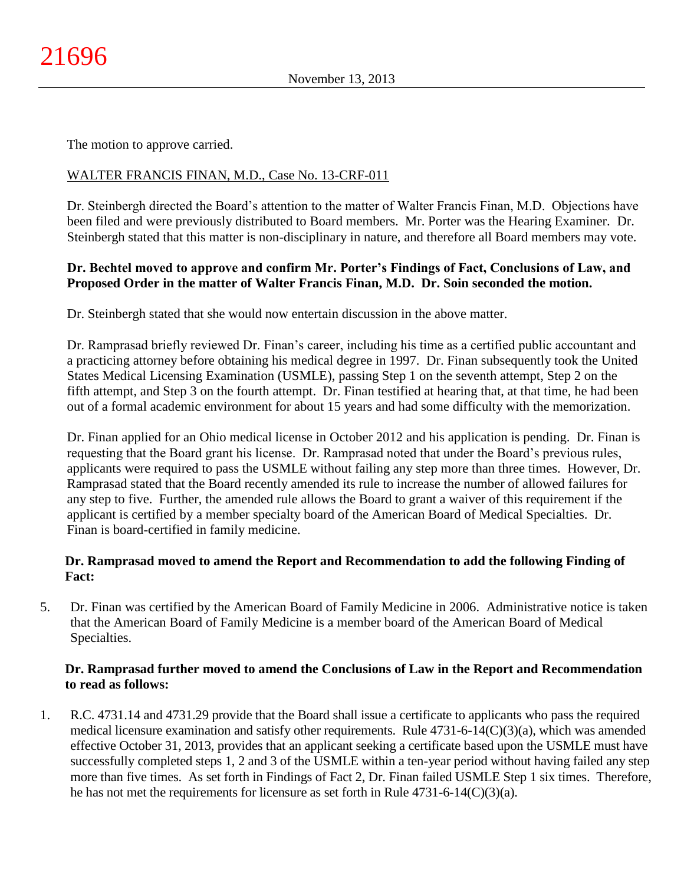The motion to approve carried.

## WALTER FRANCIS FINAN, M.D., Case No. 13-CRF-011

Dr. Steinbergh directed the Board's attention to the matter of Walter Francis Finan, M.D. Objections have been filed and were previously distributed to Board members. Mr. Porter was the Hearing Examiner. Dr. Steinbergh stated that this matter is non-disciplinary in nature, and therefore all Board members may vote.

## **Dr. Bechtel moved to approve and confirm Mr. Porter's Findings of Fact, Conclusions of Law, and Proposed Order in the matter of Walter Francis Finan, M.D. Dr. Soin seconded the motion.**

Dr. Steinbergh stated that she would now entertain discussion in the above matter.

Dr. Ramprasad briefly reviewed Dr. Finan's career, including his time as a certified public accountant and a practicing attorney before obtaining his medical degree in 1997. Dr. Finan subsequently took the United States Medical Licensing Examination (USMLE), passing Step 1 on the seventh attempt, Step 2 on the fifth attempt, and Step 3 on the fourth attempt. Dr. Finan testified at hearing that, at that time, he had been out of a formal academic environment for about 15 years and had some difficulty with the memorization.

Dr. Finan applied for an Ohio medical license in October 2012 and his application is pending. Dr. Finan is requesting that the Board grant his license. Dr. Ramprasad noted that under the Board's previous rules, applicants were required to pass the USMLE without failing any step more than three times. However, Dr. Ramprasad stated that the Board recently amended its rule to increase the number of allowed failures for any step to five. Further, the amended rule allows the Board to grant a waiver of this requirement if the applicant is certified by a member specialty board of the American Board of Medical Specialties. Dr. Finan is board-certified in family medicine.

## **Dr. Ramprasad moved to amend the Report and Recommendation to add the following Finding of Fact:**

5. Dr. Finan was certified by the American Board of Family Medicine in 2006. Administrative notice is taken that the American Board of Family Medicine is a member board of the American Board of Medical Specialties.

## **Dr. Ramprasad further moved to amend the Conclusions of Law in the Report and Recommendation to read as follows:**

1. R.C. 4731.14 and 4731.29 provide that the Board shall issue a certificate to applicants who pass the required medical licensure examination and satisfy other requirements. Rule 4731-6-14(C)(3)(a), which was amended effective October 31, 2013, provides that an applicant seeking a certificate based upon the USMLE must have successfully completed steps 1, 2 and 3 of the USMLE within a ten-year period without having failed any step more than five times. As set forth in Findings of Fact 2, Dr. Finan failed USMLE Step 1 six times. Therefore, he has not met the requirements for licensure as set forth in Rule 4731-6-14(C)(3)(a).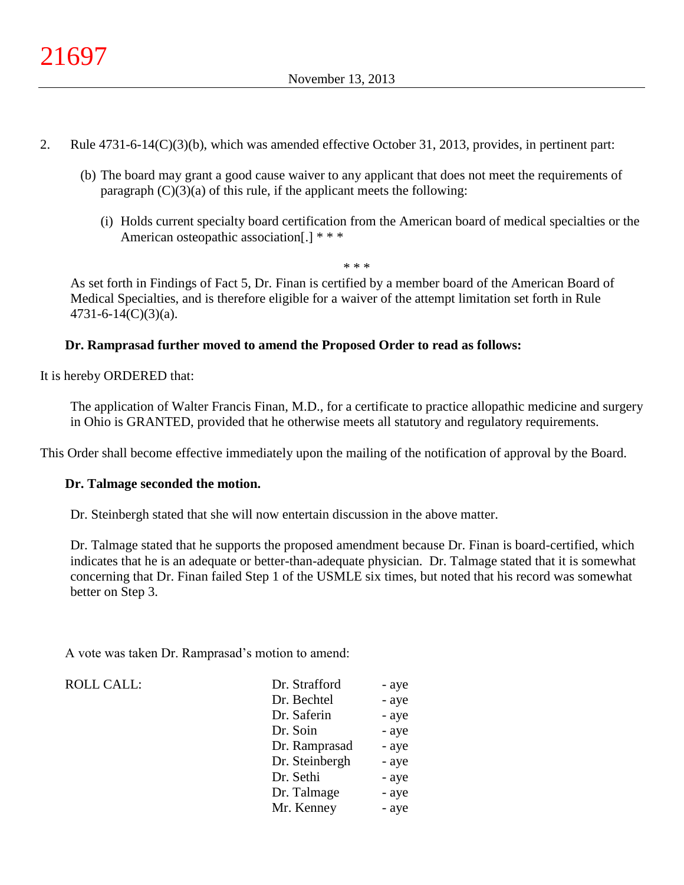- 2. Rule 4731-6-14(C)(3)(b), which was amended effective October 31, 2013, provides, in pertinent part:
	- (b) The board may grant a good cause waiver to any applicant that does not meet the requirements of paragraph  $(C)(3)(a)$  of this rule, if the applicant meets the following:
		- (i) Holds current specialty board certification from the American board of medical specialties or the American osteopathic association[.] \* \* \*

\* \* \*

As set forth in Findings of Fact 5, Dr. Finan is certified by a member board of the American Board of Medical Specialties, and is therefore eligible for a waiver of the attempt limitation set forth in Rule 4731-6-14(C)(3)(a).

## **Dr. Ramprasad further moved to amend the Proposed Order to read as follows:**

It is hereby ORDERED that:

The application of Walter Francis Finan, M.D., for a certificate to practice allopathic medicine and surgery in Ohio is GRANTED, provided that he otherwise meets all statutory and regulatory requirements.

This Order shall become effective immediately upon the mailing of the notification of approval by the Board.

### **Dr. Talmage seconded the motion.**

Dr. Steinbergh stated that she will now entertain discussion in the above matter.

Dr. Talmage stated that he supports the proposed amendment because Dr. Finan is board-certified, which indicates that he is an adequate or better-than-adequate physician. Dr. Talmage stated that it is somewhat concerning that Dr. Finan failed Step 1 of the USMLE six times, but noted that his record was somewhat better on Step 3.

A vote was taken Dr. Ramprasad's motion to amend:

#### ROLL CALL: T

| Dr. Strafford  | - aye |
|----------------|-------|
| Dr. Bechtel    | - aye |
| Dr. Saferin    | - aye |
| Dr. Soin       | - aye |
| Dr. Ramprasad  | - aye |
| Dr. Steinbergh | - aye |
| Dr. Sethi      | - aye |
| Dr. Talmage    | - aye |
| Mr. Kenney     | - aye |
|                |       |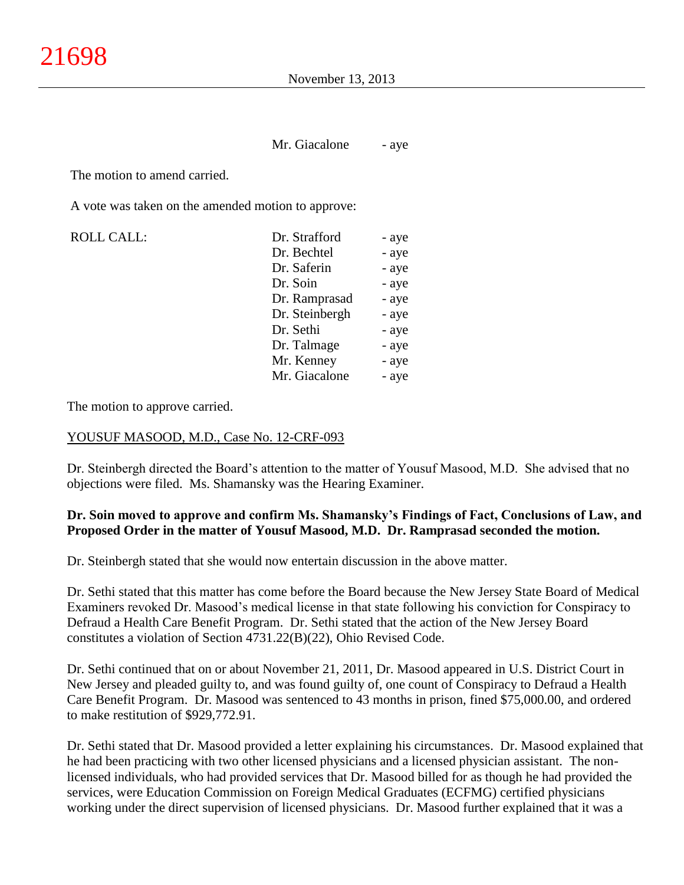Mr. Giacalone - aye

The motion to amend carried.

A vote was taken on the amended motion to approve:

ROLL CALL: Dr. Strafford - aye Dr. Bechtel - aye Dr. Saferin - aye Dr. Soin - aye Dr. Ramprasad - aye Dr. Steinbergh - aye Dr. Sethi - aye Dr. Talmage - aye Mr. Kenney - aye Mr. Giacalone - aye

The motion to approve carried.

#### YOUSUF MASOOD, M.D., Case No. 12-CRF-093

Dr. Steinbergh directed the Board's attention to the matter of Yousuf Masood, M.D. She advised that no objections were filed. Ms. Shamansky was the Hearing Examiner.

### **Dr. Soin moved to approve and confirm Ms. Shamansky's Findings of Fact, Conclusions of Law, and Proposed Order in the matter of Yousuf Masood, M.D. Dr. Ramprasad seconded the motion.**

Dr. Steinbergh stated that she would now entertain discussion in the above matter.

Dr. Sethi stated that this matter has come before the Board because the New Jersey State Board of Medical Examiners revoked Dr. Masood's medical license in that state following his conviction for Conspiracy to Defraud a Health Care Benefit Program. Dr. Sethi stated that the action of the New Jersey Board constitutes a violation of Section 4731.22(B)(22), Ohio Revised Code.

Dr. Sethi continued that on or about November 21, 2011, Dr. Masood appeared in U.S. District Court in New Jersey and pleaded guilty to, and was found guilty of, one count of Conspiracy to Defraud a Health Care Benefit Program. Dr. Masood was sentenced to 43 months in prison, fined \$75,000.00, and ordered to make restitution of \$929,772.91.

Dr. Sethi stated that Dr. Masood provided a letter explaining his circumstances. Dr. Masood explained that he had been practicing with two other licensed physicians and a licensed physician assistant. The nonlicensed individuals, who had provided services that Dr. Masood billed for as though he had provided the services, were Education Commission on Foreign Medical Graduates (ECFMG) certified physicians working under the direct supervision of licensed physicians. Dr. Masood further explained that it was a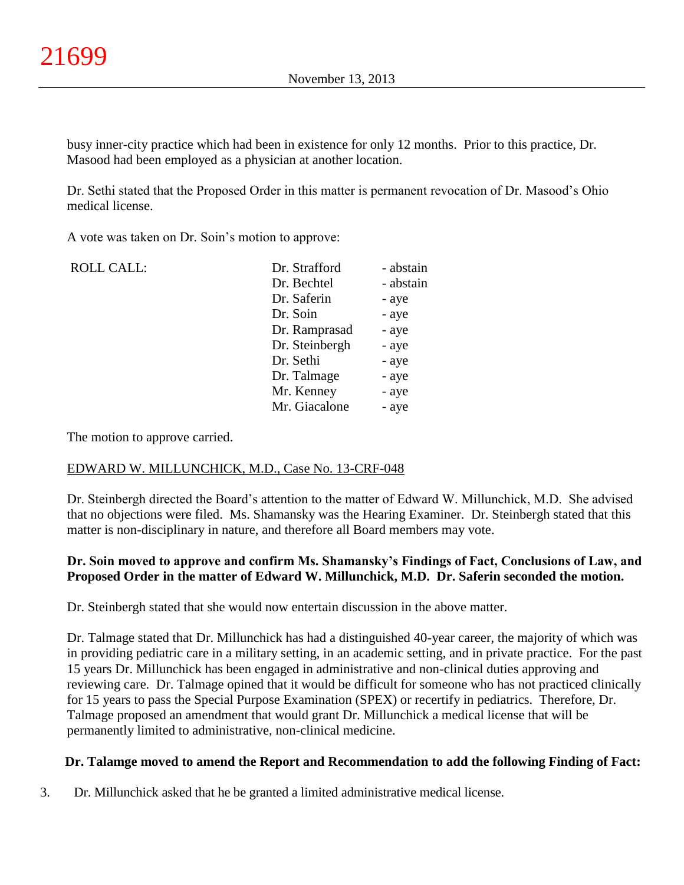busy inner-city practice which had been in existence for only 12 months. Prior to this practice, Dr. Masood had been employed as a physician at another location.

Dr. Sethi stated that the Proposed Order in this matter is permanent revocation of Dr. Masood's Ohio medical license.

A vote was taken on Dr. Soin's motion to approve:

| <b>ROLL CALL:</b> | Dr. Strafford  | - abstain |
|-------------------|----------------|-----------|
|                   | Dr. Bechtel    | - abstain |
|                   | Dr. Saferin    | - aye     |
|                   | Dr. Soin       | - aye     |
|                   | Dr. Ramprasad  | - aye     |
|                   | Dr. Steinbergh | - aye     |
|                   | Dr. Sethi      | - aye     |
|                   | Dr. Talmage    | - aye     |
|                   | Mr. Kenney     | - aye     |
|                   | Mr. Giacalone  | - aye     |
|                   |                |           |

The motion to approve carried.

### EDWARD W. MILLUNCHICK, M.D., Case No. 13-CRF-048

Dr. Steinbergh directed the Board's attention to the matter of Edward W. Millunchick, M.D. She advised that no objections were filed. Ms. Shamansky was the Hearing Examiner. Dr. Steinbergh stated that this matter is non-disciplinary in nature, and therefore all Board members may vote.

## **Dr. Soin moved to approve and confirm Ms. Shamansky's Findings of Fact, Conclusions of Law, and Proposed Order in the matter of Edward W. Millunchick, M.D. Dr. Saferin seconded the motion.**

Dr. Steinbergh stated that she would now entertain discussion in the above matter.

Dr. Talmage stated that Dr. Millunchick has had a distinguished 40-year career, the majority of which was in providing pediatric care in a military setting, in an academic setting, and in private practice. For the past 15 years Dr. Millunchick has been engaged in administrative and non-clinical duties approving and reviewing care. Dr. Talmage opined that it would be difficult for someone who has not practiced clinically for 15 years to pass the Special Purpose Examination (SPEX) or recertify in pediatrics. Therefore, Dr. Talmage proposed an amendment that would grant Dr. Millunchick a medical license that will be permanently limited to administrative, non-clinical medicine.

### **Dr. Talamge moved to amend the Report and Recommendation to add the following Finding of Fact:**

3. Dr. Millunchick asked that he be granted a limited administrative medical license.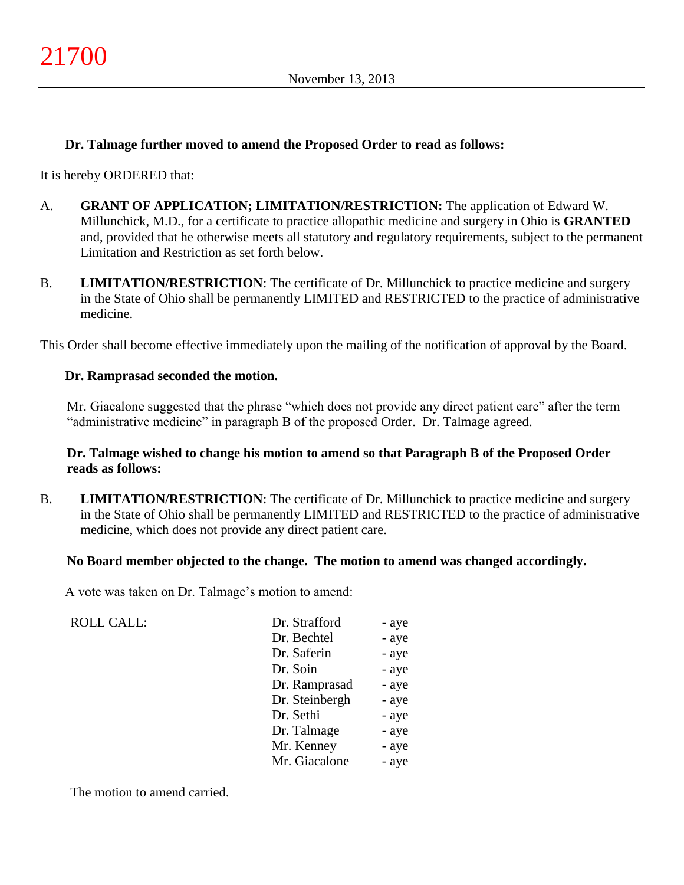### **Dr. Talmage further moved to amend the Proposed Order to read as follows:**

It is hereby ORDERED that:

- A. **GRANT OF APPLICATION; LIMITATION/RESTRICTION:** The application of Edward W. Millunchick, M.D., for a certificate to practice allopathic medicine and surgery in Ohio is **GRANTED**  and, provided that he otherwise meets all statutory and regulatory requirements, subject to the permanent Limitation and Restriction as set forth below.
- B. **LIMITATION/RESTRICTION**: The certificate of Dr. Millunchick to practice medicine and surgery in the State of Ohio shall be permanently LIMITED and RESTRICTED to the practice of administrative medicine.

This Order shall become effective immediately upon the mailing of the notification of approval by the Board.

### **Dr. Ramprasad seconded the motion.**

Mr. Giacalone suggested that the phrase "which does not provide any direct patient care" after the term "administrative medicine" in paragraph B of the proposed Order. Dr. Talmage agreed.

### **Dr. Talmage wished to change his motion to amend so that Paragraph B of the Proposed Order reads as follows:**

B. **LIMITATION/RESTRICTION**: The certificate of Dr. Millunchick to practice medicine and surgery in the State of Ohio shall be permanently LIMITED and RESTRICTED to the practice of administrative medicine, which does not provide any direct patient care.

### **No Board member objected to the change. The motion to amend was changed accordingly.**

A vote was taken on Dr. Talmage's motion to amend:

| Dr. Strafford  | - aye |
|----------------|-------|
| Dr. Bechtel    | - aye |
| Dr. Saferin    | - aye |
| Dr. Soin       | - aye |
| Dr. Ramprasad  | - aye |
| Dr. Steinbergh | - aye |
| Dr. Sethi      | - aye |
| Dr. Talmage    | - aye |
| Mr. Kenney     | - aye |
| Mr. Giacalone  | - aye |

The motion to amend carried.

ROLL CALL: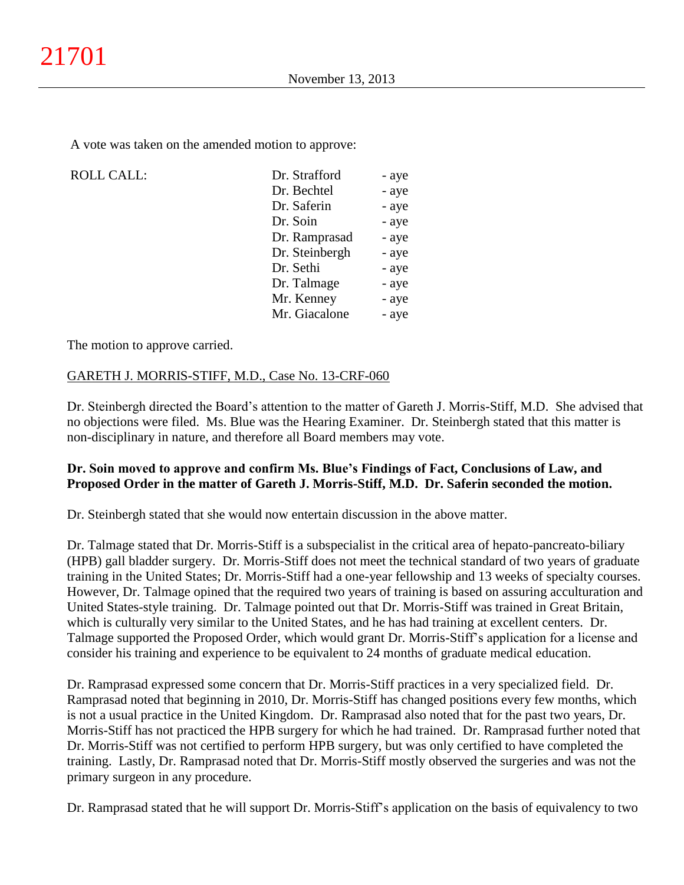A vote was taken on the amended motion to approve:

| <b>ROLL CALL:</b> | Dr. Strafford  | - aye |
|-------------------|----------------|-------|
|                   | Dr. Bechtel    | - aye |
|                   | Dr. Saferin    | - aye |
|                   | Dr. Soin       | - aye |
|                   | Dr. Ramprasad  | - aye |
|                   | Dr. Steinbergh | - aye |
|                   | Dr. Sethi      | - aye |
|                   | Dr. Talmage    | - aye |
|                   | Mr. Kenney     | - aye |
|                   | Mr. Giacalone  | - aye |

The motion to approve carried.

## GARETH J. MORRIS-STIFF, M.D., Case No. 13-CRF-060

Dr. Steinbergh directed the Board's attention to the matter of Gareth J. Morris-Stiff, M.D. She advised that no objections were filed. Ms. Blue was the Hearing Examiner. Dr. Steinbergh stated that this matter is non-disciplinary in nature, and therefore all Board members may vote.

## **Dr. Soin moved to approve and confirm Ms. Blue's Findings of Fact, Conclusions of Law, and Proposed Order in the matter of Gareth J. Morris-Stiff, M.D. Dr. Saferin seconded the motion.**

Dr. Steinbergh stated that she would now entertain discussion in the above matter.

Dr. Talmage stated that Dr. Morris-Stiff is a subspecialist in the critical area of hepato-pancreato-biliary (HPB) gall bladder surgery. Dr. Morris-Stiff does not meet the technical standard of two years of graduate training in the United States; Dr. Morris-Stiff had a one-year fellowship and 13 weeks of specialty courses. However, Dr. Talmage opined that the required two years of training is based on assuring acculturation and United States-style training. Dr. Talmage pointed out that Dr. Morris-Stiff was trained in Great Britain, which is culturally very similar to the United States, and he has had training at excellent centers. Dr. Talmage supported the Proposed Order, which would grant Dr. Morris-Stiff's application for a license and consider his training and experience to be equivalent to 24 months of graduate medical education.

Dr. Ramprasad expressed some concern that Dr. Morris-Stiff practices in a very specialized field. Dr. Ramprasad noted that beginning in 2010, Dr. Morris-Stiff has changed positions every few months, which is not a usual practice in the United Kingdom. Dr. Ramprasad also noted that for the past two years, Dr. Morris-Stiff has not practiced the HPB surgery for which he had trained. Dr. Ramprasad further noted that Dr. Morris-Stiff was not certified to perform HPB surgery, but was only certified to have completed the training. Lastly, Dr. Ramprasad noted that Dr. Morris-Stiff mostly observed the surgeries and was not the primary surgeon in any procedure.

Dr. Ramprasad stated that he will support Dr. Morris-Stiff's application on the basis of equivalency to two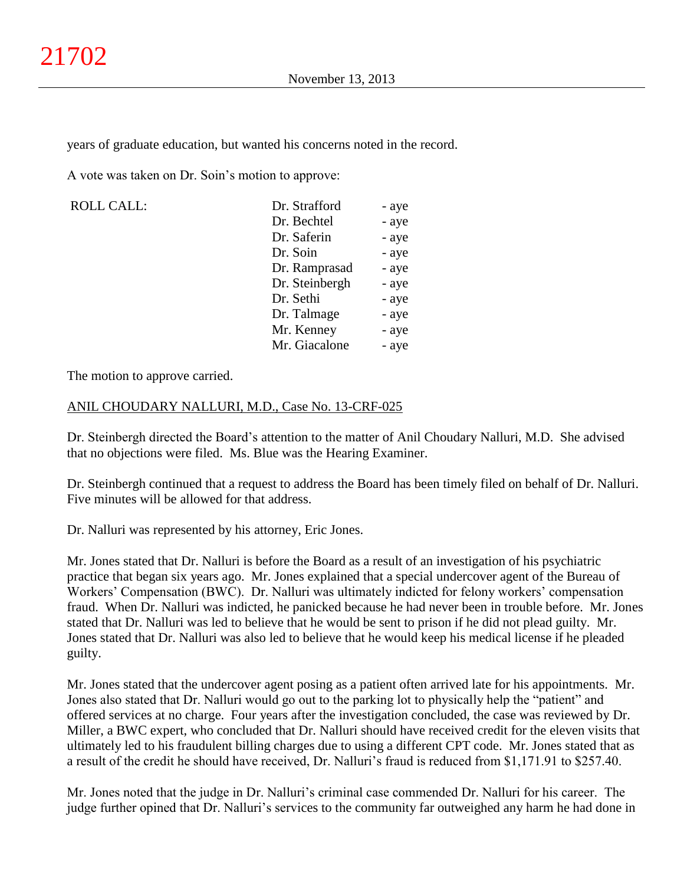years of graduate education, but wanted his concerns noted in the record.

A vote was taken on Dr. Soin's motion to approve:

ROLL CALL: Dr. Strafford - aye Dr. Bechtel - aye Dr. Saferin - aye Dr. Soin - aye Dr. Ramprasad - aye Dr. Steinbergh - aye Dr. Sethi - aye Dr. Talmage - aye Mr. Kenney - aye Mr. Giacalone - aye

The motion to approve carried.

### ANIL CHOUDARY NALLURI, M.D., Case No. 13-CRF-025

Dr. Steinbergh directed the Board's attention to the matter of Anil Choudary Nalluri, M.D. She advised that no objections were filed. Ms. Blue was the Hearing Examiner.

Dr. Steinbergh continued that a request to address the Board has been timely filed on behalf of Dr. Nalluri. Five minutes will be allowed for that address.

Dr. Nalluri was represented by his attorney, Eric Jones.

Mr. Jones stated that Dr. Nalluri is before the Board as a result of an investigation of his psychiatric practice that began six years ago. Mr. Jones explained that a special undercover agent of the Bureau of Workers' Compensation (BWC). Dr. Nalluri was ultimately indicted for felony workers' compensation fraud. When Dr. Nalluri was indicted, he panicked because he had never been in trouble before. Mr. Jones stated that Dr. Nalluri was led to believe that he would be sent to prison if he did not plead guilty. Mr. Jones stated that Dr. Nalluri was also led to believe that he would keep his medical license if he pleaded guilty.

Mr. Jones stated that the undercover agent posing as a patient often arrived late for his appointments. Mr. Jones also stated that Dr. Nalluri would go out to the parking lot to physically help the "patient" and offered services at no charge. Four years after the investigation concluded, the case was reviewed by Dr. Miller, a BWC expert, who concluded that Dr. Nalluri should have received credit for the eleven visits that ultimately led to his fraudulent billing charges due to using a different CPT code. Mr. Jones stated that as a result of the credit he should have received, Dr. Nalluri's fraud is reduced from \$1,171.91 to \$257.40.

Mr. Jones noted that the judge in Dr. Nalluri's criminal case commended Dr. Nalluri for his career. The judge further opined that Dr. Nalluri's services to the community far outweighed any harm he had done in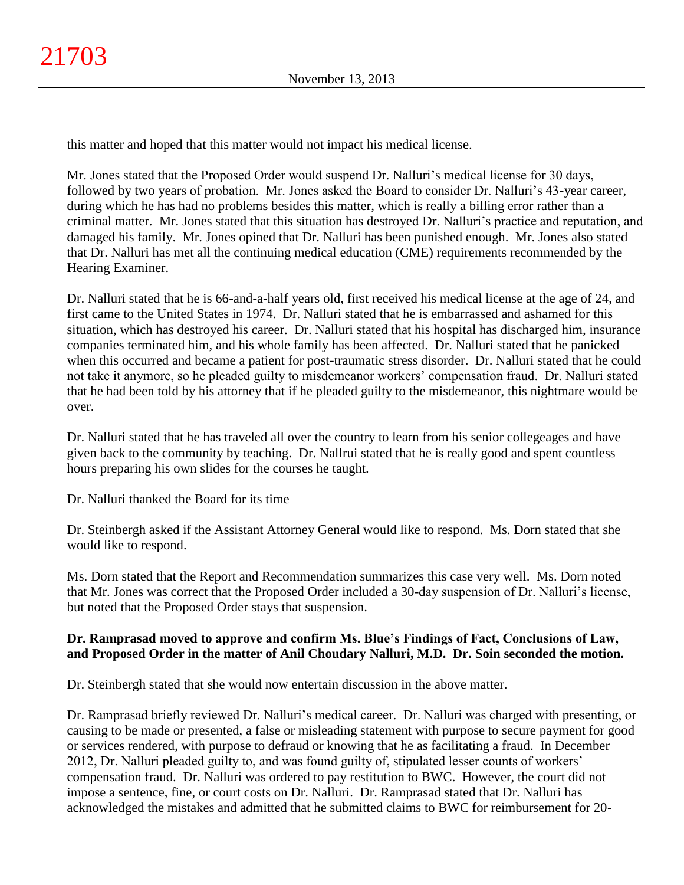this matter and hoped that this matter would not impact his medical license.

Mr. Jones stated that the Proposed Order would suspend Dr. Nalluri's medical license for 30 days, followed by two years of probation. Mr. Jones asked the Board to consider Dr. Nalluri's 43-year career, during which he has had no problems besides this matter, which is really a billing error rather than a criminal matter. Mr. Jones stated that this situation has destroyed Dr. Nalluri's practice and reputation, and damaged his family. Mr. Jones opined that Dr. Nalluri has been punished enough. Mr. Jones also stated that Dr. Nalluri has met all the continuing medical education (CME) requirements recommended by the Hearing Examiner.

Dr. Nalluri stated that he is 66-and-a-half years old, first received his medical license at the age of 24, and first came to the United States in 1974. Dr. Nalluri stated that he is embarrassed and ashamed for this situation, which has destroyed his career. Dr. Nalluri stated that his hospital has discharged him, insurance companies terminated him, and his whole family has been affected. Dr. Nalluri stated that he panicked when this occurred and became a patient for post-traumatic stress disorder. Dr. Nalluri stated that he could not take it anymore, so he pleaded guilty to misdemeanor workers' compensation fraud. Dr. Nalluri stated that he had been told by his attorney that if he pleaded guilty to the misdemeanor, this nightmare would be over.

Dr. Nalluri stated that he has traveled all over the country to learn from his senior collegeages and have given back to the community by teaching. Dr. Nallrui stated that he is really good and spent countless hours preparing his own slides for the courses he taught.

Dr. Nalluri thanked the Board for its time

Dr. Steinbergh asked if the Assistant Attorney General would like to respond. Ms. Dorn stated that she would like to respond.

Ms. Dorn stated that the Report and Recommendation summarizes this case very well. Ms. Dorn noted that Mr. Jones was correct that the Proposed Order included a 30-day suspension of Dr. Nalluri's license, but noted that the Proposed Order stays that suspension.

## **Dr. Ramprasad moved to approve and confirm Ms. Blue's Findings of Fact, Conclusions of Law, and Proposed Order in the matter of Anil Choudary Nalluri, M.D. Dr. Soin seconded the motion.**

Dr. Steinbergh stated that she would now entertain discussion in the above matter.

Dr. Ramprasad briefly reviewed Dr. Nalluri's medical career. Dr. Nalluri was charged with presenting, or causing to be made or presented, a false or misleading statement with purpose to secure payment for good or services rendered, with purpose to defraud or knowing that he as facilitating a fraud. In December 2012, Dr. Nalluri pleaded guilty to, and was found guilty of, stipulated lesser counts of workers' compensation fraud. Dr. Nalluri was ordered to pay restitution to BWC. However, the court did not impose a sentence, fine, or court costs on Dr. Nalluri. Dr. Ramprasad stated that Dr. Nalluri has acknowledged the mistakes and admitted that he submitted claims to BWC for reimbursement for 20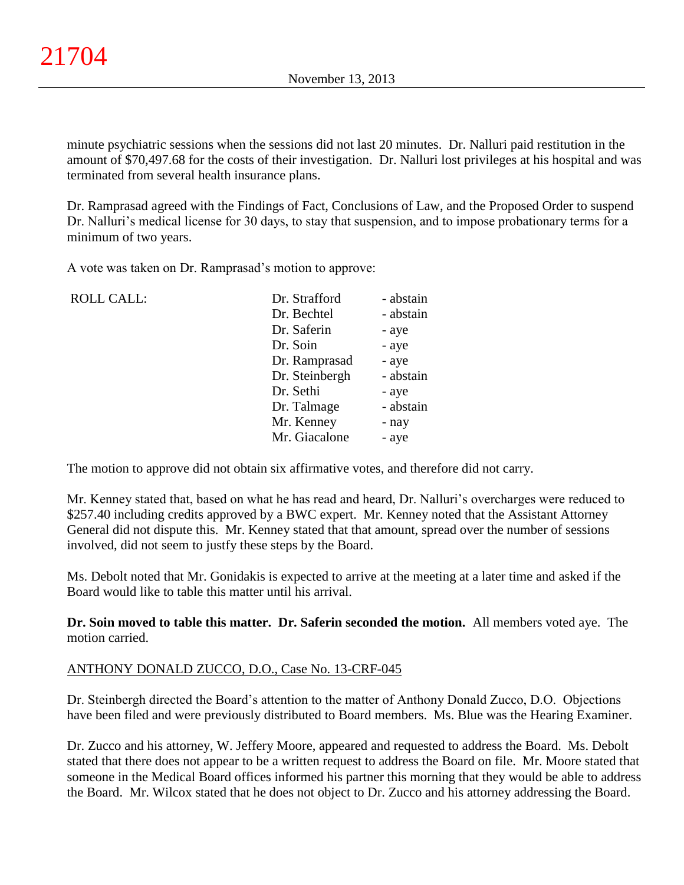minute psychiatric sessions when the sessions did not last 20 minutes. Dr. Nalluri paid restitution in the amount of \$70,497.68 for the costs of their investigation. Dr. Nalluri lost privileges at his hospital and was terminated from several health insurance plans.

Dr. Ramprasad agreed with the Findings of Fact, Conclusions of Law, and the Proposed Order to suspend Dr. Nalluri's medical license for 30 days, to stay that suspension, and to impose probationary terms for a minimum of two years.

A vote was taken on Dr. Ramprasad's motion to approve:

| <b>ROLL CALL:</b> | Dr. Strafford  | - abstain |
|-------------------|----------------|-----------|
|                   | Dr. Bechtel    | - abstain |
|                   | Dr. Saferin    | - aye     |
|                   | Dr. Soin       | - aye     |
|                   | Dr. Ramprasad  | - aye     |
|                   | Dr. Steinbergh | - abstain |
|                   | Dr. Sethi      | - aye     |
|                   | Dr. Talmage    | - abstain |
|                   | Mr. Kenney     | - nay     |
|                   | Mr. Giacalone  | - aye     |
|                   |                |           |

The motion to approve did not obtain six affirmative votes, and therefore did not carry.

Mr. Kenney stated that, based on what he has read and heard, Dr. Nalluri's overcharges were reduced to \$257.40 including credits approved by a BWC expert. Mr. Kenney noted that the Assistant Attorney General did not dispute this. Mr. Kenney stated that that amount, spread over the number of sessions involved, did not seem to justfy these steps by the Board.

Ms. Debolt noted that Mr. Gonidakis is expected to arrive at the meeting at a later time and asked if the Board would like to table this matter until his arrival.

**Dr. Soin moved to table this matter. Dr. Saferin seconded the motion.** All members voted aye. The motion carried.

### ANTHONY DONALD ZUCCO, D.O., Case No. 13-CRF-045

Dr. Steinbergh directed the Board's attention to the matter of Anthony Donald Zucco, D.O. Objections have been filed and were previously distributed to Board members. Ms. Blue was the Hearing Examiner.

Dr. Zucco and his attorney, W. Jeffery Moore, appeared and requested to address the Board. Ms. Debolt stated that there does not appear to be a written request to address the Board on file. Mr. Moore stated that someone in the Medical Board offices informed his partner this morning that they would be able to address the Board. Mr. Wilcox stated that he does not object to Dr. Zucco and his attorney addressing the Board.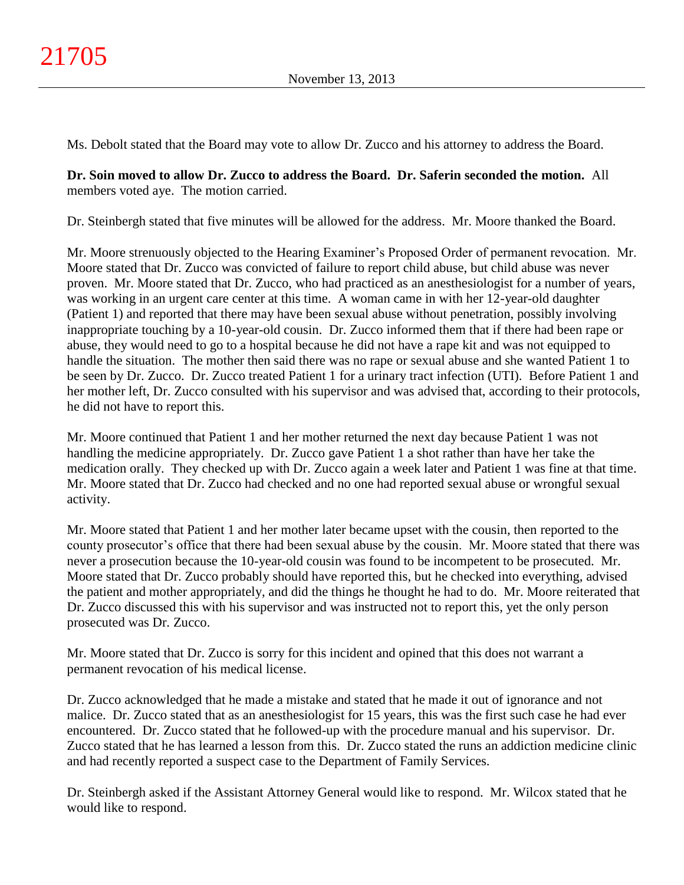Ms. Debolt stated that the Board may vote to allow Dr. Zucco and his attorney to address the Board.

**Dr. Soin moved to allow Dr. Zucco to address the Board. Dr. Saferin seconded the motion.** All members voted aye. The motion carried.

Dr. Steinbergh stated that five minutes will be allowed for the address. Mr. Moore thanked the Board.

Mr. Moore strenuously objected to the Hearing Examiner's Proposed Order of permanent revocation. Mr. Moore stated that Dr. Zucco was convicted of failure to report child abuse, but child abuse was never proven. Mr. Moore stated that Dr. Zucco, who had practiced as an anesthesiologist for a number of years, was working in an urgent care center at this time. A woman came in with her 12-year-old daughter (Patient 1) and reported that there may have been sexual abuse without penetration, possibly involving inappropriate touching by a 10-year-old cousin. Dr. Zucco informed them that if there had been rape or abuse, they would need to go to a hospital because he did not have a rape kit and was not equipped to handle the situation. The mother then said there was no rape or sexual abuse and she wanted Patient 1 to be seen by Dr. Zucco. Dr. Zucco treated Patient 1 for a urinary tract infection (UTI). Before Patient 1 and her mother left, Dr. Zucco consulted with his supervisor and was advised that, according to their protocols, he did not have to report this.

Mr. Moore continued that Patient 1 and her mother returned the next day because Patient 1 was not handling the medicine appropriately. Dr. Zucco gave Patient 1 a shot rather than have her take the medication orally. They checked up with Dr. Zucco again a week later and Patient 1 was fine at that time. Mr. Moore stated that Dr. Zucco had checked and no one had reported sexual abuse or wrongful sexual activity.

Mr. Moore stated that Patient 1 and her mother later became upset with the cousin, then reported to the county prosecutor's office that there had been sexual abuse by the cousin. Mr. Moore stated that there was never a prosecution because the 10-year-old cousin was found to be incompetent to be prosecuted. Mr. Moore stated that Dr. Zucco probably should have reported this, but he checked into everything, advised the patient and mother appropriately, and did the things he thought he had to do. Mr. Moore reiterated that Dr. Zucco discussed this with his supervisor and was instructed not to report this, yet the only person prosecuted was Dr. Zucco.

Mr. Moore stated that Dr. Zucco is sorry for this incident and opined that this does not warrant a permanent revocation of his medical license.

Dr. Zucco acknowledged that he made a mistake and stated that he made it out of ignorance and not malice. Dr. Zucco stated that as an anesthesiologist for 15 years, this was the first such case he had ever encountered. Dr. Zucco stated that he followed-up with the procedure manual and his supervisor. Dr. Zucco stated that he has learned a lesson from this. Dr. Zucco stated the runs an addiction medicine clinic and had recently reported a suspect case to the Department of Family Services.

Dr. Steinbergh asked if the Assistant Attorney General would like to respond. Mr. Wilcox stated that he would like to respond.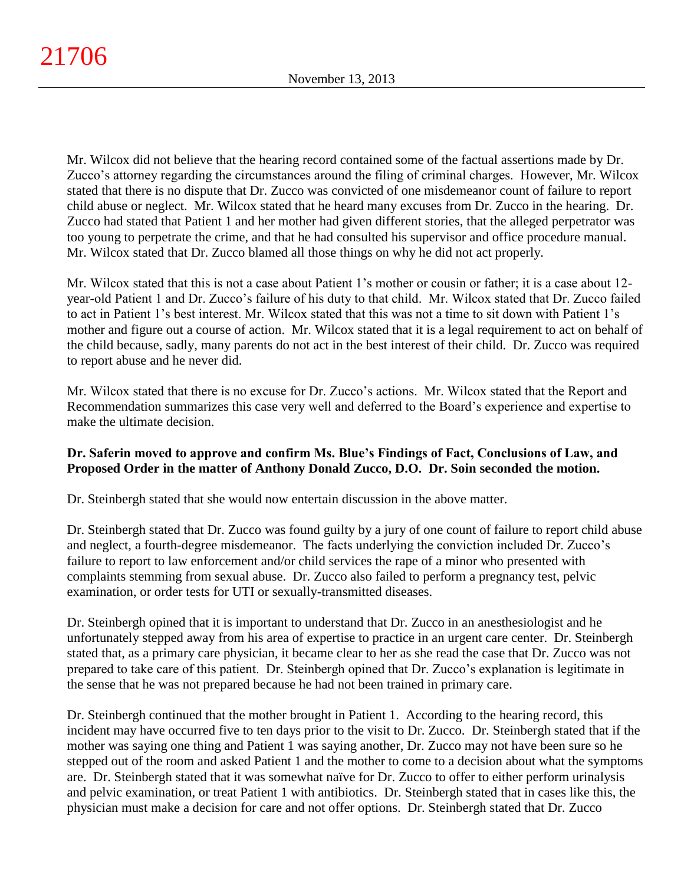Mr. Wilcox did not believe that the hearing record contained some of the factual assertions made by Dr. Zucco's attorney regarding the circumstances around the filing of criminal charges. However, Mr. Wilcox stated that there is no dispute that Dr. Zucco was convicted of one misdemeanor count of failure to report child abuse or neglect. Mr. Wilcox stated that he heard many excuses from Dr. Zucco in the hearing. Dr. Zucco had stated that Patient 1 and her mother had given different stories, that the alleged perpetrator was too young to perpetrate the crime, and that he had consulted his supervisor and office procedure manual. Mr. Wilcox stated that Dr. Zucco blamed all those things on why he did not act properly.

Mr. Wilcox stated that this is not a case about Patient 1's mother or cousin or father; it is a case about 12 year-old Patient 1 and Dr. Zucco's failure of his duty to that child. Mr. Wilcox stated that Dr. Zucco failed to act in Patient 1's best interest. Mr. Wilcox stated that this was not a time to sit down with Patient 1's mother and figure out a course of action. Mr. Wilcox stated that it is a legal requirement to act on behalf of the child because, sadly, many parents do not act in the best interest of their child. Dr. Zucco was required to report abuse and he never did.

Mr. Wilcox stated that there is no excuse for Dr. Zucco's actions. Mr. Wilcox stated that the Report and Recommendation summarizes this case very well and deferred to the Board's experience and expertise to make the ultimate decision.

## **Dr. Saferin moved to approve and confirm Ms. Blue's Findings of Fact, Conclusions of Law, and Proposed Order in the matter of Anthony Donald Zucco, D.O. Dr. Soin seconded the motion.**

Dr. Steinbergh stated that she would now entertain discussion in the above matter.

Dr. Steinbergh stated that Dr. Zucco was found guilty by a jury of one count of failure to report child abuse and neglect, a fourth-degree misdemeanor. The facts underlying the conviction included Dr. Zucco's failure to report to law enforcement and/or child services the rape of a minor who presented with complaints stemming from sexual abuse. Dr. Zucco also failed to perform a pregnancy test, pelvic examination, or order tests for UTI or sexually-transmitted diseases.

Dr. Steinbergh opined that it is important to understand that Dr. Zucco in an anesthesiologist and he unfortunately stepped away from his area of expertise to practice in an urgent care center. Dr. Steinbergh stated that, as a primary care physician, it became clear to her as she read the case that Dr. Zucco was not prepared to take care of this patient. Dr. Steinbergh opined that Dr. Zucco's explanation is legitimate in the sense that he was not prepared because he had not been trained in primary care.

Dr. Steinbergh continued that the mother brought in Patient 1. According to the hearing record, this incident may have occurred five to ten days prior to the visit to Dr. Zucco. Dr. Steinbergh stated that if the mother was saying one thing and Patient 1 was saying another, Dr. Zucco may not have been sure so he stepped out of the room and asked Patient 1 and the mother to come to a decision about what the symptoms are. Dr. Steinbergh stated that it was somewhat naïve for Dr. Zucco to offer to either perform urinalysis and pelvic examination, or treat Patient 1 with antibiotics. Dr. Steinbergh stated that in cases like this, the physician must make a decision for care and not offer options. Dr. Steinbergh stated that Dr. Zucco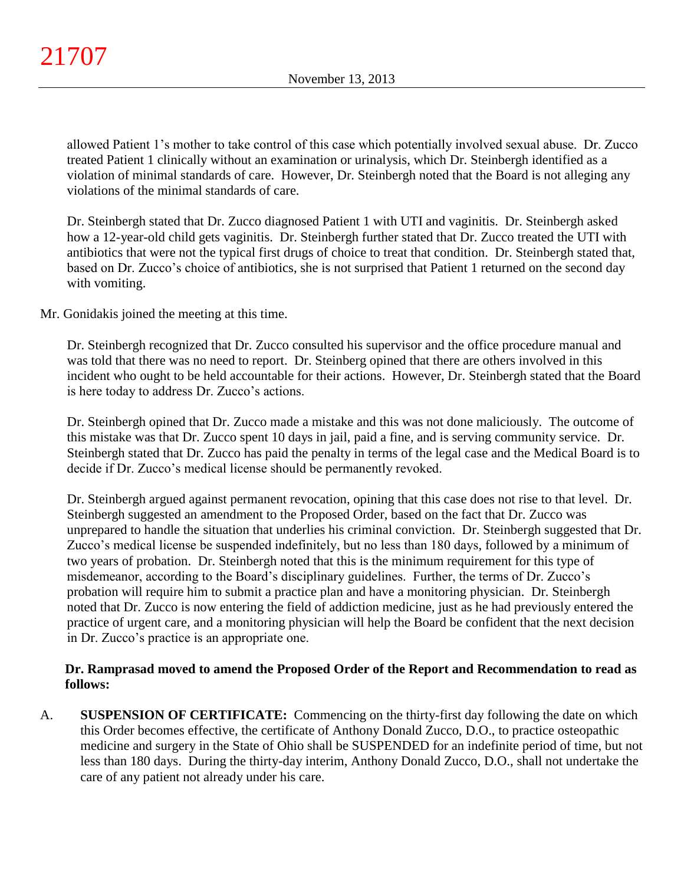allowed Patient 1's mother to take control of this case which potentially involved sexual abuse. Dr. Zucco treated Patient 1 clinically without an examination or urinalysis, which Dr. Steinbergh identified as a violation of minimal standards of care. However, Dr. Steinbergh noted that the Board is not alleging any violations of the minimal standards of care.

Dr. Steinbergh stated that Dr. Zucco diagnosed Patient 1 with UTI and vaginitis. Dr. Steinbergh asked how a 12-year-old child gets vaginitis. Dr. Steinbergh further stated that Dr. Zucco treated the UTI with antibiotics that were not the typical first drugs of choice to treat that condition. Dr. Steinbergh stated that, based on Dr. Zucco's choice of antibiotics, she is not surprised that Patient 1 returned on the second day with vomiting.

Mr. Gonidakis joined the meeting at this time.

Dr. Steinbergh recognized that Dr. Zucco consulted his supervisor and the office procedure manual and was told that there was no need to report. Dr. Steinberg opined that there are others involved in this incident who ought to be held accountable for their actions. However, Dr. Steinbergh stated that the Board is here today to address Dr. Zucco's actions.

Dr. Steinbergh opined that Dr. Zucco made a mistake and this was not done maliciously. The outcome of this mistake was that Dr. Zucco spent 10 days in jail, paid a fine, and is serving community service. Dr. Steinbergh stated that Dr. Zucco has paid the penalty in terms of the legal case and the Medical Board is to decide if Dr. Zucco's medical license should be permanently revoked.

Dr. Steinbergh argued against permanent revocation, opining that this case does not rise to that level. Dr. Steinbergh suggested an amendment to the Proposed Order, based on the fact that Dr. Zucco was unprepared to handle the situation that underlies his criminal conviction. Dr. Steinbergh suggested that Dr. Zucco's medical license be suspended indefinitely, but no less than 180 days, followed by a minimum of two years of probation. Dr. Steinbergh noted that this is the minimum requirement for this type of misdemeanor, according to the Board's disciplinary guidelines. Further, the terms of Dr. Zucco's probation will require him to submit a practice plan and have a monitoring physician. Dr. Steinbergh noted that Dr. Zucco is now entering the field of addiction medicine, just as he had previously entered the practice of urgent care, and a monitoring physician will help the Board be confident that the next decision in Dr. Zucco's practice is an appropriate one.

## **Dr. Ramprasad moved to amend the Proposed Order of the Report and Recommendation to read as follows:**

A. **SUSPENSION OF CERTIFICATE:** Commencing on the thirty-first day following the date on which this Order becomes effective, the certificate of Anthony Donald Zucco, D.O., to practice osteopathic medicine and surgery in the State of Ohio shall be SUSPENDED for an indefinite period of time, but not less than 180 days. During the thirty-day interim, Anthony Donald Zucco, D.O., shall not undertake the care of any patient not already under his care.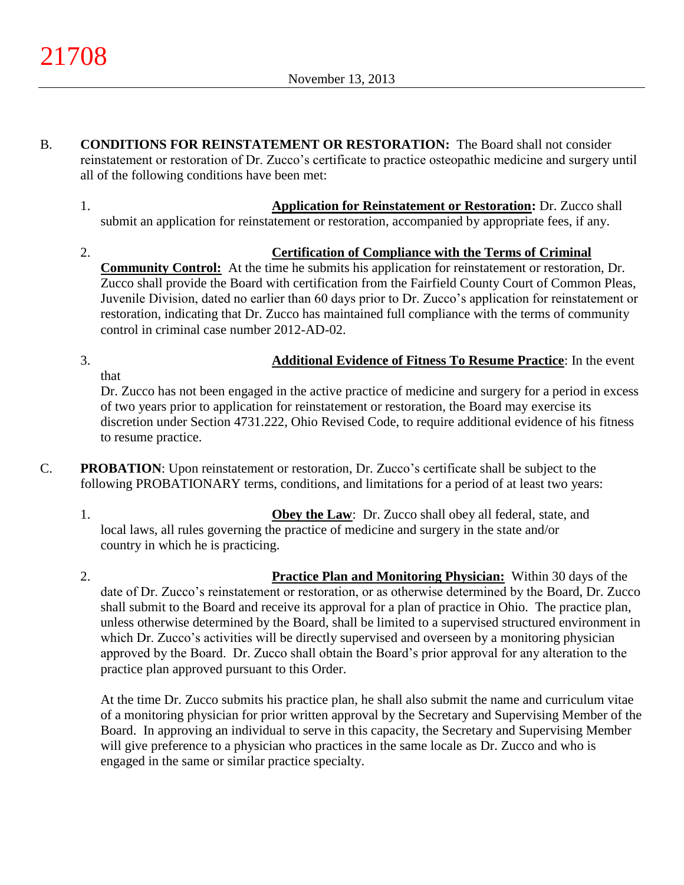- B. **CONDITIONS FOR REINSTATEMENT OR RESTORATION:** The Board shall not consider reinstatement or restoration of Dr. Zucco's certificate to practice osteopathic medicine and surgery until all of the following conditions have been met:
	- 1. **Application for Reinstatement or Restoration:** Dr. Zucco shall submit an application for reinstatement or restoration, accompanied by appropriate fees, if any.
	- 2. **Certification of Compliance with the Terms of Criminal Community Control:** At the time he submits his application for reinstatement or restoration, Dr. Zucco shall provide the Board with certification from the Fairfield County Court of Common Pleas, Juvenile Division, dated no earlier than 60 days prior to Dr. Zucco's application for reinstatement or restoration, indicating that Dr. Zucco has maintained full compliance with the terms of community control in criminal case number 2012-AD-02.
	- 3. **Additional Evidence of Fitness To Resume Practice**: In the event that

Dr. Zucco has not been engaged in the active practice of medicine and surgery for a period in excess of two years prior to application for reinstatement or restoration, the Board may exercise its discretion under Section 4731.222, Ohio Revised Code, to require additional evidence of his fitness to resume practice.

- C. **PROBATION**: Upon reinstatement or restoration, Dr. Zucco's certificate shall be subject to the following PROBATIONARY terms, conditions, and limitations for a period of at least two years:
	- 1. **Obey the Law**: Dr. Zucco shall obey all federal, state, and local laws, all rules governing the practice of medicine and surgery in the state and/or country in which he is practicing.
	- 2. **Practice Plan and Monitoring Physician:** Within 30 days of the date of Dr. Zucco's reinstatement or restoration, or as otherwise determined by the Board, Dr. Zucco shall submit to the Board and receive its approval for a plan of practice in Ohio. The practice plan, unless otherwise determined by the Board, shall be limited to a supervised structured environment in which Dr. Zucco's activities will be directly supervised and overseen by a monitoring physician approved by the Board. Dr. Zucco shall obtain the Board's prior approval for any alteration to the practice plan approved pursuant to this Order.

At the time Dr. Zucco submits his practice plan, he shall also submit the name and curriculum vitae of a monitoring physician for prior written approval by the Secretary and Supervising Member of the Board. In approving an individual to serve in this capacity, the Secretary and Supervising Member will give preference to a physician who practices in the same locale as Dr. Zucco and who is engaged in the same or similar practice specialty.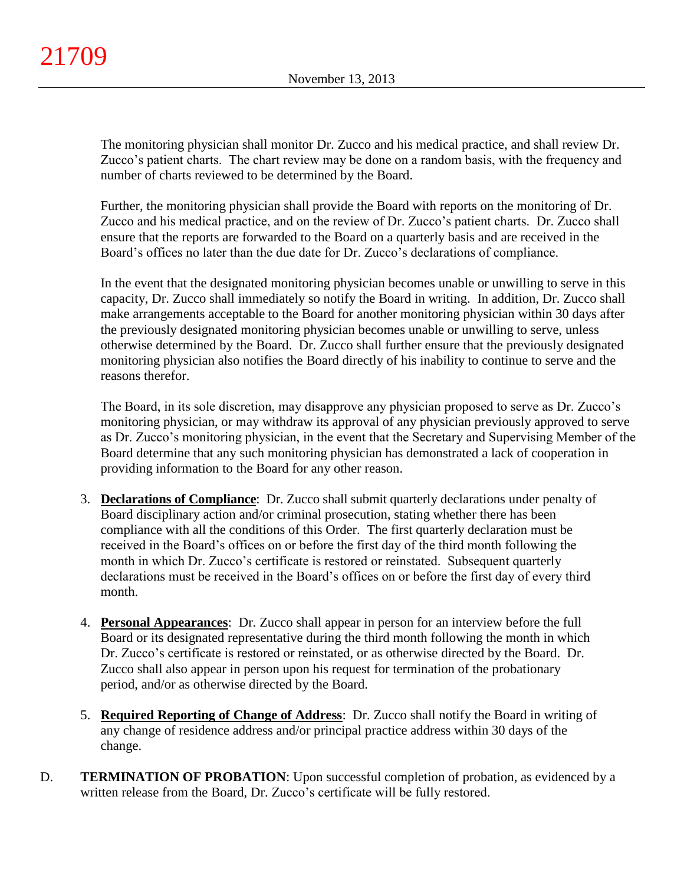The monitoring physician shall monitor Dr. Zucco and his medical practice, and shall review Dr. Zucco's patient charts. The chart review may be done on a random basis, with the frequency and number of charts reviewed to be determined by the Board.

Further, the monitoring physician shall provide the Board with reports on the monitoring of Dr. Zucco and his medical practice, and on the review of Dr. Zucco's patient charts. Dr. Zucco shall ensure that the reports are forwarded to the Board on a quarterly basis and are received in the Board's offices no later than the due date for Dr. Zucco's declarations of compliance.

In the event that the designated monitoring physician becomes unable or unwilling to serve in this capacity, Dr. Zucco shall immediately so notify the Board in writing. In addition, Dr. Zucco shall make arrangements acceptable to the Board for another monitoring physician within 30 days after the previously designated monitoring physician becomes unable or unwilling to serve, unless otherwise determined by the Board. Dr. Zucco shall further ensure that the previously designated monitoring physician also notifies the Board directly of his inability to continue to serve and the reasons therefor.

The Board, in its sole discretion, may disapprove any physician proposed to serve as Dr. Zucco's monitoring physician, or may withdraw its approval of any physician previously approved to serve as Dr. Zucco's monitoring physician, in the event that the Secretary and Supervising Member of the Board determine that any such monitoring physician has demonstrated a lack of cooperation in providing information to the Board for any other reason.

- 3. **Declarations of Compliance**: Dr. Zucco shall submit quarterly declarations under penalty of Board disciplinary action and/or criminal prosecution, stating whether there has been compliance with all the conditions of this Order. The first quarterly declaration must be received in the Board's offices on or before the first day of the third month following the month in which Dr. Zucco's certificate is restored or reinstated. Subsequent quarterly declarations must be received in the Board's offices on or before the first day of every third month.
- 4. **Personal Appearances**: Dr. Zucco shall appear in person for an interview before the full Board or its designated representative during the third month following the month in which Dr. Zucco's certificate is restored or reinstated, or as otherwise directed by the Board. Dr. Zucco shall also appear in person upon his request for termination of the probationary period, and/or as otherwise directed by the Board.
- 5. **Required Reporting of Change of Address**: Dr. Zucco shall notify the Board in writing of any change of residence address and/or principal practice address within 30 days of the change.
- D. **TERMINATION OF PROBATION**: Upon successful completion of probation, as evidenced by a written release from the Board, Dr. Zucco's certificate will be fully restored.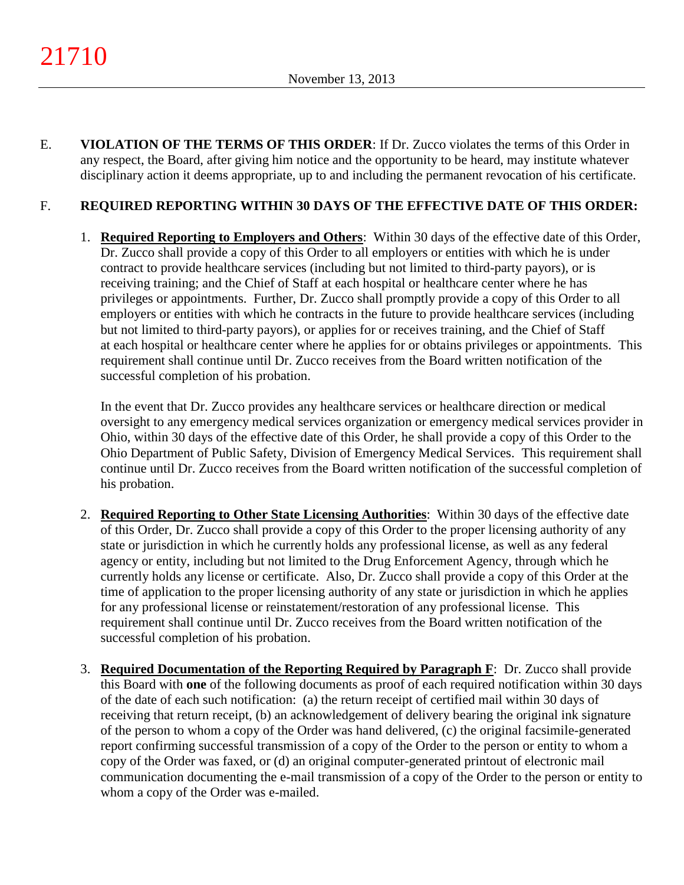E. **VIOLATION OF THE TERMS OF THIS ORDER**: If Dr. Zucco violates the terms of this Order in any respect, the Board, after giving him notice and the opportunity to be heard, may institute whatever disciplinary action it deems appropriate, up to and including the permanent revocation of his certificate.

# F. **REQUIRED REPORTING WITHIN 30 DAYS OF THE EFFECTIVE DATE OF THIS ORDER:**

1. **Required Reporting to Employers and Others**: Within 30 days of the effective date of this Order, Dr. Zucco shall provide a copy of this Order to all employers or entities with which he is under contract to provide healthcare services (including but not limited to third-party payors), or is receiving training; and the Chief of Staff at each hospital or healthcare center where he has privileges or appointments. Further, Dr. Zucco shall promptly provide a copy of this Order to all employers or entities with which he contracts in the future to provide healthcare services (including but not limited to third-party payors), or applies for or receives training, and the Chief of Staff at each hospital or healthcare center where he applies for or obtains privileges or appointments. This requirement shall continue until Dr. Zucco receives from the Board written notification of the successful completion of his probation.

In the event that Dr. Zucco provides any healthcare services or healthcare direction or medical oversight to any emergency medical services organization or emergency medical services provider in Ohio, within 30 days of the effective date of this Order, he shall provide a copy of this Order to the Ohio Department of Public Safety, Division of Emergency Medical Services. This requirement shall continue until Dr. Zucco receives from the Board written notification of the successful completion of his probation.

- 2. **Required Reporting to Other State Licensing Authorities**: Within 30 days of the effective date of this Order, Dr. Zucco shall provide a copy of this Order to the proper licensing authority of any state or jurisdiction in which he currently holds any professional license, as well as any federal agency or entity, including but not limited to the Drug Enforcement Agency, through which he currently holds any license or certificate. Also, Dr. Zucco shall provide a copy of this Order at the time of application to the proper licensing authority of any state or jurisdiction in which he applies for any professional license or reinstatement/restoration of any professional license. This requirement shall continue until Dr. Zucco receives from the Board written notification of the successful completion of his probation.
- 3. **Required Documentation of the Reporting Required by Paragraph F**: Dr. Zucco shall provide this Board with **one** of the following documents as proof of each required notification within 30 days of the date of each such notification: (a) the return receipt of certified mail within 30 days of receiving that return receipt, (b) an acknowledgement of delivery bearing the original ink signature of the person to whom a copy of the Order was hand delivered, (c) the original facsimile-generated report confirming successful transmission of a copy of the Order to the person or entity to whom a copy of the Order was faxed, or (d) an original computer-generated printout of electronic mail communication documenting the e-mail transmission of a copy of the Order to the person or entity to whom a copy of the Order was e-mailed.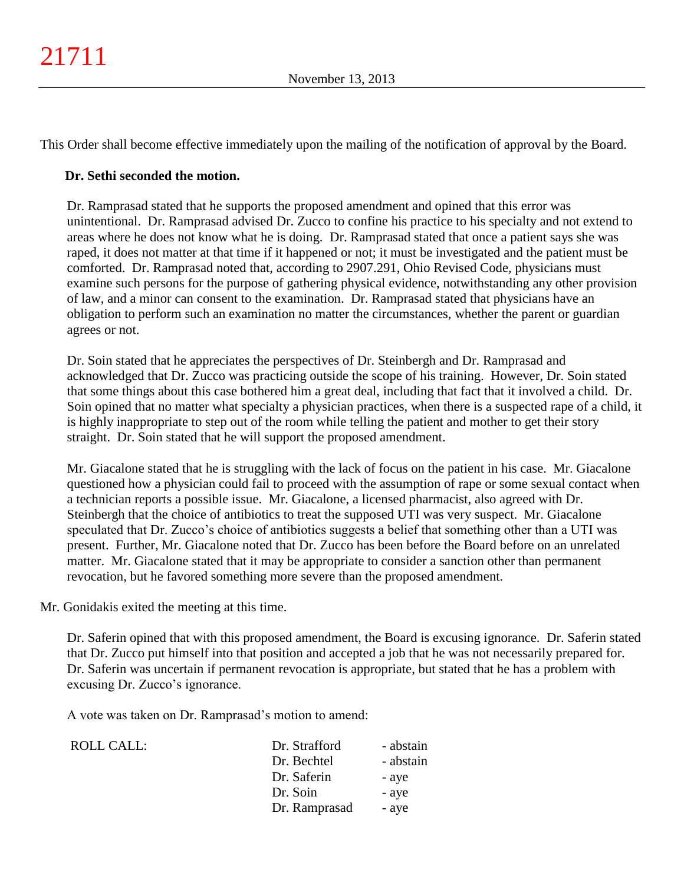This Order shall become effective immediately upon the mailing of the notification of approval by the Board.

## **Dr. Sethi seconded the motion.**

Dr. Ramprasad stated that he supports the proposed amendment and opined that this error was unintentional. Dr. Ramprasad advised Dr. Zucco to confine his practice to his specialty and not extend to areas where he does not know what he is doing. Dr. Ramprasad stated that once a patient says she was raped, it does not matter at that time if it happened or not; it must be investigated and the patient must be comforted. Dr. Ramprasad noted that, according to 2907.291, Ohio Revised Code, physicians must examine such persons for the purpose of gathering physical evidence, notwithstanding any other provision of law, and a minor can consent to the examination. Dr. Ramprasad stated that physicians have an obligation to perform such an examination no matter the circumstances, whether the parent or guardian agrees or not.

Dr. Soin stated that he appreciates the perspectives of Dr. Steinbergh and Dr. Ramprasad and acknowledged that Dr. Zucco was practicing outside the scope of his training. However, Dr. Soin stated that some things about this case bothered him a great deal, including that fact that it involved a child. Dr. Soin opined that no matter what specialty a physician practices, when there is a suspected rape of a child, it is highly inappropriate to step out of the room while telling the patient and mother to get their story straight. Dr. Soin stated that he will support the proposed amendment.

Mr. Giacalone stated that he is struggling with the lack of focus on the patient in his case. Mr. Giacalone questioned how a physician could fail to proceed with the assumption of rape or some sexual contact when a technician reports a possible issue. Mr. Giacalone, a licensed pharmacist, also agreed with Dr. Steinbergh that the choice of antibiotics to treat the supposed UTI was very suspect. Mr. Giacalone speculated that Dr. Zucco's choice of antibiotics suggests a belief that something other than a UTI was present. Further, Mr. Giacalone noted that Dr. Zucco has been before the Board before on an unrelated matter. Mr. Giacalone stated that it may be appropriate to consider a sanction other than permanent revocation, but he favored something more severe than the proposed amendment.

Mr. Gonidakis exited the meeting at this time.

Dr. Saferin opined that with this proposed amendment, the Board is excusing ignorance. Dr. Saferin stated that Dr. Zucco put himself into that position and accepted a job that he was not necessarily prepared for. Dr. Saferin was uncertain if permanent revocation is appropriate, but stated that he has a problem with excusing Dr. Zucco's ignorance.

A vote was taken on Dr. Ramprasad's motion to amend:

| ROLL CALL: | Dr. Strafford | - abstain |
|------------|---------------|-----------|
|            | Dr. Bechtel   | - abstain |
|            | Dr. Saferin   | - aye     |
|            | Dr. Soin      | - aye     |
|            | Dr. Ramprasad | - aye     |
|            |               |           |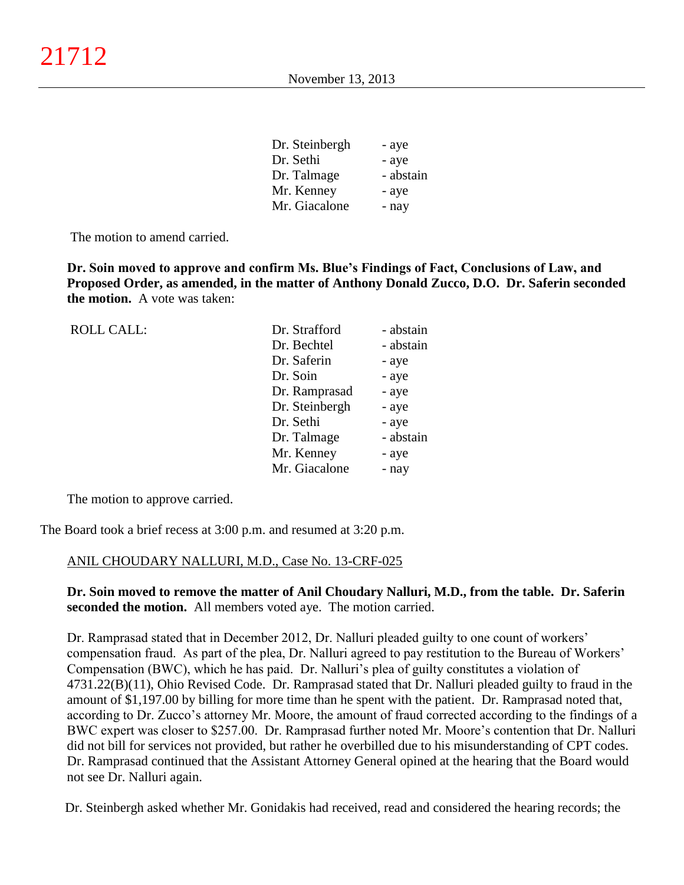| Dr. Steinbergh | - aye     |
|----------------|-----------|
| Dr. Sethi      | - aye     |
| Dr. Talmage    | - abstain |
| Mr. Kenney     | - aye     |
| Mr. Giacalone  | - nay     |

The motion to amend carried.

**Dr. Soin moved to approve and confirm Ms. Blue's Findings of Fact, Conclusions of Law, and Proposed Order, as amended, in the matter of Anthony Donald Zucco, D.O. Dr. Saferin seconded the motion.** A vote was taken:

| <b>ROLL CALL:</b> | Dr. Strafford  | - abstain |
|-------------------|----------------|-----------|
|                   | Dr. Bechtel    | - abstain |
|                   | Dr. Saferin    | - aye     |
|                   | Dr. Soin       | - aye     |
|                   | Dr. Ramprasad  | - aye     |
|                   | Dr. Steinbergh | - aye     |
|                   | Dr. Sethi      | - aye     |
|                   | Dr. Talmage    | - abstain |
|                   | Mr. Kenney     | - aye     |
|                   | Mr. Giacalone  | - nay     |
|                   |                |           |

The motion to approve carried.

The Board took a brief recess at 3:00 p.m. and resumed at 3:20 p.m.

### ANIL CHOUDARY NALLURI, M.D., Case No. 13-CRF-025

**Dr. Soin moved to remove the matter of Anil Choudary Nalluri, M.D., from the table. Dr. Saferin seconded the motion.** All members voted aye. The motion carried.

Dr. Ramprasad stated that in December 2012, Dr. Nalluri pleaded guilty to one count of workers' compensation fraud. As part of the plea, Dr. Nalluri agreed to pay restitution to the Bureau of Workers' Compensation (BWC), which he has paid. Dr. Nalluri's plea of guilty constitutes a violation of 4731.22(B)(11), Ohio Revised Code. Dr. Ramprasad stated that Dr. Nalluri pleaded guilty to fraud in the amount of \$1,197.00 by billing for more time than he spent with the patient. Dr. Ramprasad noted that, according to Dr. Zucco's attorney Mr. Moore, the amount of fraud corrected according to the findings of a BWC expert was closer to \$257.00. Dr. Ramprasad further noted Mr. Moore's contention that Dr. Nalluri did not bill for services not provided, but rather he overbilled due to his misunderstanding of CPT codes. Dr. Ramprasad continued that the Assistant Attorney General opined at the hearing that the Board would not see Dr. Nalluri again.

Dr. Steinbergh asked whether Mr. Gonidakis had received, read and considered the hearing records; the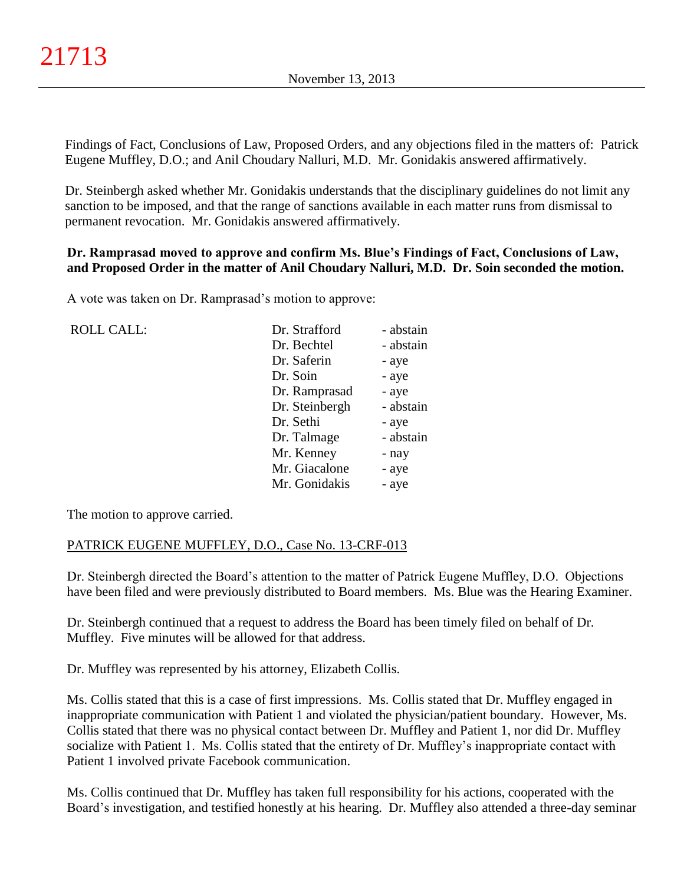Findings of Fact, Conclusions of Law, Proposed Orders, and any objections filed in the matters of: Patrick Eugene Muffley, D.O.; and Anil Choudary Nalluri, M.D. Mr. Gonidakis answered affirmatively.

Dr. Steinbergh asked whether Mr. Gonidakis understands that the disciplinary guidelines do not limit any sanction to be imposed, and that the range of sanctions available in each matter runs from dismissal to permanent revocation. Mr. Gonidakis answered affirmatively.

### **Dr. Ramprasad moved to approve and confirm Ms. Blue's Findings of Fact, Conclusions of Law, and Proposed Order in the matter of Anil Choudary Nalluri, M.D. Dr. Soin seconded the motion.**

A vote was taken on Dr. Ramprasad's motion to approve:

| <b>ROLL CALL:</b> | Dr. Strafford  | - abstain |
|-------------------|----------------|-----------|
|                   | Dr. Bechtel    | - abstain |
|                   | Dr. Saferin    | - aye     |
|                   | Dr. Soin       | - aye     |
|                   | Dr. Ramprasad  | - aye     |
|                   | Dr. Steinbergh | - abstain |
|                   | Dr. Sethi      | - aye     |
|                   | Dr. Talmage    | - abstain |
|                   | Mr. Kenney     | - nay     |
|                   | Mr. Giacalone  | - aye     |
|                   | Mr. Gonidakis  | - aye     |

The motion to approve carried.

## PATRICK EUGENE MUFFLEY, D.O., Case No. 13-CRF-013

Dr. Steinbergh directed the Board's attention to the matter of Patrick Eugene Muffley, D.O. Objections have been filed and were previously distributed to Board members. Ms. Blue was the Hearing Examiner.

Dr. Steinbergh continued that a request to address the Board has been timely filed on behalf of Dr. Muffley. Five minutes will be allowed for that address.

Dr. Muffley was represented by his attorney, Elizabeth Collis.

Ms. Collis stated that this is a case of first impressions. Ms. Collis stated that Dr. Muffley engaged in inappropriate communication with Patient 1 and violated the physician/patient boundary. However, Ms. Collis stated that there was no physical contact between Dr. Muffley and Patient 1, nor did Dr. Muffley socialize with Patient 1. Ms. Collis stated that the entirety of Dr. Muffley's inappropriate contact with Patient 1 involved private Facebook communication.

Ms. Collis continued that Dr. Muffley has taken full responsibility for his actions, cooperated with the Board's investigation, and testified honestly at his hearing. Dr. Muffley also attended a three-day seminar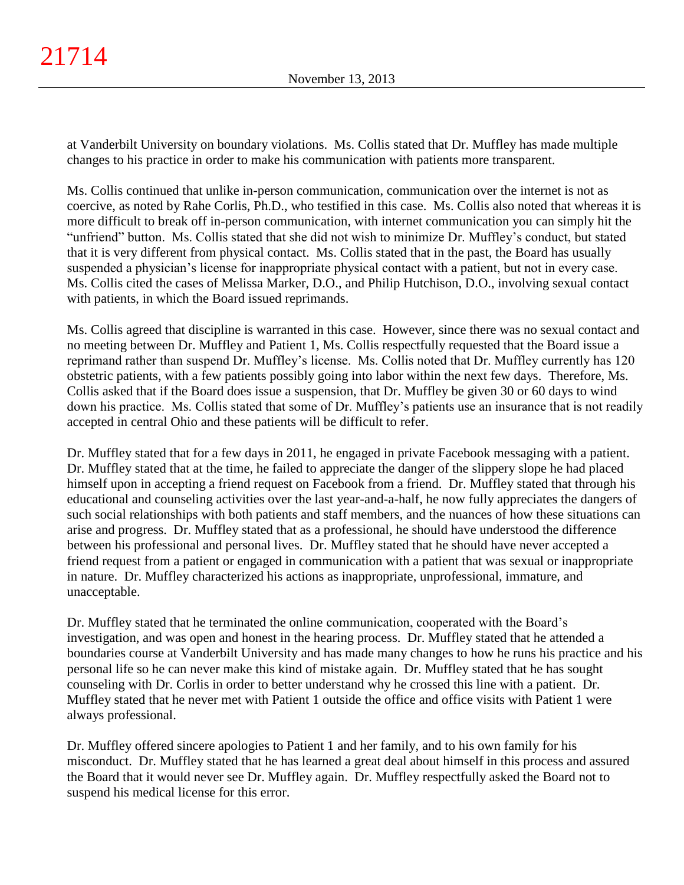at Vanderbilt University on boundary violations. Ms. Collis stated that Dr. Muffley has made multiple changes to his practice in order to make his communication with patients more transparent.

Ms. Collis continued that unlike in-person communication, communication over the internet is not as coercive, as noted by Rahe Corlis, Ph.D., who testified in this case. Ms. Collis also noted that whereas it is more difficult to break off in-person communication, with internet communication you can simply hit the "unfriend" button. Ms. Collis stated that she did not wish to minimize Dr. Muffley's conduct, but stated that it is very different from physical contact. Ms. Collis stated that in the past, the Board has usually suspended a physician's license for inappropriate physical contact with a patient, but not in every case. Ms. Collis cited the cases of Melissa Marker, D.O., and Philip Hutchison, D.O., involving sexual contact with patients, in which the Board issued reprimands.

Ms. Collis agreed that discipline is warranted in this case. However, since there was no sexual contact and no meeting between Dr. Muffley and Patient 1, Ms. Collis respectfully requested that the Board issue a reprimand rather than suspend Dr. Muffley's license. Ms. Collis noted that Dr. Muffley currently has 120 obstetric patients, with a few patients possibly going into labor within the next few days. Therefore, Ms. Collis asked that if the Board does issue a suspension, that Dr. Muffley be given 30 or 60 days to wind down his practice. Ms. Collis stated that some of Dr. Muffley's patients use an insurance that is not readily accepted in central Ohio and these patients will be difficult to refer.

Dr. Muffley stated that for a few days in 2011, he engaged in private Facebook messaging with a patient. Dr. Muffley stated that at the time, he failed to appreciate the danger of the slippery slope he had placed himself upon in accepting a friend request on Facebook from a friend. Dr. Muffley stated that through his educational and counseling activities over the last year-and-a-half, he now fully appreciates the dangers of such social relationships with both patients and staff members, and the nuances of how these situations can arise and progress. Dr. Muffley stated that as a professional, he should have understood the difference between his professional and personal lives. Dr. Muffley stated that he should have never accepted a friend request from a patient or engaged in communication with a patient that was sexual or inappropriate in nature. Dr. Muffley characterized his actions as inappropriate, unprofessional, immature, and unacceptable.

Dr. Muffley stated that he terminated the online communication, cooperated with the Board's investigation, and was open and honest in the hearing process. Dr. Muffley stated that he attended a boundaries course at Vanderbilt University and has made many changes to how he runs his practice and his personal life so he can never make this kind of mistake again. Dr. Muffley stated that he has sought counseling with Dr. Corlis in order to better understand why he crossed this line with a patient. Dr. Muffley stated that he never met with Patient 1 outside the office and office visits with Patient 1 were always professional.

Dr. Muffley offered sincere apologies to Patient 1 and her family, and to his own family for his misconduct. Dr. Muffley stated that he has learned a great deal about himself in this process and assured the Board that it would never see Dr. Muffley again. Dr. Muffley respectfully asked the Board not to suspend his medical license for this error.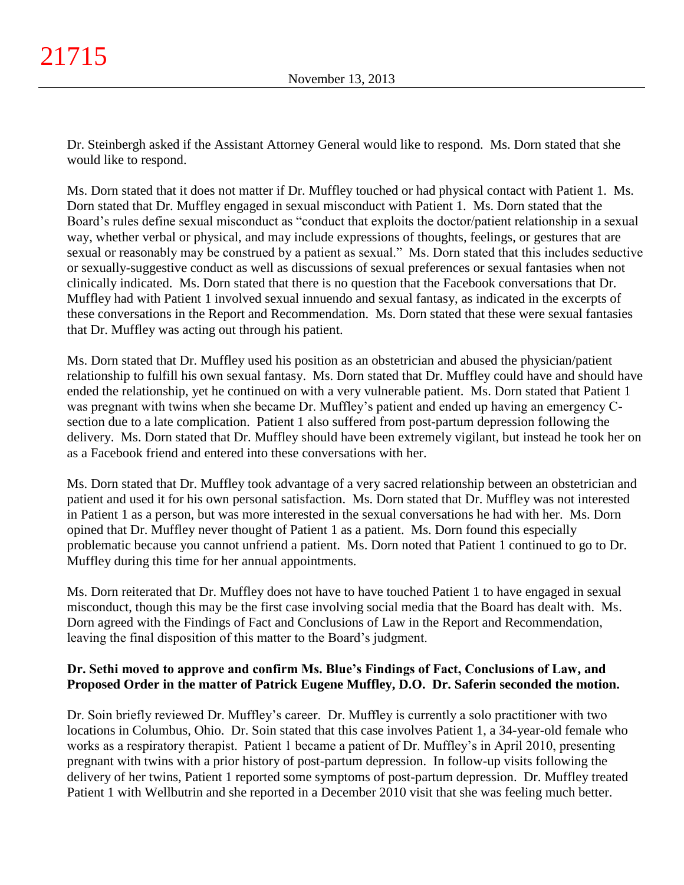Dr. Steinbergh asked if the Assistant Attorney General would like to respond. Ms. Dorn stated that she would like to respond.

Ms. Dorn stated that it does not matter if Dr. Muffley touched or had physical contact with Patient 1. Ms. Dorn stated that Dr. Muffley engaged in sexual misconduct with Patient 1. Ms. Dorn stated that the Board's rules define sexual misconduct as "conduct that exploits the doctor/patient relationship in a sexual way, whether verbal or physical, and may include expressions of thoughts, feelings, or gestures that are sexual or reasonably may be construed by a patient as sexual." Ms. Dorn stated that this includes seductive or sexually-suggestive conduct as well as discussions of sexual preferences or sexual fantasies when not clinically indicated. Ms. Dorn stated that there is no question that the Facebook conversations that Dr. Muffley had with Patient 1 involved sexual innuendo and sexual fantasy, as indicated in the excerpts of these conversations in the Report and Recommendation. Ms. Dorn stated that these were sexual fantasies that Dr. Muffley was acting out through his patient.

Ms. Dorn stated that Dr. Muffley used his position as an obstetrician and abused the physician/patient relationship to fulfill his own sexual fantasy. Ms. Dorn stated that Dr. Muffley could have and should have ended the relationship, yet he continued on with a very vulnerable patient. Ms. Dorn stated that Patient 1 was pregnant with twins when she became Dr. Muffley's patient and ended up having an emergency Csection due to a late complication. Patient 1 also suffered from post-partum depression following the delivery. Ms. Dorn stated that Dr. Muffley should have been extremely vigilant, but instead he took her on as a Facebook friend and entered into these conversations with her.

Ms. Dorn stated that Dr. Muffley took advantage of a very sacred relationship between an obstetrician and patient and used it for his own personal satisfaction. Ms. Dorn stated that Dr. Muffley was not interested in Patient 1 as a person, but was more interested in the sexual conversations he had with her. Ms. Dorn opined that Dr. Muffley never thought of Patient 1 as a patient. Ms. Dorn found this especially problematic because you cannot unfriend a patient. Ms. Dorn noted that Patient 1 continued to go to Dr. Muffley during this time for her annual appointments.

Ms. Dorn reiterated that Dr. Muffley does not have to have touched Patient 1 to have engaged in sexual misconduct, though this may be the first case involving social media that the Board has dealt with. Ms. Dorn agreed with the Findings of Fact and Conclusions of Law in the Report and Recommendation, leaving the final disposition of this matter to the Board's judgment.

# **Dr. Sethi moved to approve and confirm Ms. Blue's Findings of Fact, Conclusions of Law, and Proposed Order in the matter of Patrick Eugene Muffley, D.O. Dr. Saferin seconded the motion.**

Dr. Soin briefly reviewed Dr. Muffley's career. Dr. Muffley is currently a solo practitioner with two locations in Columbus, Ohio. Dr. Soin stated that this case involves Patient 1, a 34-year-old female who works as a respiratory therapist. Patient 1 became a patient of Dr. Muffley's in April 2010, presenting pregnant with twins with a prior history of post-partum depression. In follow-up visits following the delivery of her twins, Patient 1 reported some symptoms of post-partum depression. Dr. Muffley treated Patient 1 with Wellbutrin and she reported in a December 2010 visit that she was feeling much better.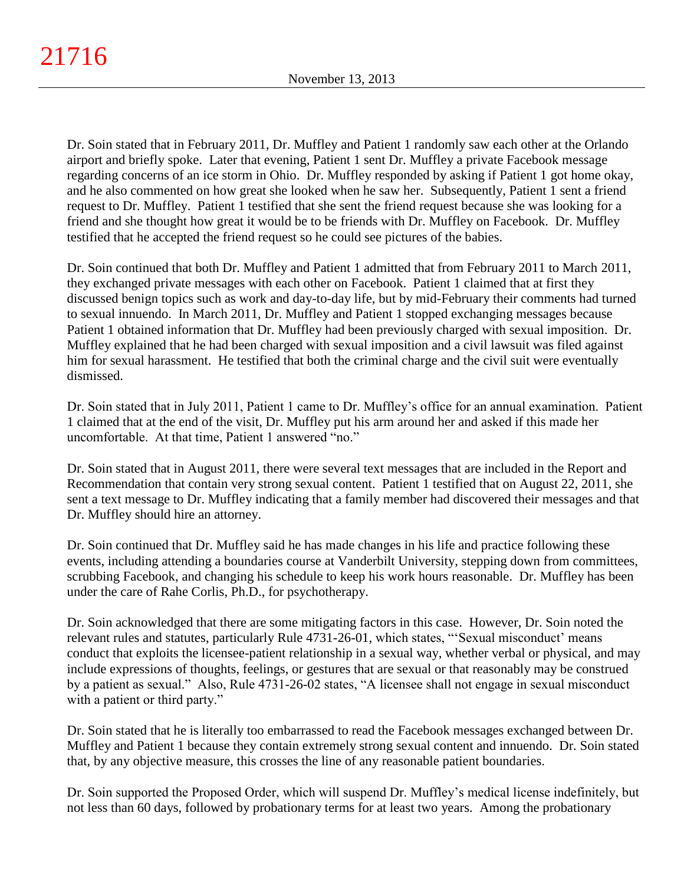Dr. Soin stated that in February 2011, Dr. Muffley and Patient 1 randomly saw each other at the Orlando airport and briefly spoke. Later that evening, Patient 1 sent Dr. Muffley a private Facebook message regarding concerns of an ice storm in Ohio. Dr. Muffley responded by asking if Patient 1 got home okay, and he also commented on how great she looked when he saw her. Subsequently, Patient 1 sent a friend request to Dr. Muffley. Patient 1 testified that she sent the friend request because she was looking for a friend and she thought how great it would be to be friends with Dr. Muffley on Facebook. Dr. Muffley testified that he accepted the friend request so he could see pictures of the babies.

Dr. Soin continued that both Dr. Muffley and Patient 1 admitted that from February 2011 to March 2011, they exchanged private messages with each other on Facebook. Patient 1 claimed that at first they discussed benign topics such as work and day-to-day life, but by mid-February their comments had turned to sexual innuendo. In March 2011, Dr. Muffley and Patient 1 stopped exchanging messages because Patient 1 obtained information that Dr. Muffley had been previously charged with sexual imposition. Dr. Muffley explained that he had been charged with sexual imposition and a civil lawsuit was filed against him for sexual harassment. He testified that both the criminal charge and the civil suit were eventually dismissed.

Dr. Soin stated that in July 2011, Patient 1 came to Dr. Muffley's office for an annual examination. Patient 1 claimed that at the end of the visit, Dr. Muffley put his arm around her and asked if this made her uncomfortable. At that time, Patient 1 answered "no."

Dr. Soin stated that in August 2011, there were several text messages that are included in the Report and Recommendation that contain very strong sexual content. Patient 1 testified that on August 22, 2011, she sent a text message to Dr. Muffley indicating that a family member had discovered their messages and that Dr. Muffley should hire an attorney.

Dr. Soin continued that Dr. Muffley said he has made changes in his life and practice following these events, including attending a boundaries course at Vanderbilt University, stepping down from committees, scrubbing Facebook, and changing his schedule to keep his work hours reasonable. Dr. Muffley has been under the care of Rahe Corlis, Ph.D., for psychotherapy.

Dr. Soin acknowledged that there are some mitigating factors in this case. However, Dr. Soin noted the relevant rules and statutes, particularly Rule 4731-26-01, which states, "'Sexual misconduct' means conduct that exploits the licensee-patient relationship in a sexual way, whether verbal or physical, and may include expressions of thoughts, feelings, or gestures that are sexual or that reasonably may be construed by a patient as sexual." Also, Rule 4731-26-02 states, "A licensee shall not engage in sexual misconduct with a patient or third party."

Dr. Soin stated that he is literally too embarrassed to read the Facebook messages exchanged between Dr. Muffley and Patient 1 because they contain extremely strong sexual content and innuendo. Dr. Soin stated that, by any objective measure, this crosses the line of any reasonable patient boundaries.

Dr. Soin supported the Proposed Order, which will suspend Dr. Muffley's medical license indefinitely, but not less than 60 days, followed by probationary terms for at least two years. Among the probationary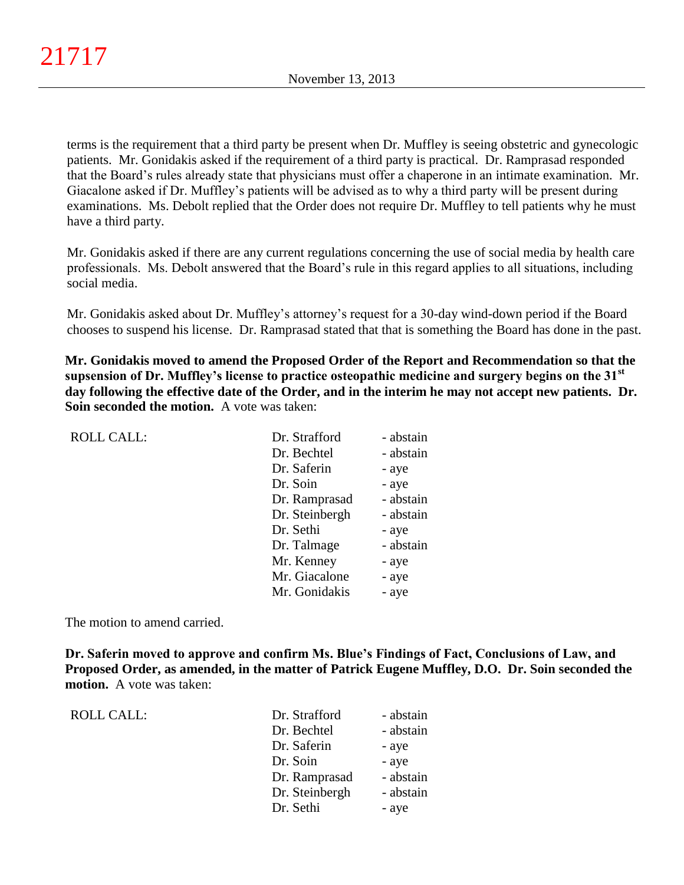terms is the requirement that a third party be present when Dr. Muffley is seeing obstetric and gynecologic patients. Mr. Gonidakis asked if the requirement of a third party is practical. Dr. Ramprasad responded that the Board's rules already state that physicians must offer a chaperone in an intimate examination. Mr. Giacalone asked if Dr. Muffley's patients will be advised as to why a third party will be present during examinations. Ms. Debolt replied that the Order does not require Dr. Muffley to tell patients why he must have a third party.

Mr. Gonidakis asked if there are any current regulations concerning the use of social media by health care professionals. Ms. Debolt answered that the Board's rule in this regard applies to all situations, including social media.

Mr. Gonidakis asked about Dr. Muffley's attorney's request for a 30-day wind-down period if the Board chooses to suspend his license. Dr. Ramprasad stated that that is something the Board has done in the past.

**Mr. Gonidakis moved to amend the Proposed Order of the Report and Recommendation so that the supsension of Dr. Muffley's license to practice osteopathic medicine and surgery begins on the 31st day following the effective date of the Order, and in the interim he may not accept new patients. Dr. Soin seconded the motion.** A vote was taken:

| <b>ROLL CALL:</b> | Dr. Strafford  | - abstain |
|-------------------|----------------|-----------|
|                   | Dr. Bechtel    | - abstain |
|                   | Dr. Saferin    | - aye     |
|                   | Dr. Soin       | - aye     |
|                   | Dr. Ramprasad  | - abstain |
|                   | Dr. Steinbergh | - abstain |
|                   | Dr. Sethi      | - aye     |
|                   | Dr. Talmage    | - abstain |
|                   | Mr. Kenney     | - aye     |
|                   | Mr. Giacalone  | - aye     |
|                   | Mr. Gonidakis  | - aye     |

The motion to amend carried.

**Dr. Saferin moved to approve and confirm Ms. Blue's Findings of Fact, Conclusions of Law, and Proposed Order, as amended, in the matter of Patrick Eugene Muffley, D.O. Dr. Soin seconded the motion.** A vote was taken:

| ROLL CALL: |
|------------|
|------------|

| ROLL CALL: | Dr. Strafford  | - abstain |
|------------|----------------|-----------|
|            | Dr. Bechtel    | - abstain |
|            | Dr. Saferin    | - aye     |
|            | Dr. Soin       | - aye     |
|            | Dr. Ramprasad  | - abstain |
|            | Dr. Steinbergh | - abstain |
|            | Dr. Sethi      | - aye     |
|            |                |           |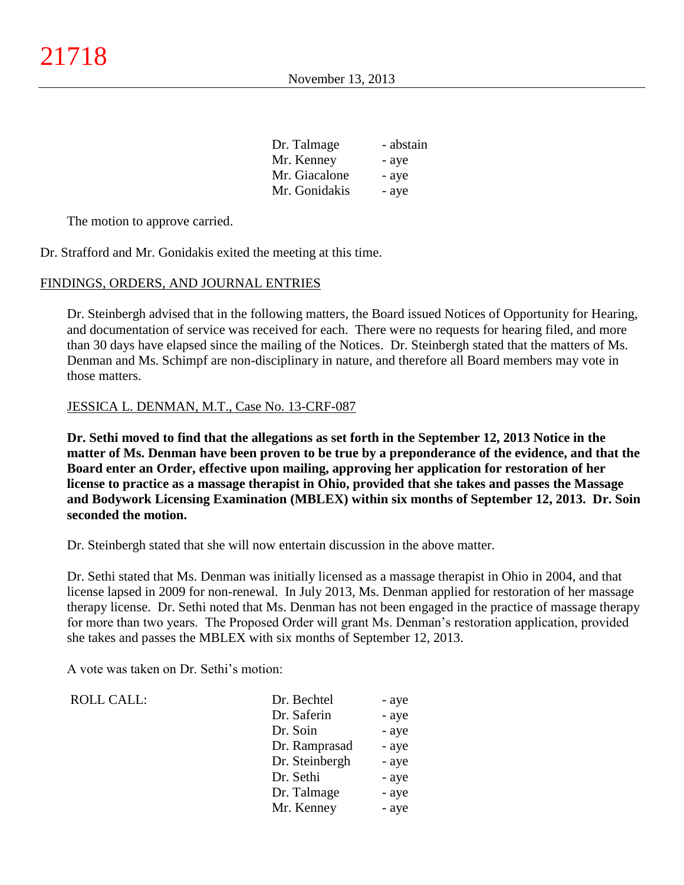| Dr. Talmage   | - abstain |
|---------------|-----------|
| Mr. Kenney    | - aye     |
| Mr. Giacalone | - aye     |
| Mr. Gonidakis | - aye     |

The motion to approve carried.

Dr. Strafford and Mr. Gonidakis exited the meeting at this time.

#### FINDINGS, ORDERS, AND JOURNAL ENTRIES

Dr. Steinbergh advised that in the following matters, the Board issued Notices of Opportunity for Hearing, and documentation of service was received for each. There were no requests for hearing filed, and more than 30 days have elapsed since the mailing of the Notices. Dr. Steinbergh stated that the matters of Ms. Denman and Ms. Schimpf are non-disciplinary in nature, and therefore all Board members may vote in those matters.

#### JESSICA L. DENMAN, M.T., Case No. 13-CRF-087

**Dr. Sethi moved to find that the allegations as set forth in the September 12, 2013 Notice in the matter of Ms. Denman have been proven to be true by a preponderance of the evidence, and that the Board enter an Order, effective upon mailing, approving her application for restoration of her license to practice as a massage therapist in Ohio, provided that she takes and passes the Massage and Bodywork Licensing Examination (MBLEX) within six months of September 12, 2013. Dr. Soin seconded the motion.**

Dr. Steinbergh stated that she will now entertain discussion in the above matter.

Dr. Sethi stated that Ms. Denman was initially licensed as a massage therapist in Ohio in 2004, and that license lapsed in 2009 for non-renewal. In July 2013, Ms. Denman applied for restoration of her massage therapy license. Dr. Sethi noted that Ms. Denman has not been engaged in the practice of massage therapy for more than two years. The Proposed Order will grant Ms. Denman's restoration application, provided she takes and passes the MBLEX with six months of September 12, 2013.

A vote was taken on Dr. Sethi's motion:

ROLL CALL:

| Dr. Bechtel    | - aye |
|----------------|-------|
| Dr. Saferin    | - aye |
| Dr. Soin       | - aye |
| Dr. Ramprasad  | - aye |
| Dr. Steinbergh | - aye |
| Dr. Sethi      | - aye |
| Dr. Talmage    | - aye |
| Mr. Kenney     | - aye |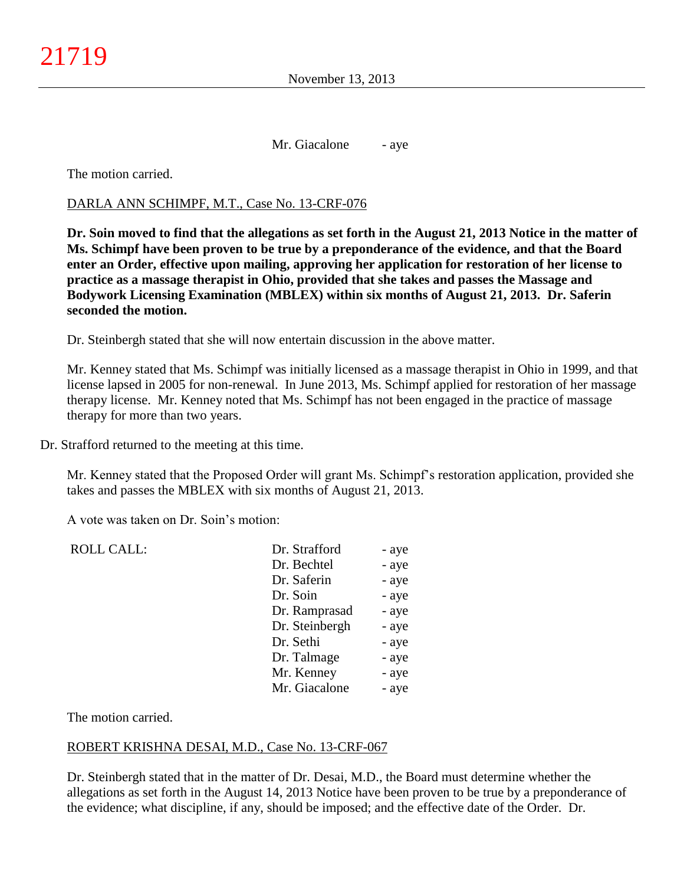Mr. Giacalone - aye

The motion carried.

### DARLA ANN SCHIMPF, M.T., Case No. 13-CRF-076

**Dr. Soin moved to find that the allegations as set forth in the August 21, 2013 Notice in the matter of Ms. Schimpf have been proven to be true by a preponderance of the evidence, and that the Board enter an Order, effective upon mailing, approving her application for restoration of her license to practice as a massage therapist in Ohio, provided that she takes and passes the Massage and Bodywork Licensing Examination (MBLEX) within six months of August 21, 2013. Dr. Saferin seconded the motion.**

Dr. Steinbergh stated that she will now entertain discussion in the above matter.

Mr. Kenney stated that Ms. Schimpf was initially licensed as a massage therapist in Ohio in 1999, and that license lapsed in 2005 for non-renewal. In June 2013, Ms. Schimpf applied for restoration of her massage therapy license. Mr. Kenney noted that Ms. Schimpf has not been engaged in the practice of massage therapy for more than two years.

Dr. Strafford returned to the meeting at this time.

Mr. Kenney stated that the Proposed Order will grant Ms. Schimpf's restoration application, provided she takes and passes the MBLEX with six months of August 21, 2013.

A vote was taken on Dr. Soin's motion:

| <b>ROLL CALL:</b> | Dr. Strafford  | - aye |
|-------------------|----------------|-------|
|                   | Dr. Bechtel    | - aye |
|                   | Dr. Saferin    | - aye |
|                   | Dr. Soin       | - aye |
|                   | Dr. Ramprasad  | - aye |
|                   | Dr. Steinbergh | - aye |
|                   | Dr. Sethi      | - aye |
|                   | Dr. Talmage    | - aye |
|                   | Mr. Kenney     | - aye |
|                   | Mr. Giacalone  | - aye |
|                   |                |       |

The motion carried.

### ROBERT KRISHNA DESAI, M.D., Case No. 13-CRF-067

Dr. Steinbergh stated that in the matter of Dr. Desai, M.D., the Board must determine whether the allegations as set forth in the August 14, 2013 Notice have been proven to be true by a preponderance of the evidence; what discipline, if any, should be imposed; and the effective date of the Order. Dr.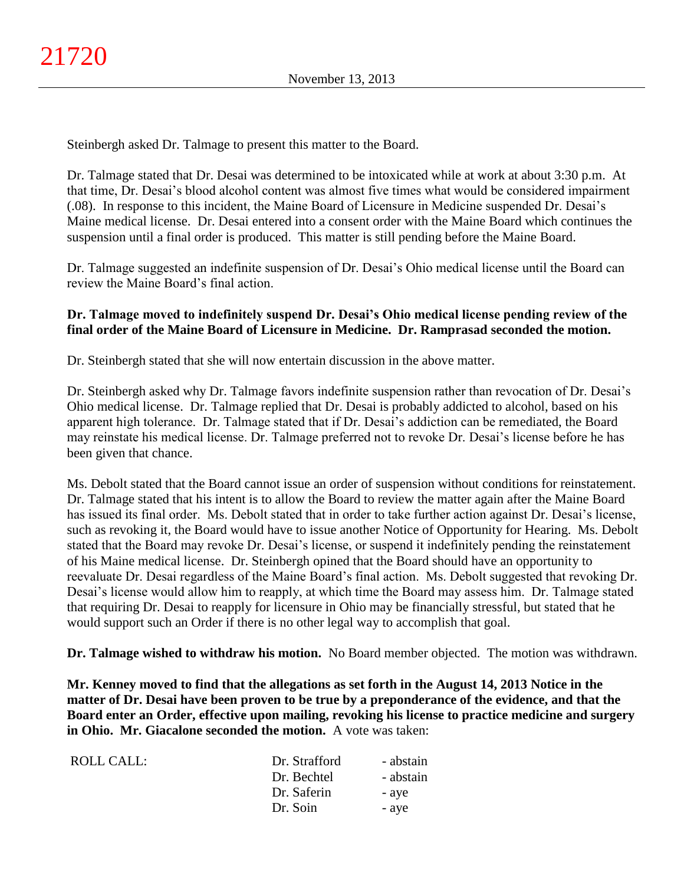Steinbergh asked Dr. Talmage to present this matter to the Board.

Dr. Talmage stated that Dr. Desai was determined to be intoxicated while at work at about 3:30 p.m. At that time, Dr. Desai's blood alcohol content was almost five times what would be considered impairment (.08). In response to this incident, the Maine Board of Licensure in Medicine suspended Dr. Desai's Maine medical license. Dr. Desai entered into a consent order with the Maine Board which continues the suspension until a final order is produced. This matter is still pending before the Maine Board.

Dr. Talmage suggested an indefinite suspension of Dr. Desai's Ohio medical license until the Board can review the Maine Board's final action.

## **Dr. Talmage moved to indefinitely suspend Dr. Desai's Ohio medical license pending review of the final order of the Maine Board of Licensure in Medicine. Dr. Ramprasad seconded the motion.**

Dr. Steinbergh stated that she will now entertain discussion in the above matter.

Dr. Steinbergh asked why Dr. Talmage favors indefinite suspension rather than revocation of Dr. Desai's Ohio medical license. Dr. Talmage replied that Dr. Desai is probably addicted to alcohol, based on his apparent high tolerance. Dr. Talmage stated that if Dr. Desai's addiction can be remediated, the Board may reinstate his medical license. Dr. Talmage preferred not to revoke Dr. Desai's license before he has been given that chance.

Ms. Debolt stated that the Board cannot issue an order of suspension without conditions for reinstatement. Dr. Talmage stated that his intent is to allow the Board to review the matter again after the Maine Board has issued its final order. Ms. Debolt stated that in order to take further action against Dr. Desai's license, such as revoking it, the Board would have to issue another Notice of Opportunity for Hearing. Ms. Debolt stated that the Board may revoke Dr. Desai's license, or suspend it indefinitely pending the reinstatement of his Maine medical license. Dr. Steinbergh opined that the Board should have an opportunity to reevaluate Dr. Desai regardless of the Maine Board's final action. Ms. Debolt suggested that revoking Dr. Desai's license would allow him to reapply, at which time the Board may assess him. Dr. Talmage stated that requiring Dr. Desai to reapply for licensure in Ohio may be financially stressful, but stated that he would support such an Order if there is no other legal way to accomplish that goal.

**Dr. Talmage wished to withdraw his motion.** No Board member objected. The motion was withdrawn.

**Mr. Kenney moved to find that the allegations as set forth in the August 14, 2013 Notice in the matter of Dr. Desai have been proven to be true by a preponderance of the evidence, and that the Board enter an Order, effective upon mailing, revoking his license to practice medicine and surgery in Ohio. Mr. Giacalone seconded the motion.** A vote was taken:

| ROLL CALL: | Dr. Strafford | - abstain |
|------------|---------------|-----------|
|            | Dr. Bechtel   | - abstain |
|            | Dr. Saferin   | - aye     |
|            | Dr. Soin      | - aye     |
|            |               |           |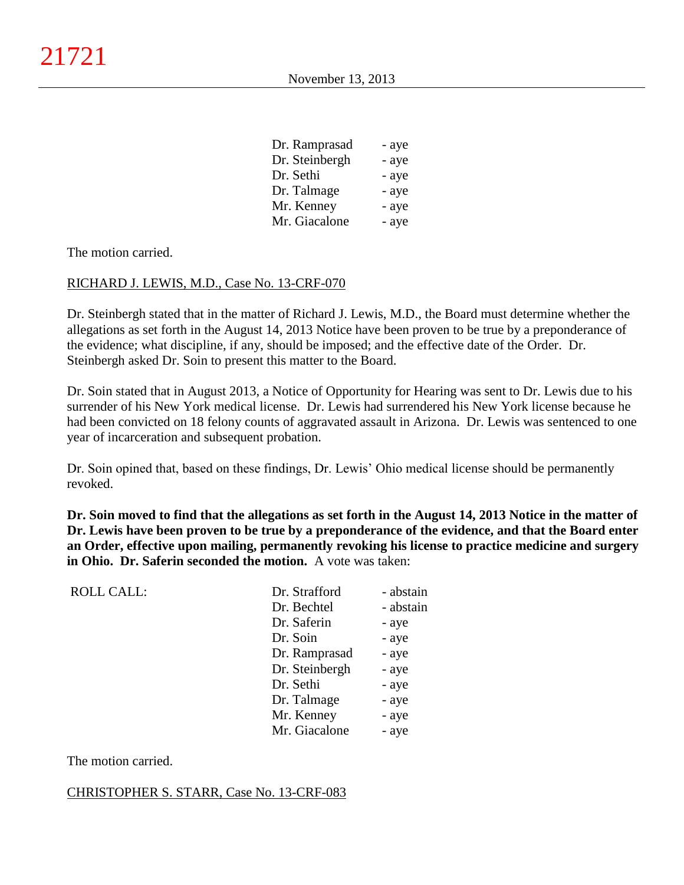| Dr. Ramprasad  | - aye |
|----------------|-------|
| Dr. Steinbergh | - aye |
| Dr. Sethi      | - aye |
| Dr. Talmage    | - aye |
| Mr. Kenney     | - aye |
| Mr. Giacalone  | - aye |

The motion carried.

### RICHARD J. LEWIS, M.D., Case No. 13-CRF-070

Dr. Steinbergh stated that in the matter of Richard J. Lewis, M.D., the Board must determine whether the allegations as set forth in the August 14, 2013 Notice have been proven to be true by a preponderance of the evidence; what discipline, if any, should be imposed; and the effective date of the Order. Dr. Steinbergh asked Dr. Soin to present this matter to the Board.

Dr. Soin stated that in August 2013, a Notice of Opportunity for Hearing was sent to Dr. Lewis due to his surrender of his New York medical license. Dr. Lewis had surrendered his New York license because he had been convicted on 18 felony counts of aggravated assault in Arizona. Dr. Lewis was sentenced to one year of incarceration and subsequent probation.

Dr. Soin opined that, based on these findings, Dr. Lewis' Ohio medical license should be permanently revoked.

**Dr. Soin moved to find that the allegations as set forth in the August 14, 2013 Notice in the matter of Dr. Lewis have been proven to be true by a preponderance of the evidence, and that the Board enter an Order, effective upon mailing, permanently revoking his license to practice medicine and surgery in Ohio. Dr. Saferin seconded the motion.** A vote was taken:

| <b>ROLL CALL:</b> | Dr. Strafford  | - abstain |
|-------------------|----------------|-----------|
|                   | Dr. Bechtel    | - abstain |
|                   | Dr. Saferin    | - aye     |
|                   | Dr. Soin       | - aye     |
|                   | Dr. Ramprasad  | - aye     |
|                   | Dr. Steinbergh | - aye     |
|                   | Dr. Sethi      | - aye     |
|                   | Dr. Talmage    | - aye     |
|                   | Mr. Kenney     | - aye     |
|                   | Mr. Giacalone  | - aye     |
|                   |                |           |

The motion carried.

#### CHRISTOPHER S. STARR, Case No. 13-CRF-083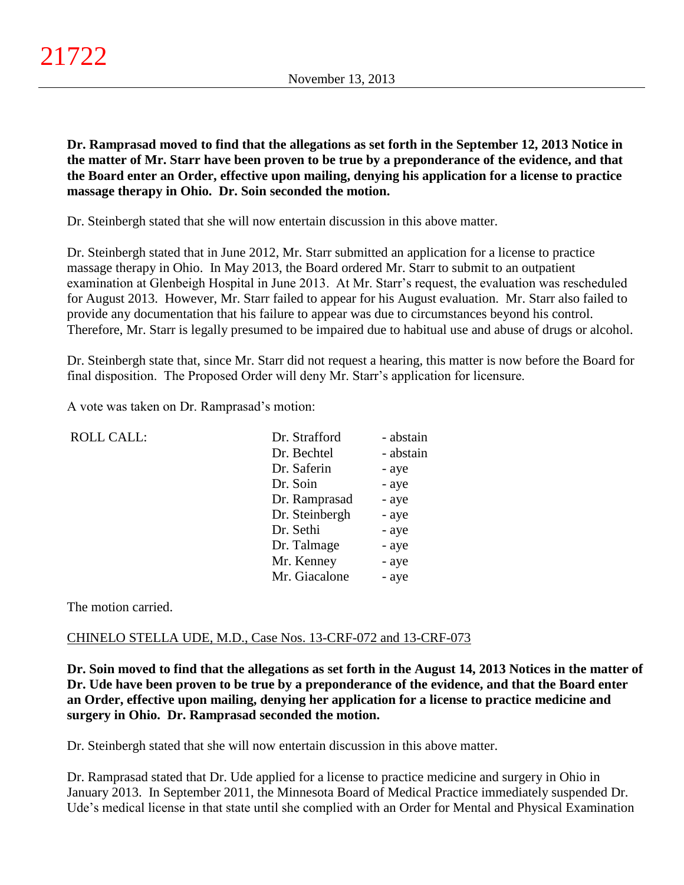**Dr. Ramprasad moved to find that the allegations as set forth in the September 12, 2013 Notice in the matter of Mr. Starr have been proven to be true by a preponderance of the evidence, and that the Board enter an Order, effective upon mailing, denying his application for a license to practice massage therapy in Ohio. Dr. Soin seconded the motion.**

Dr. Steinbergh stated that she will now entertain discussion in this above matter.

Dr. Steinbergh stated that in June 2012, Mr. Starr submitted an application for a license to practice massage therapy in Ohio. In May 2013, the Board ordered Mr. Starr to submit to an outpatient examination at Glenbeigh Hospital in June 2013. At Mr. Starr's request, the evaluation was rescheduled for August 2013. However, Mr. Starr failed to appear for his August evaluation. Mr. Starr also failed to provide any documentation that his failure to appear was due to circumstances beyond his control. Therefore, Mr. Starr is legally presumed to be impaired due to habitual use and abuse of drugs or alcohol.

Dr. Steinbergh state that, since Mr. Starr did not request a hearing, this matter is now before the Board for final disposition. The Proposed Order will deny Mr. Starr's application for licensure.

A vote was taken on Dr. Ramprasad's motion:

| <b>ROLL CALL:</b> | Dr. Strafford  | - abstain |
|-------------------|----------------|-----------|
|                   | Dr. Bechtel    | - abstain |
|                   | Dr. Saferin    | - aye     |
|                   | Dr. Soin       | - aye     |
|                   | Dr. Ramprasad  | - aye     |
|                   | Dr. Steinbergh | - aye     |
|                   | Dr. Sethi      | - aye     |
|                   | Dr. Talmage    | - aye     |
|                   | Mr. Kenney     | - aye     |
|                   | Mr. Giacalone  | - aye     |
|                   |                |           |

The motion carried.

## CHINELO STELLA UDE, M.D., Case Nos. 13-CRF-072 and 13-CRF-073

**Dr. Soin moved to find that the allegations as set forth in the August 14, 2013 Notices in the matter of Dr. Ude have been proven to be true by a preponderance of the evidence, and that the Board enter an Order, effective upon mailing, denying her application for a license to practice medicine and surgery in Ohio. Dr. Ramprasad seconded the motion.**

Dr. Steinbergh stated that she will now entertain discussion in this above matter.

Dr. Ramprasad stated that Dr. Ude applied for a license to practice medicine and surgery in Ohio in January 2013. In September 2011, the Minnesota Board of Medical Practice immediately suspended Dr. Ude's medical license in that state until she complied with an Order for Mental and Physical Examination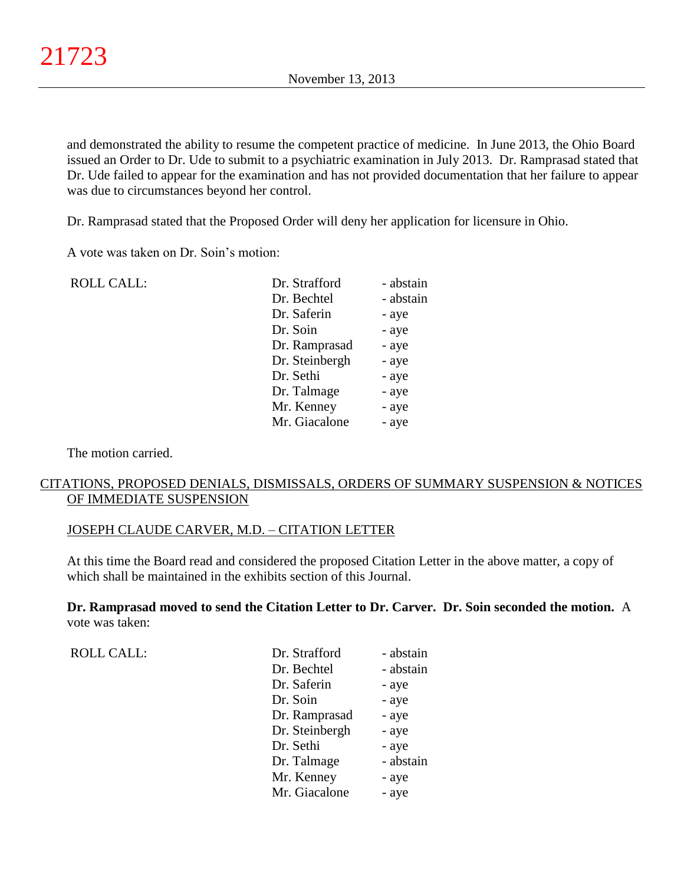and demonstrated the ability to resume the competent practice of medicine. In June 2013, the Ohio Board issued an Order to Dr. Ude to submit to a psychiatric examination in July 2013. Dr. Ramprasad stated that Dr. Ude failed to appear for the examination and has not provided documentation that her failure to appear was due to circumstances beyond her control.

Dr. Ramprasad stated that the Proposed Order will deny her application for licensure in Ohio.

A vote was taken on Dr. Soin's motion:

| <b>ROLL CALL:</b> | Dr. Strafford  | - abstain |
|-------------------|----------------|-----------|
|                   | Dr. Bechtel    | - abstain |
|                   | Dr. Saferin    | - aye     |
|                   | Dr. Soin       | - aye     |
|                   | Dr. Ramprasad  | - aye     |
|                   | Dr. Steinbergh | - aye     |
|                   | Dr. Sethi      | - aye     |
|                   | Dr. Talmage    | - aye     |
|                   | Mr. Kenney     | - aye     |
|                   | Mr. Giacalone  | - aye     |
|                   |                |           |

The motion carried.

## CITATIONS, PROPOSED DENIALS, DISMISSALS, ORDERS OF SUMMARY SUSPENSION & NOTICES OF IMMEDIATE SUSPENSION

#### JOSEPH CLAUDE CARVER, M.D. – CITATION LETTER

At this time the Board read and considered the proposed Citation Letter in the above matter, a copy of which shall be maintained in the exhibits section of this Journal.

**Dr. Ramprasad moved to send the Citation Letter to Dr. Carver. Dr. Soin seconded the motion.** A vote was taken:

| <b>ROLL CALL:</b> | Dr. Strafford  | - abstain |
|-------------------|----------------|-----------|
|                   | Dr. Bechtel    | - abstain |
|                   | Dr. Saferin    | - aye     |
|                   | Dr. Soin       | - aye     |
|                   | Dr. Ramprasad  | - aye     |
|                   | Dr. Steinbergh | - aye     |
|                   | Dr. Sethi      | - aye     |
|                   | Dr. Talmage    | - abstain |
|                   | Mr. Kenney     | - aye     |
|                   | Mr. Giacalone  | - aye     |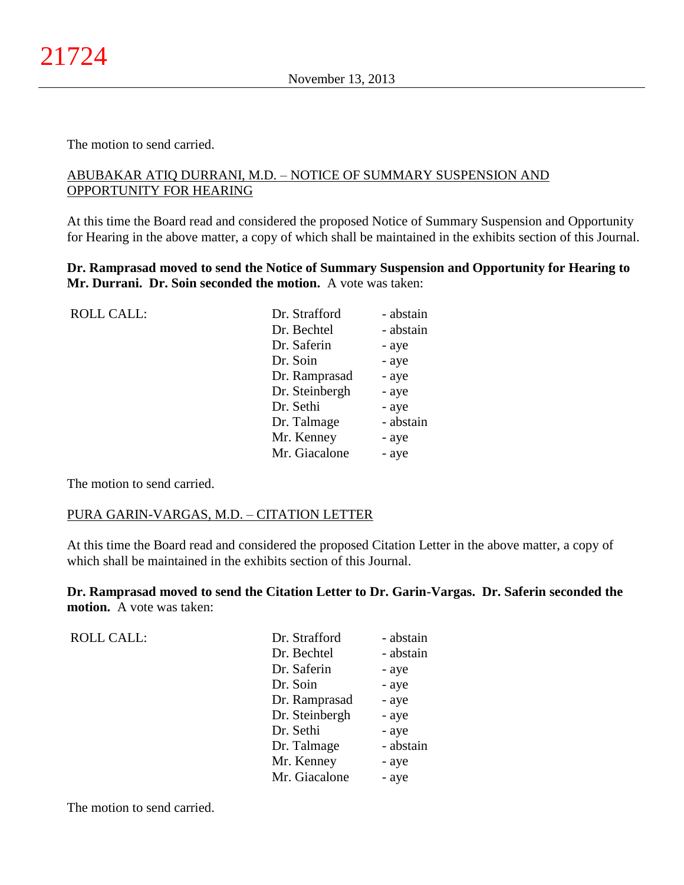The motion to send carried.

## ABUBAKAR ATIQ DURRANI, M.D. – NOTICE OF SUMMARY SUSPENSION AND OPPORTUNITY FOR HEARING

At this time the Board read and considered the proposed Notice of Summary Suspension and Opportunity for Hearing in the above matter, a copy of which shall be maintained in the exhibits section of this Journal.

**Dr. Ramprasad moved to send the Notice of Summary Suspension and Opportunity for Hearing to Mr. Durrani. Dr. Soin seconded the motion.** A vote was taken:

| <b>ROLL CALL:</b> | Dr. Strafford  | - abstain |
|-------------------|----------------|-----------|
|                   | Dr. Bechtel    | - abstain |
|                   | Dr. Saferin    | - aye     |
|                   | Dr. Soin       | - aye     |
|                   | Dr. Ramprasad  | - aye     |
|                   | Dr. Steinbergh | - aye     |
|                   | Dr. Sethi      | - aye     |
|                   | Dr. Talmage    | - abstain |
|                   | Mr. Kenney     | - aye     |
|                   | Mr. Giacalone  | - aye     |
|                   |                |           |

The motion to send carried.

ROLL CALL:

### PURA GARIN-VARGAS, M.D. – CITATION LETTER

At this time the Board read and considered the proposed Citation Letter in the above matter, a copy of which shall be maintained in the exhibits section of this Journal.

**Dr. Ramprasad moved to send the Citation Letter to Dr. Garin-Vargas. Dr. Saferin seconded the motion.** A vote was taken:

| - abstain |
|-----------|
| - abstain |
| - aye     |
| - aye     |
| - aye     |
| - aye     |
| - aye     |
| - abstain |
| - aye     |
| - aye     |
|           |

The motion to send carried.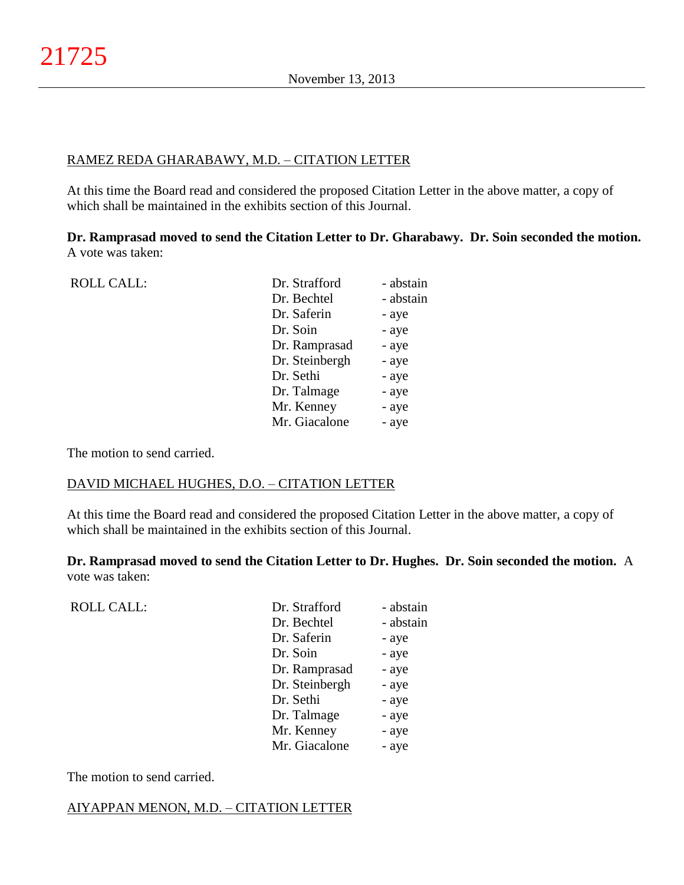## RAMEZ REDA GHARABAWY, M.D. – CITATION LETTER

At this time the Board read and considered the proposed Citation Letter in the above matter, a copy of which shall be maintained in the exhibits section of this Journal.

**Dr. Ramprasad moved to send the Citation Letter to Dr. Gharabawy. Dr. Soin seconded the motion.** A vote was taken:

| <b>ROLL CALL:</b> | Dr. Strafford  | - abstain |
|-------------------|----------------|-----------|
|                   | Dr. Bechtel    | - abstain |
|                   | Dr. Saferin    | - aye     |
|                   | Dr. Soin       | - aye     |
|                   | Dr. Ramprasad  | - aye     |
|                   | Dr. Steinbergh | - aye     |
|                   | Dr. Sethi      | - aye     |
|                   | Dr. Talmage    | - aye     |
|                   | Mr. Kenney     | - aye     |
|                   | Mr. Giacalone  | - aye     |
|                   |                |           |

The motion to send carried.

### DAVID MICHAEL HUGHES, D.O. – CITATION LETTER

At this time the Board read and considered the proposed Citation Letter in the above matter, a copy of which shall be maintained in the exhibits section of this Journal.

**Dr. Ramprasad moved to send the Citation Letter to Dr. Hughes. Dr. Soin seconded the motion.** A vote was taken:

| <b>ROLL CALL:</b> | Dr. Strafford  | - abstain |
|-------------------|----------------|-----------|
|                   | Dr. Bechtel    | - abstain |
|                   | Dr. Saferin    | - aye     |
|                   | Dr. Soin       | - aye     |
|                   | Dr. Ramprasad  | - aye     |
|                   | Dr. Steinbergh | - aye     |
|                   | Dr. Sethi      | - aye     |
|                   | Dr. Talmage    | - aye     |
|                   | Mr. Kenney     | - aye     |
|                   | Mr. Giacalone  | - aye     |
|                   |                |           |

The motion to send carried.

### AIYAPPAN MENON, M.D. – CITATION LETTER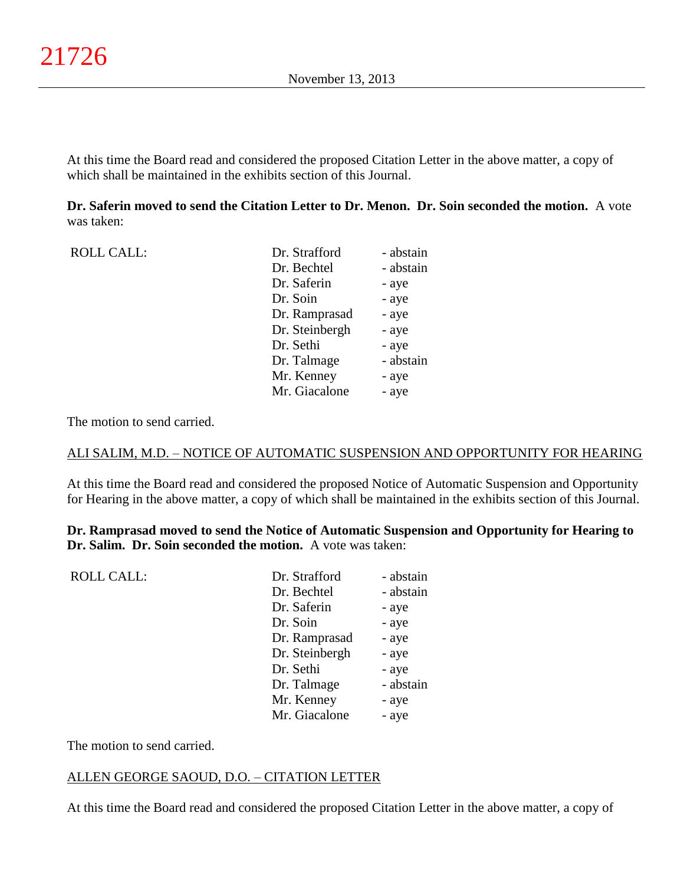At this time the Board read and considered the proposed Citation Letter in the above matter, a copy of which shall be maintained in the exhibits section of this Journal.

### **Dr. Saferin moved to send the Citation Letter to Dr. Menon. Dr. Soin seconded the motion.** A vote was taken:

| <b>ROLL CALL:</b> | Dr. Strafford  | - abstain |
|-------------------|----------------|-----------|
|                   | Dr. Bechtel    | - abstain |
|                   | Dr. Saferin    | - aye     |
|                   | Dr. Soin       | - aye     |
|                   | Dr. Ramprasad  | - aye     |
|                   | Dr. Steinbergh | - aye     |
|                   | Dr. Sethi      | - aye     |
|                   | Dr. Talmage    | - abstain |
|                   | Mr. Kenney     | - aye     |
|                   | Mr. Giacalone  | - aye     |
|                   |                |           |

The motion to send carried.

### ALI SALIM, M.D. – NOTICE OF AUTOMATIC SUSPENSION AND OPPORTUNITY FOR HEARING

At this time the Board read and considered the proposed Notice of Automatic Suspension and Opportunity for Hearing in the above matter, a copy of which shall be maintained in the exhibits section of this Journal.

**Dr. Ramprasad moved to send the Notice of Automatic Suspension and Opportunity for Hearing to Dr. Salim. Dr. Soin seconded the motion.** A vote was taken:

| <b>ROLL CALL:</b> | Dr. Strafford  | - abstain |
|-------------------|----------------|-----------|
|                   | Dr. Bechtel    | - abstain |
|                   | Dr. Saferin    | - aye     |
|                   | Dr. Soin       | - aye     |
|                   | Dr. Ramprasad  | - aye     |
|                   | Dr. Steinbergh | - aye     |
|                   | Dr. Sethi      | - aye     |
|                   | Dr. Talmage    | - abstain |
|                   | Mr. Kenney     | - aye     |
|                   | Mr. Giacalone  | - aye     |
|                   |                |           |

The motion to send carried.

### ALLEN GEORGE SAOUD, D.O. – CITATION LETTER

At this time the Board read and considered the proposed Citation Letter in the above matter, a copy of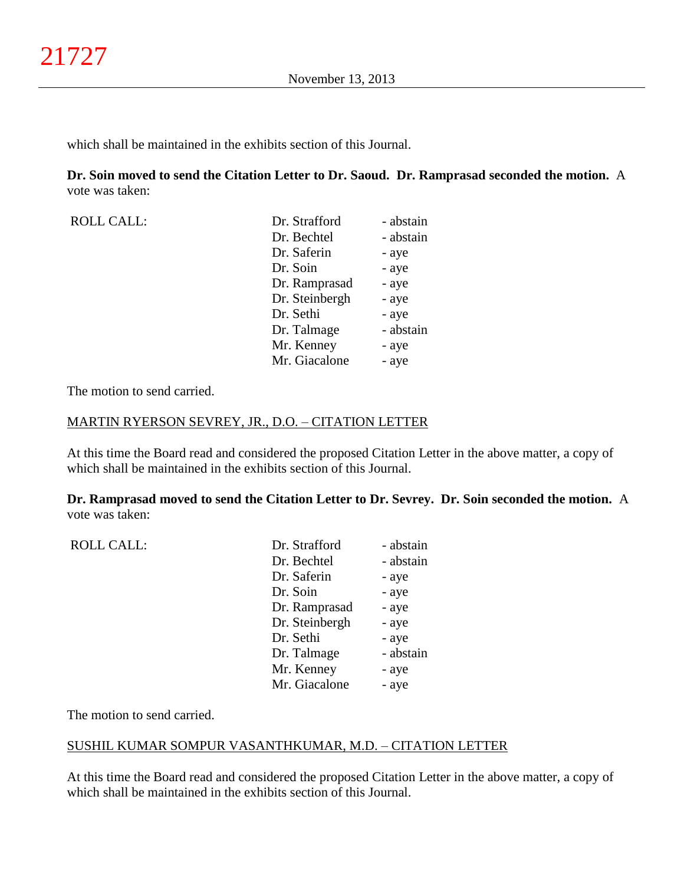which shall be maintained in the exhibits section of this Journal.

**Dr. Soin moved to send the Citation Letter to Dr. Saoud. Dr. Ramprasad seconded the motion.** A vote was taken:

| <b>ROLL CALL:</b> | Dr. Strafford  | - abstain |
|-------------------|----------------|-----------|
|                   | Dr. Bechtel    | - abstain |
|                   | Dr. Saferin    | - aye     |
|                   | Dr. Soin       | - aye     |
|                   | Dr. Ramprasad  | - aye     |
|                   | Dr. Steinbergh | - aye     |
|                   | Dr. Sethi      | - aye     |
|                   | Dr. Talmage    | - abstain |
|                   | Mr. Kenney     | - aye     |
|                   | Mr. Giacalone  | - aye     |

The motion to send carried.

#### MARTIN RYERSON SEVREY, JR., D.O. – CITATION LETTER

At this time the Board read and considered the proposed Citation Letter in the above matter, a copy of which shall be maintained in the exhibits section of this Journal.

**Dr. Ramprasad moved to send the Citation Letter to Dr. Sevrey. Dr. Soin seconded the motion.** A vote was taken:

| <b>ROLL CALL:</b> | Dr. Strafford  | - abstain |
|-------------------|----------------|-----------|
|                   | Dr. Bechtel    | - abstain |
|                   | Dr. Saferin    | - aye     |
|                   | Dr. Soin       | - aye     |
|                   | Dr. Ramprasad  | - aye     |
|                   | Dr. Steinbergh | - aye     |
|                   | Dr. Sethi      | - aye     |
|                   | Dr. Talmage    | - abstain |
|                   | Mr. Kenney     | - aye     |
|                   | Mr. Giacalone  | - aye     |
|                   |                |           |

The motion to send carried.

### SUSHIL KUMAR SOMPUR VASANTHKUMAR, M.D. – CITATION LETTER

At this time the Board read and considered the proposed Citation Letter in the above matter, a copy of which shall be maintained in the exhibits section of this Journal.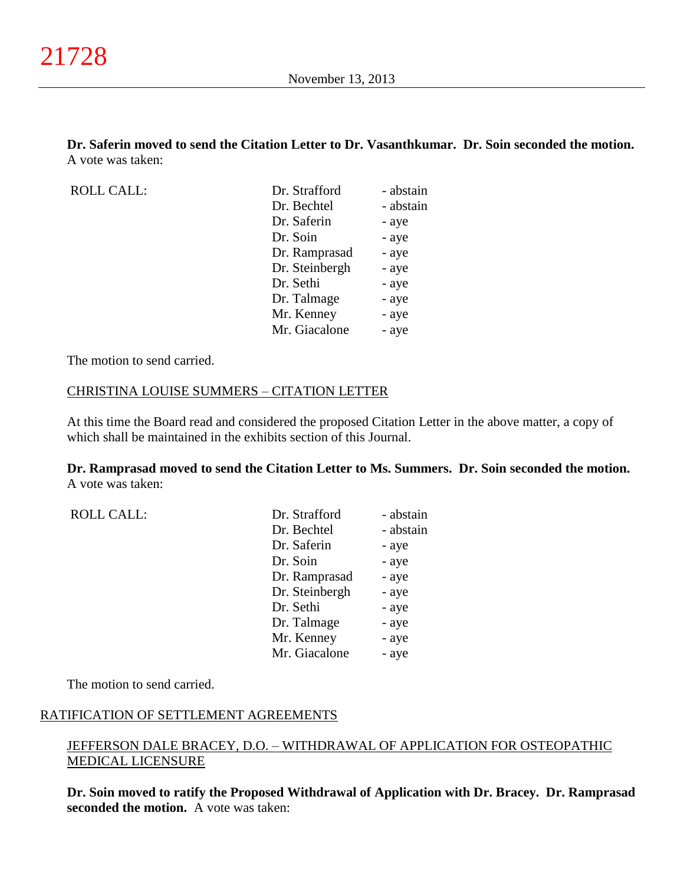**Dr. Saferin moved to send the Citation Letter to Dr. Vasanthkumar. Dr. Soin seconded the motion.** A vote was taken:

ROLL CALL:

| Dr. Strafford  | - abstain |
|----------------|-----------|
| Dr. Bechtel    | - abstain |
| Dr. Saferin    | - aye     |
| Dr. Soin       | - aye     |
| Dr. Ramprasad  | - aye     |
| Dr. Steinbergh | - aye     |
| Dr. Sethi      | - aye     |
| Dr. Talmage    | - aye     |
| Mr. Kenney     | - aye     |
| Mr. Giacalone  | - aye     |
|                |           |

The motion to send carried.

ROLL CALL:

#### CHRISTINA LOUISE SUMMERS – CITATION LETTER

At this time the Board read and considered the proposed Citation Letter in the above matter, a copy of which shall be maintained in the exhibits section of this Journal.

**Dr. Ramprasad moved to send the Citation Letter to Ms. Summers. Dr. Soin seconded the motion.** A vote was taken:

| Dr. Strafford  | - abstain |
|----------------|-----------|
| Dr. Bechtel    | - abstain |
| Dr. Saferin    | - aye     |
| Dr. Soin       | - aye     |
| Dr. Ramprasad  | - aye     |
| Dr. Steinbergh | - aye     |
| Dr. Sethi      | - aye     |
| Dr. Talmage    | - aye     |
| Mr. Kenney     | - aye     |
| Mr. Giacalone  | - aye     |

The motion to send carried.

#### RATIFICATION OF SETTLEMENT AGREEMENTS

## JEFFERSON DALE BRACEY, D.O. – WITHDRAWAL OF APPLICATION FOR OSTEOPATHIC MEDICAL LICENSURE

**Dr. Soin moved to ratify the Proposed Withdrawal of Application with Dr. Bracey. Dr. Ramprasad seconded the motion.** A vote was taken: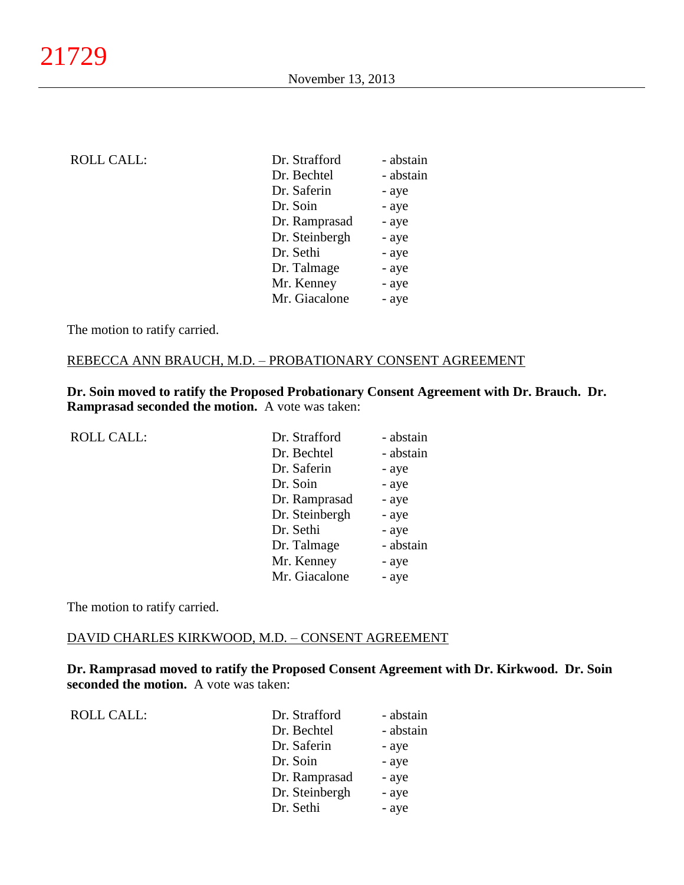| <b>ROLL CALL:</b> | Dr. Strafford  | - abstain |
|-------------------|----------------|-----------|
|                   | Dr. Bechtel    | - abstain |
|                   | Dr. Saferin    | - aye     |
|                   | Dr. Soin       | - aye     |
|                   | Dr. Ramprasad  | - aye     |
|                   | Dr. Steinbergh | - aye     |
|                   | Dr. Sethi      | - aye     |
|                   | Dr. Talmage    | - aye     |
|                   | Mr. Kenney     | - aye     |
|                   | Mr. Giacalone  | - aye     |
|                   |                |           |

The motion to ratify carried.

#### REBECCA ANN BRAUCH, M.D. – PROBATIONARY CONSENT AGREEMENT

**Dr. Soin moved to ratify the Proposed Probationary Consent Agreement with Dr. Brauch. Dr. Ramprasad seconded the motion.** A vote was taken:

| <b>ROLL CALL:</b> | Dr. Strafford  | - abstain |
|-------------------|----------------|-----------|
|                   | Dr. Bechtel    | - abstain |
|                   | Dr. Saferin    | - aye     |
|                   | Dr. Soin       | - aye     |
|                   | Dr. Ramprasad  | - aye     |
|                   | Dr. Steinbergh | - aye     |
|                   | Dr. Sethi      | - aye     |
|                   | Dr. Talmage    | - abstain |
|                   | Mr. Kenney     | - aye     |
|                   | Mr. Giacalone  | - aye     |
|                   |                |           |

The motion to ratify carried.

#### DAVID CHARLES KIRKWOOD, M.D. – CONSENT AGREEMENT

**Dr. Ramprasad moved to ratify the Proposed Consent Agreement with Dr. Kirkwood. Dr. Soin seconded the motion.** A vote was taken:

| <b>ROLL CALL:</b> | Dr. Strafford  | - abstain |
|-------------------|----------------|-----------|
|                   | Dr. Bechtel    | - abstain |
|                   | Dr. Saferin    | - aye     |
|                   | Dr. Soin       | - aye     |
|                   | Dr. Ramprasad  | - aye     |
|                   | Dr. Steinbergh | - aye     |
|                   | Dr. Sethi      | - aye     |
|                   |                |           |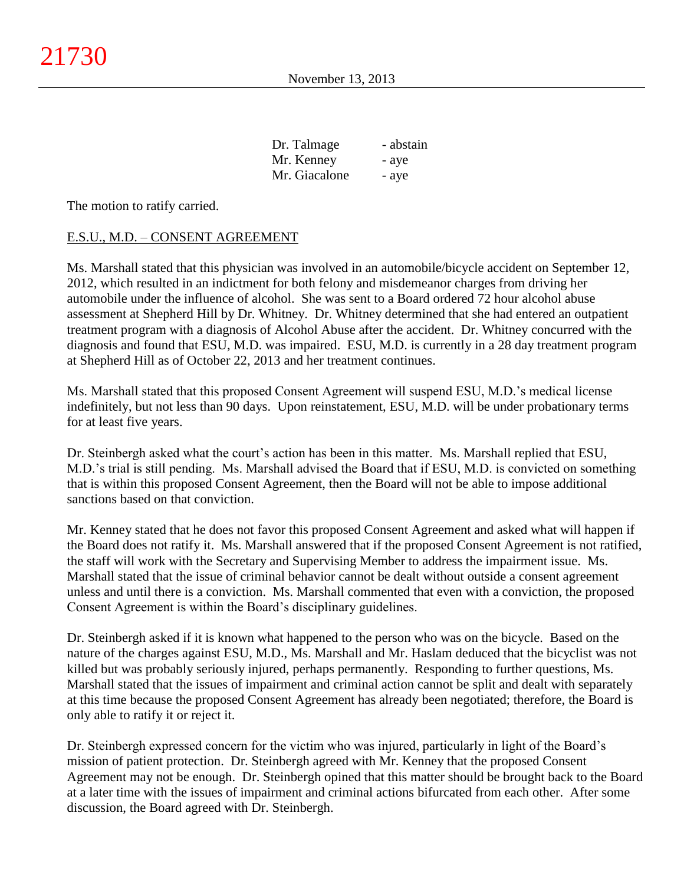| Dr. Talmage   | - abstain |
|---------------|-----------|
| Mr. Kenney    | - aye     |
| Mr. Giacalone | - aye     |

The motion to ratify carried.

## E.S.U., M.D. – CONSENT AGREEMENT

Ms. Marshall stated that this physician was involved in an automobile/bicycle accident on September 12, 2012, which resulted in an indictment for both felony and misdemeanor charges from driving her automobile under the influence of alcohol. She was sent to a Board ordered 72 hour alcohol abuse assessment at Shepherd Hill by Dr. Whitney. Dr. Whitney determined that she had entered an outpatient treatment program with a diagnosis of Alcohol Abuse after the accident. Dr. Whitney concurred with the diagnosis and found that ESU, M.D. was impaired. ESU, M.D. is currently in a 28 day treatment program at Shepherd Hill as of October 22, 2013 and her treatment continues.

Ms. Marshall stated that this proposed Consent Agreement will suspend ESU, M.D.'s medical license indefinitely, but not less than 90 days. Upon reinstatement, ESU, M.D. will be under probationary terms for at least five years.

Dr. Steinbergh asked what the court's action has been in this matter. Ms. Marshall replied that ESU, M.D.'s trial is still pending. Ms. Marshall advised the Board that if ESU, M.D. is convicted on something that is within this proposed Consent Agreement, then the Board will not be able to impose additional sanctions based on that conviction.

Mr. Kenney stated that he does not favor this proposed Consent Agreement and asked what will happen if the Board does not ratify it. Ms. Marshall answered that if the proposed Consent Agreement is not ratified, the staff will work with the Secretary and Supervising Member to address the impairment issue. Ms. Marshall stated that the issue of criminal behavior cannot be dealt without outside a consent agreement unless and until there is a conviction. Ms. Marshall commented that even with a conviction, the proposed Consent Agreement is within the Board's disciplinary guidelines.

Dr. Steinbergh asked if it is known what happened to the person who was on the bicycle. Based on the nature of the charges against ESU, M.D., Ms. Marshall and Mr. Haslam deduced that the bicyclist was not killed but was probably seriously injured, perhaps permanently. Responding to further questions, Ms. Marshall stated that the issues of impairment and criminal action cannot be split and dealt with separately at this time because the proposed Consent Agreement has already been negotiated; therefore, the Board is only able to ratify it or reject it.

Dr. Steinbergh expressed concern for the victim who was injured, particularly in light of the Board's mission of patient protection. Dr. Steinbergh agreed with Mr. Kenney that the proposed Consent Agreement may not be enough. Dr. Steinbergh opined that this matter should be brought back to the Board at a later time with the issues of impairment and criminal actions bifurcated from each other. After some discussion, the Board agreed with Dr. Steinbergh.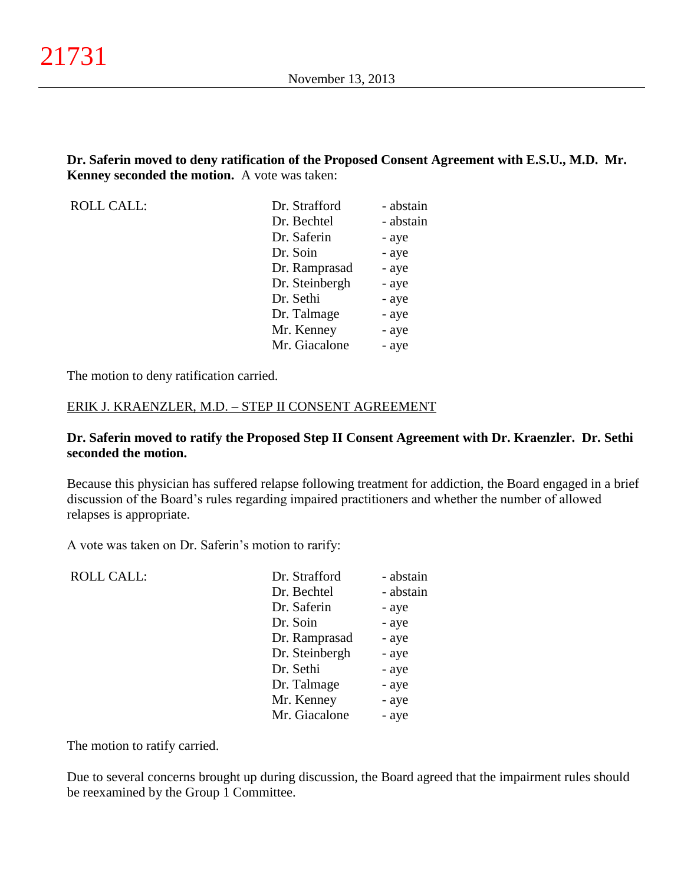**Dr. Saferin moved to deny ratification of the Proposed Consent Agreement with E.S.U., M.D. Mr. Kenney seconded the motion.** A vote was taken:

| <b>ROLL CALL:</b> | Dr. Strafford  | - abstain |
|-------------------|----------------|-----------|
|                   | Dr. Bechtel    | - abstain |
|                   | Dr. Saferin    | - aye     |
|                   | Dr. Soin       | - aye     |
|                   | Dr. Ramprasad  | - aye     |
|                   | Dr. Steinbergh | - aye     |
|                   | Dr. Sethi      | - aye     |
|                   | Dr. Talmage    | - aye     |
|                   | Mr. Kenney     | - aye     |
|                   | Mr. Giacalone  | - aye     |

The motion to deny ratification carried.

#### ERIK J. KRAENZLER, M.D. – STEP II CONSENT AGREEMENT

#### **Dr. Saferin moved to ratify the Proposed Step II Consent Agreement with Dr. Kraenzler. Dr. Sethi seconded the motion.**

Because this physician has suffered relapse following treatment for addiction, the Board engaged in a brief discussion of the Board's rules regarding impaired practitioners and whether the number of allowed relapses is appropriate.

A vote was taken on Dr. Saferin's motion to rarify:

| <b>ROLL CALL:</b> | Dr. Strafford  | - abstain |
|-------------------|----------------|-----------|
|                   | Dr. Bechtel    | - abstain |
|                   | Dr. Saferin    | - aye     |
|                   | Dr. Soin       | - aye     |
|                   | Dr. Ramprasad  | - aye     |
|                   | Dr. Steinbergh | - aye     |
|                   | Dr. Sethi      | - aye     |
|                   | Dr. Talmage    | - aye     |
|                   | Mr. Kenney     | - aye     |
|                   | Mr. Giacalone  | - aye     |
|                   |                |           |

The motion to ratify carried.

Due to several concerns brought up during discussion, the Board agreed that the impairment rules should be reexamined by the Group 1 Committee.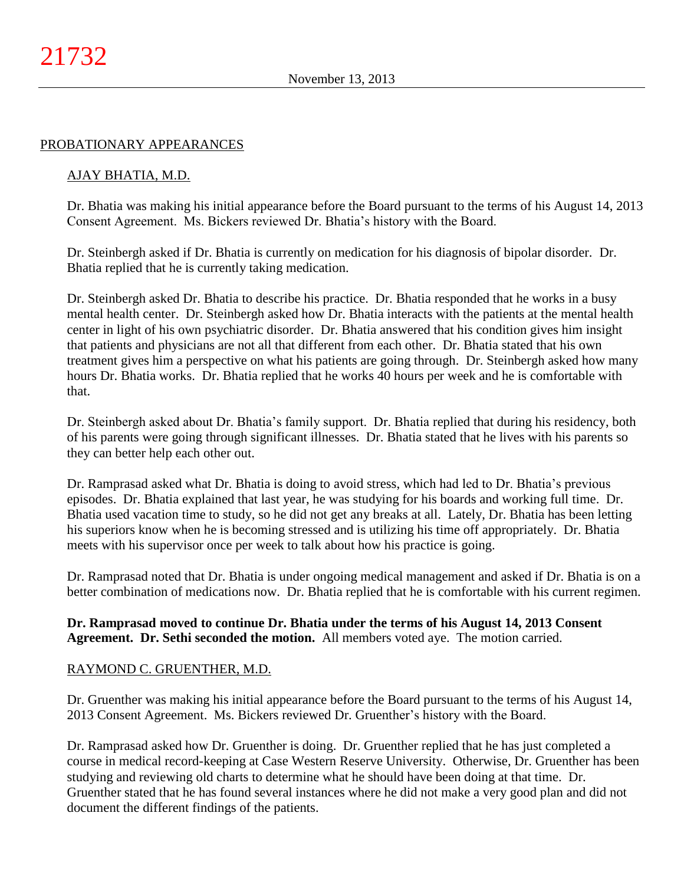#### PROBATIONARY APPEARANCES

### AJAY BHATIA, M.D.

Dr. Bhatia was making his initial appearance before the Board pursuant to the terms of his August 14, 2013 Consent Agreement. Ms. Bickers reviewed Dr. Bhatia's history with the Board.

Dr. Steinbergh asked if Dr. Bhatia is currently on medication for his diagnosis of bipolar disorder. Dr. Bhatia replied that he is currently taking medication.

Dr. Steinbergh asked Dr. Bhatia to describe his practice. Dr. Bhatia responded that he works in a busy mental health center. Dr. Steinbergh asked how Dr. Bhatia interacts with the patients at the mental health center in light of his own psychiatric disorder. Dr. Bhatia answered that his condition gives him insight that patients and physicians are not all that different from each other. Dr. Bhatia stated that his own treatment gives him a perspective on what his patients are going through. Dr. Steinbergh asked how many hours Dr. Bhatia works. Dr. Bhatia replied that he works 40 hours per week and he is comfortable with that.

Dr. Steinbergh asked about Dr. Bhatia's family support. Dr. Bhatia replied that during his residency, both of his parents were going through significant illnesses. Dr. Bhatia stated that he lives with his parents so they can better help each other out.

Dr. Ramprasad asked what Dr. Bhatia is doing to avoid stress, which had led to Dr. Bhatia's previous episodes. Dr. Bhatia explained that last year, he was studying for his boards and working full time. Dr. Bhatia used vacation time to study, so he did not get any breaks at all. Lately, Dr. Bhatia has been letting his superiors know when he is becoming stressed and is utilizing his time off appropriately. Dr. Bhatia meets with his supervisor once per week to talk about how his practice is going.

Dr. Ramprasad noted that Dr. Bhatia is under ongoing medical management and asked if Dr. Bhatia is on a better combination of medications now. Dr. Bhatia replied that he is comfortable with his current regimen.

**Dr. Ramprasad moved to continue Dr. Bhatia under the terms of his August 14, 2013 Consent Agreement. Dr. Sethi seconded the motion.** All members voted aye. The motion carried.

### RAYMOND C. GRUENTHER, M.D.

Dr. Gruenther was making his initial appearance before the Board pursuant to the terms of his August 14, 2013 Consent Agreement. Ms. Bickers reviewed Dr. Gruenther's history with the Board.

Dr. Ramprasad asked how Dr. Gruenther is doing. Dr. Gruenther replied that he has just completed a course in medical record-keeping at Case Western Reserve University. Otherwise, Dr. Gruenther has been studying and reviewing old charts to determine what he should have been doing at that time. Dr. Gruenther stated that he has found several instances where he did not make a very good plan and did not document the different findings of the patients.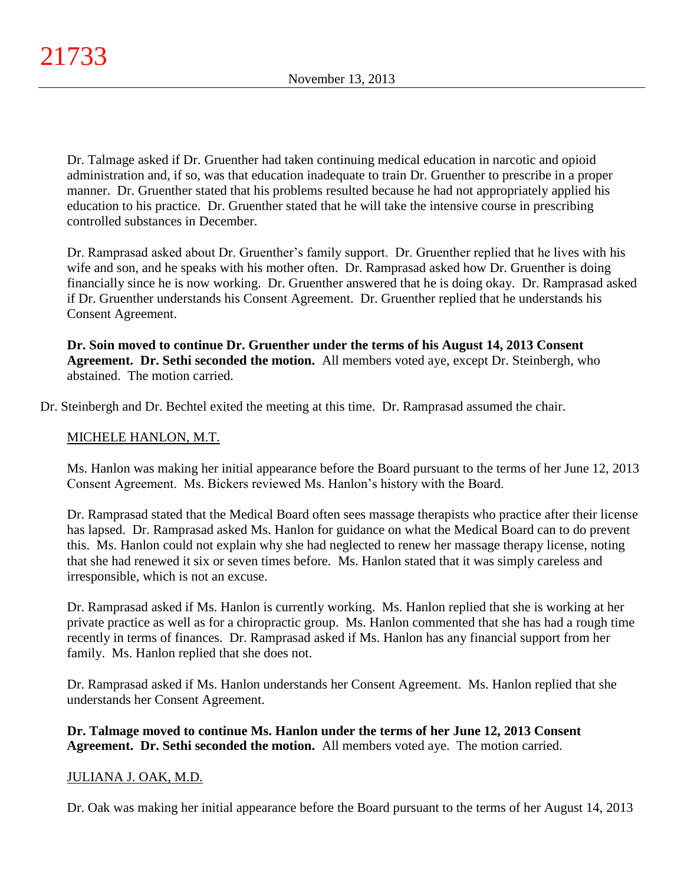Dr. Talmage asked if Dr. Gruenther had taken continuing medical education in narcotic and opioid administration and, if so, was that education inadequate to train Dr. Gruenther to prescribe in a proper manner. Dr. Gruenther stated that his problems resulted because he had not appropriately applied his education to his practice. Dr. Gruenther stated that he will take the intensive course in prescribing controlled substances in December.

Dr. Ramprasad asked about Dr. Gruenther's family support. Dr. Gruenther replied that he lives with his wife and son, and he speaks with his mother often. Dr. Ramprasad asked how Dr. Gruenther is doing financially since he is now working. Dr. Gruenther answered that he is doing okay. Dr. Ramprasad asked if Dr. Gruenther understands his Consent Agreement. Dr. Gruenther replied that he understands his Consent Agreement.

**Dr. Soin moved to continue Dr. Gruenther under the terms of his August 14, 2013 Consent Agreement. Dr. Sethi seconded the motion.** All members voted aye, except Dr. Steinbergh, who abstained. The motion carried.

Dr. Steinbergh and Dr. Bechtel exited the meeting at this time. Dr. Ramprasad assumed the chair.

# MICHELE HANLON, M.T.

Ms. Hanlon was making her initial appearance before the Board pursuant to the terms of her June 12, 2013 Consent Agreement. Ms. Bickers reviewed Ms. Hanlon's history with the Board.

Dr. Ramprasad stated that the Medical Board often sees massage therapists who practice after their license has lapsed. Dr. Ramprasad asked Ms. Hanlon for guidance on what the Medical Board can to do prevent this. Ms. Hanlon could not explain why she had neglected to renew her massage therapy license, noting that she had renewed it six or seven times before. Ms. Hanlon stated that it was simply careless and irresponsible, which is not an excuse.

Dr. Ramprasad asked if Ms. Hanlon is currently working. Ms. Hanlon replied that she is working at her private practice as well as for a chiropractic group. Ms. Hanlon commented that she has had a rough time recently in terms of finances. Dr. Ramprasad asked if Ms. Hanlon has any financial support from her family. Ms. Hanlon replied that she does not.

Dr. Ramprasad asked if Ms. Hanlon understands her Consent Agreement. Ms. Hanlon replied that she understands her Consent Agreement.

**Dr. Talmage moved to continue Ms. Hanlon under the terms of her June 12, 2013 Consent Agreement. Dr. Sethi seconded the motion.** All members voted aye. The motion carried.

## JULIANA J. OAK, M.D.

Dr. Oak was making her initial appearance before the Board pursuant to the terms of her August 14, 2013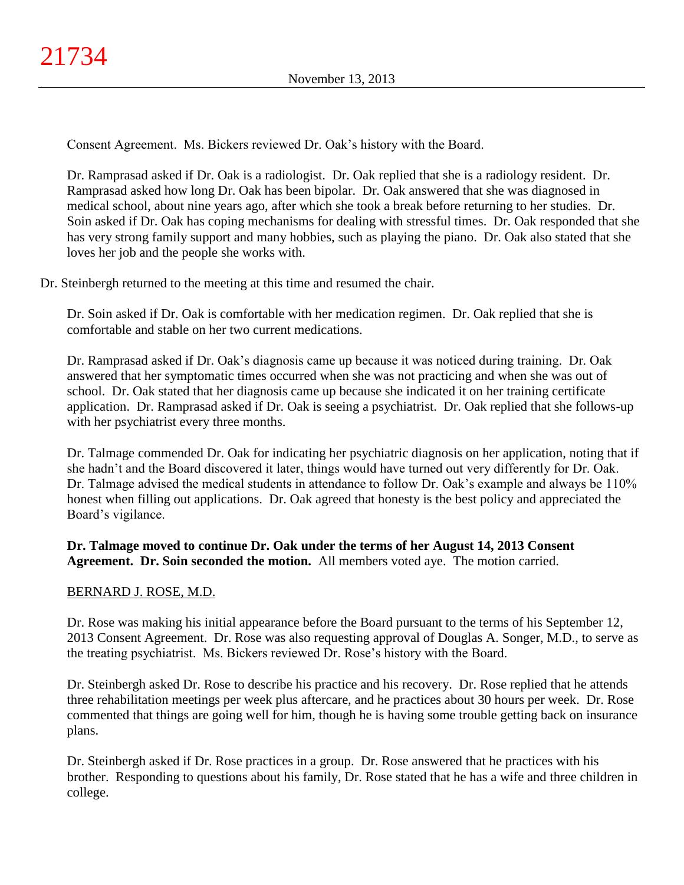Consent Agreement. Ms. Bickers reviewed Dr. Oak's history with the Board.

Dr. Ramprasad asked if Dr. Oak is a radiologist. Dr. Oak replied that she is a radiology resident. Dr. Ramprasad asked how long Dr. Oak has been bipolar. Dr. Oak answered that she was diagnosed in medical school, about nine years ago, after which she took a break before returning to her studies. Dr. Soin asked if Dr. Oak has coping mechanisms for dealing with stressful times. Dr. Oak responded that she has very strong family support and many hobbies, such as playing the piano. Dr. Oak also stated that she loves her job and the people she works with.

Dr. Steinbergh returned to the meeting at this time and resumed the chair.

Dr. Soin asked if Dr. Oak is comfortable with her medication regimen. Dr. Oak replied that she is comfortable and stable on her two current medications.

Dr. Ramprasad asked if Dr. Oak's diagnosis came up because it was noticed during training. Dr. Oak answered that her symptomatic times occurred when she was not practicing and when she was out of school. Dr. Oak stated that her diagnosis came up because she indicated it on her training certificate application. Dr. Ramprasad asked if Dr. Oak is seeing a psychiatrist. Dr. Oak replied that she follows-up with her psychiatrist every three months.

Dr. Talmage commended Dr. Oak for indicating her psychiatric diagnosis on her application, noting that if she hadn't and the Board discovered it later, things would have turned out very differently for Dr. Oak. Dr. Talmage advised the medical students in attendance to follow Dr. Oak's example and always be 110% honest when filling out applications. Dr. Oak agreed that honesty is the best policy and appreciated the Board's vigilance.

**Dr. Talmage moved to continue Dr. Oak under the terms of her August 14, 2013 Consent Agreement. Dr. Soin seconded the motion.** All members voted aye. The motion carried.

## BERNARD J. ROSE, M.D.

Dr. Rose was making his initial appearance before the Board pursuant to the terms of his September 12, 2013 Consent Agreement. Dr. Rose was also requesting approval of Douglas A. Songer, M.D., to serve as the treating psychiatrist. Ms. Bickers reviewed Dr. Rose's history with the Board.

Dr. Steinbergh asked Dr. Rose to describe his practice and his recovery. Dr. Rose replied that he attends three rehabilitation meetings per week plus aftercare, and he practices about 30 hours per week. Dr. Rose commented that things are going well for him, though he is having some trouble getting back on insurance plans.

Dr. Steinbergh asked if Dr. Rose practices in a group. Dr. Rose answered that he practices with his brother. Responding to questions about his family, Dr. Rose stated that he has a wife and three children in college.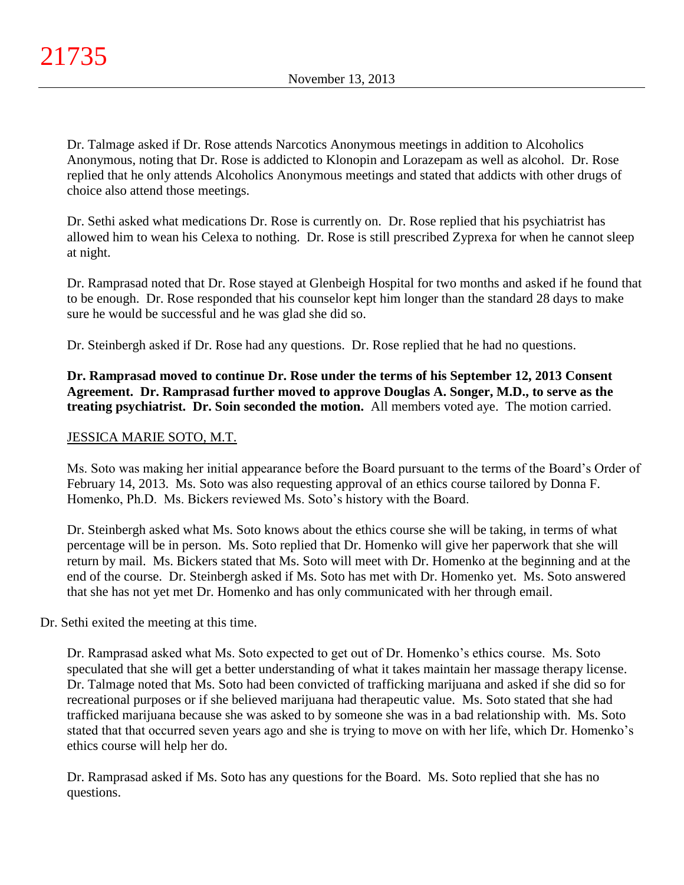Dr. Talmage asked if Dr. Rose attends Narcotics Anonymous meetings in addition to Alcoholics Anonymous, noting that Dr. Rose is addicted to Klonopin and Lorazepam as well as alcohol. Dr. Rose replied that he only attends Alcoholics Anonymous meetings and stated that addicts with other drugs of choice also attend those meetings.

Dr. Sethi asked what medications Dr. Rose is currently on. Dr. Rose replied that his psychiatrist has allowed him to wean his Celexa to nothing. Dr. Rose is still prescribed Zyprexa for when he cannot sleep at night.

Dr. Ramprasad noted that Dr. Rose stayed at Glenbeigh Hospital for two months and asked if he found that to be enough. Dr. Rose responded that his counselor kept him longer than the standard 28 days to make sure he would be successful and he was glad she did so.

Dr. Steinbergh asked if Dr. Rose had any questions. Dr. Rose replied that he had no questions.

**Dr. Ramprasad moved to continue Dr. Rose under the terms of his September 12, 2013 Consent Agreement. Dr. Ramprasad further moved to approve Douglas A. Songer, M.D., to serve as the treating psychiatrist. Dr. Soin seconded the motion.** All members voted aye. The motion carried.

# JESSICA MARIE SOTO, M.T.

Ms. Soto was making her initial appearance before the Board pursuant to the terms of the Board's Order of February 14, 2013. Ms. Soto was also requesting approval of an ethics course tailored by Donna F. Homenko, Ph.D. Ms. Bickers reviewed Ms. Soto's history with the Board.

Dr. Steinbergh asked what Ms. Soto knows about the ethics course she will be taking, in terms of what percentage will be in person. Ms. Soto replied that Dr. Homenko will give her paperwork that she will return by mail. Ms. Bickers stated that Ms. Soto will meet with Dr. Homenko at the beginning and at the end of the course. Dr. Steinbergh asked if Ms. Soto has met with Dr. Homenko yet. Ms. Soto answered that she has not yet met Dr. Homenko and has only communicated with her through email.

## Dr. Sethi exited the meeting at this time.

Dr. Ramprasad asked what Ms. Soto expected to get out of Dr. Homenko's ethics course. Ms. Soto speculated that she will get a better understanding of what it takes maintain her massage therapy license. Dr. Talmage noted that Ms. Soto had been convicted of trafficking marijuana and asked if she did so for recreational purposes or if she believed marijuana had therapeutic value. Ms. Soto stated that she had trafficked marijuana because she was asked to by someone she was in a bad relationship with. Ms. Soto stated that that occurred seven years ago and she is trying to move on with her life, which Dr. Homenko's ethics course will help her do.

Dr. Ramprasad asked if Ms. Soto has any questions for the Board. Ms. Soto replied that she has no questions.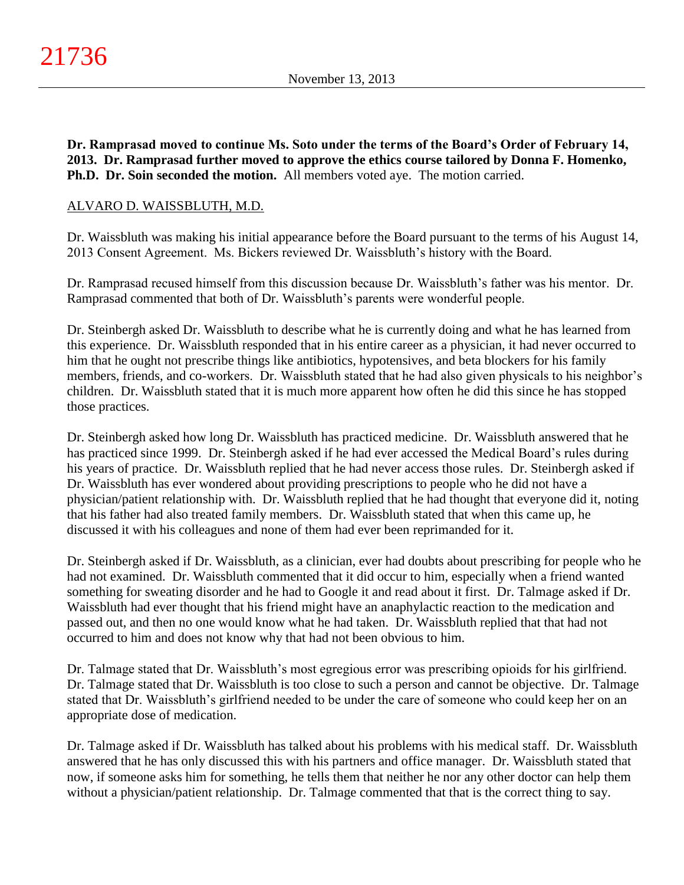**Dr. Ramprasad moved to continue Ms. Soto under the terms of the Board's Order of February 14, 2013. Dr. Ramprasad further moved to approve the ethics course tailored by Donna F. Homenko, Ph.D. Dr. Soin seconded the motion.** All members voted aye. The motion carried.

### ALVARO D. WAISSBLUTH, M.D.

Dr. Waissbluth was making his initial appearance before the Board pursuant to the terms of his August 14, 2013 Consent Agreement. Ms. Bickers reviewed Dr. Waissbluth's history with the Board.

Dr. Ramprasad recused himself from this discussion because Dr. Waissbluth's father was his mentor. Dr. Ramprasad commented that both of Dr. Waissbluth's parents were wonderful people.

Dr. Steinbergh asked Dr. Waissbluth to describe what he is currently doing and what he has learned from this experience. Dr. Waissbluth responded that in his entire career as a physician, it had never occurred to him that he ought not prescribe things like antibiotics, hypotensives, and beta blockers for his family members, friends, and co-workers. Dr. Waissbluth stated that he had also given physicals to his neighbor's children. Dr. Waissbluth stated that it is much more apparent how often he did this since he has stopped those practices.

Dr. Steinbergh asked how long Dr. Waissbluth has practiced medicine. Dr. Waissbluth answered that he has practiced since 1999. Dr. Steinbergh asked if he had ever accessed the Medical Board's rules during his years of practice. Dr. Waissbluth replied that he had never access those rules. Dr. Steinbergh asked if Dr. Waissbluth has ever wondered about providing prescriptions to people who he did not have a physician/patient relationship with. Dr. Waissbluth replied that he had thought that everyone did it, noting that his father had also treated family members. Dr. Waissbluth stated that when this came up, he discussed it with his colleagues and none of them had ever been reprimanded for it.

Dr. Steinbergh asked if Dr. Waissbluth, as a clinician, ever had doubts about prescribing for people who he had not examined. Dr. Waissbluth commented that it did occur to him, especially when a friend wanted something for sweating disorder and he had to Google it and read about it first. Dr. Talmage asked if Dr. Waissbluth had ever thought that his friend might have an anaphylactic reaction to the medication and passed out, and then no one would know what he had taken. Dr. Waissbluth replied that that had not occurred to him and does not know why that had not been obvious to him.

Dr. Talmage stated that Dr. Waissbluth's most egregious error was prescribing opioids for his girlfriend. Dr. Talmage stated that Dr. Waissbluth is too close to such a person and cannot be objective. Dr. Talmage stated that Dr. Waissbluth's girlfriend needed to be under the care of someone who could keep her on an appropriate dose of medication.

Dr. Talmage asked if Dr. Waissbluth has talked about his problems with his medical staff. Dr. Waissbluth answered that he has only discussed this with his partners and office manager. Dr. Waissbluth stated that now, if someone asks him for something, he tells them that neither he nor any other doctor can help them without a physician/patient relationship. Dr. Talmage commented that that is the correct thing to say.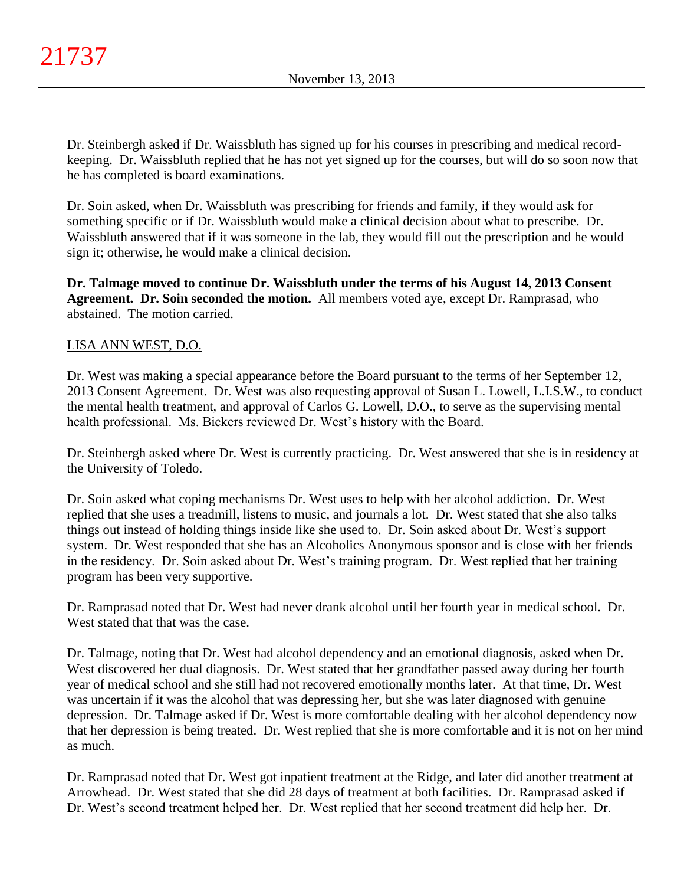Dr. Steinbergh asked if Dr. Waissbluth has signed up for his courses in prescribing and medical recordkeeping. Dr. Waissbluth replied that he has not yet signed up for the courses, but will do so soon now that he has completed is board examinations.

Dr. Soin asked, when Dr. Waissbluth was prescribing for friends and family, if they would ask for something specific or if Dr. Waissbluth would make a clinical decision about what to prescribe. Dr. Waissbluth answered that if it was someone in the lab, they would fill out the prescription and he would sign it; otherwise, he would make a clinical decision.

**Dr. Talmage moved to continue Dr. Waissbluth under the terms of his August 14, 2013 Consent Agreement. Dr. Soin seconded the motion.** All members voted aye, except Dr. Ramprasad, who abstained. The motion carried.

# LISA ANN WEST, D.O.

Dr. West was making a special appearance before the Board pursuant to the terms of her September 12, 2013 Consent Agreement. Dr. West was also requesting approval of Susan L. Lowell, L.I.S.W., to conduct the mental health treatment, and approval of Carlos G. Lowell, D.O., to serve as the supervising mental health professional. Ms. Bickers reviewed Dr. West's history with the Board.

Dr. Steinbergh asked where Dr. West is currently practicing. Dr. West answered that she is in residency at the University of Toledo.

Dr. Soin asked what coping mechanisms Dr. West uses to help with her alcohol addiction. Dr. West replied that she uses a treadmill, listens to music, and journals a lot. Dr. West stated that she also talks things out instead of holding things inside like she used to. Dr. Soin asked about Dr. West's support system. Dr. West responded that she has an Alcoholics Anonymous sponsor and is close with her friends in the residency. Dr. Soin asked about Dr. West's training program. Dr. West replied that her training program has been very supportive.

Dr. Ramprasad noted that Dr. West had never drank alcohol until her fourth year in medical school. Dr. West stated that that was the case.

Dr. Talmage, noting that Dr. West had alcohol dependency and an emotional diagnosis, asked when Dr. West discovered her dual diagnosis. Dr. West stated that her grandfather passed away during her fourth year of medical school and she still had not recovered emotionally months later. At that time, Dr. West was uncertain if it was the alcohol that was depressing her, but she was later diagnosed with genuine depression. Dr. Talmage asked if Dr. West is more comfortable dealing with her alcohol dependency now that her depression is being treated. Dr. West replied that she is more comfortable and it is not on her mind as much.

Dr. Ramprasad noted that Dr. West got inpatient treatment at the Ridge, and later did another treatment at Arrowhead. Dr. West stated that she did 28 days of treatment at both facilities. Dr. Ramprasad asked if Dr. West's second treatment helped her. Dr. West replied that her second treatment did help her. Dr.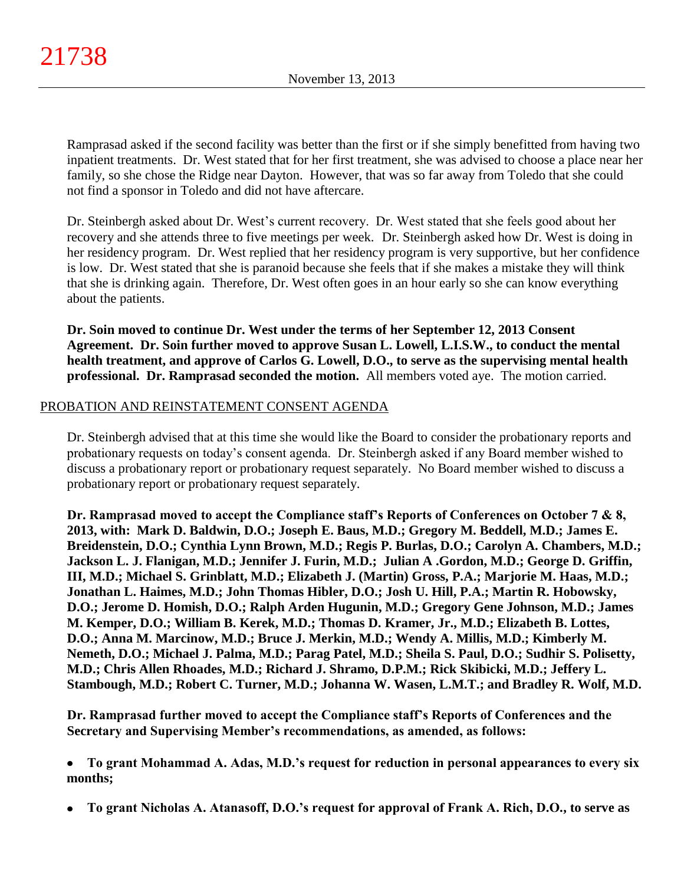Ramprasad asked if the second facility was better than the first or if she simply benefitted from having two inpatient treatments. Dr. West stated that for her first treatment, she was advised to choose a place near her family, so she chose the Ridge near Dayton. However, that was so far away from Toledo that she could not find a sponsor in Toledo and did not have aftercare.

Dr. Steinbergh asked about Dr. West's current recovery. Dr. West stated that she feels good about her recovery and she attends three to five meetings per week. Dr. Steinbergh asked how Dr. West is doing in her residency program. Dr. West replied that her residency program is very supportive, but her confidence is low. Dr. West stated that she is paranoid because she feels that if she makes a mistake they will think that she is drinking again. Therefore, Dr. West often goes in an hour early so she can know everything about the patients.

**Dr. Soin moved to continue Dr. West under the terms of her September 12, 2013 Consent Agreement. Dr. Soin further moved to approve Susan L. Lowell, L.I.S.W., to conduct the mental health treatment, and approve of Carlos G. Lowell, D.O., to serve as the supervising mental health professional. Dr. Ramprasad seconded the motion.** All members voted aye. The motion carried.

## PROBATION AND REINSTATEMENT CONSENT AGENDA

Dr. Steinbergh advised that at this time she would like the Board to consider the probationary reports and probationary requests on today's consent agenda. Dr. Steinbergh asked if any Board member wished to discuss a probationary report or probationary request separately. No Board member wished to discuss a probationary report or probationary request separately.

**Dr. Ramprasad moved to accept the Compliance staff's Reports of Conferences on October 7 & 8, 2013, with: Mark D. Baldwin, D.O.; Joseph E. Baus, M.D.; Gregory M. Beddell, M.D.; James E. Breidenstein, D.O.; Cynthia Lynn Brown, M.D.; Regis P. Burlas, D.O.; Carolyn A. Chambers, M.D.; Jackson L. J. Flanigan, M.D.; Jennifer J. Furin, M.D.; Julian A .Gordon, M.D.; George D. Griffin, III, M.D.; Michael S. Grinblatt, M.D.; Elizabeth J. (Martin) Gross, P.A.; Marjorie M. Haas, M.D.; Jonathan L. Haimes, M.D.; John Thomas Hibler, D.O.; Josh U. Hill, P.A.; Martin R. Hobowsky, D.O.; Jerome D. Homish, D.O.; Ralph Arden Hugunin, M.D.; Gregory Gene Johnson, M.D.; James M. Kemper, D.O.; William B. Kerek, M.D.; Thomas D. Kramer, Jr., M.D.; Elizabeth B. Lottes, D.O.; Anna M. Marcinow, M.D.; Bruce J. Merkin, M.D.; Wendy A. Millis, M.D.; Kimberly M. Nemeth, D.O.; Michael J. Palma, M.D.; Parag Patel, M.D.; Sheila S. Paul, D.O.; Sudhir S. Polisetty, M.D.; Chris Allen Rhoades, M.D.; Richard J. Shramo, D.P.M.; Rick Skibicki, M.D.; Jeffery L. Stambough, M.D.; Robert C. Turner, M.D.; Johanna W. Wasen, L.M.T.; and Bradley R. Wolf, M.D.**

**Dr. Ramprasad further moved to accept the Compliance staff's Reports of Conferences and the Secretary and Supervising Member's recommendations, as amended, as follows:**

**To grant Mohammad A. Adas, M.D.'s request for reduction in personal appearances to every six**   $\bullet$ **months;**

**To grant Nicholas A. Atanasoff, D.O.'s request for approval of Frank A. Rich, D.O., to serve as**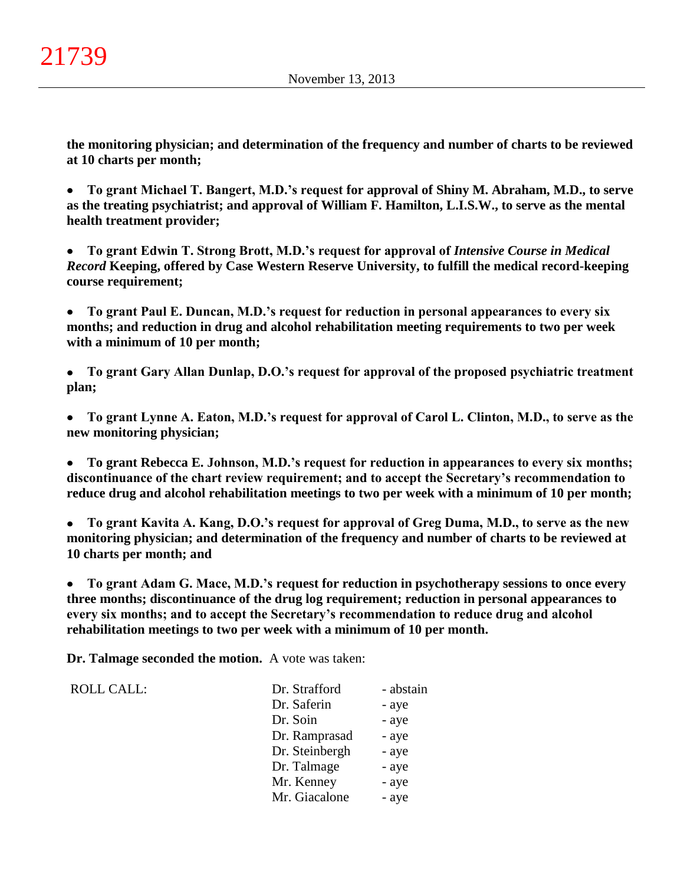**the monitoring physician; and determination of the frequency and number of charts to be reviewed at 10 charts per month;**

**To grant Michael T. Bangert, M.D.'s request for approval of Shiny M. Abraham, M.D., to serve**   $\bullet$ **as the treating psychiatrist; and approval of William F. Hamilton, L.I.S.W., to serve as the mental health treatment provider;**

**To grant Edwin T. Strong Brott, M.D.'s request for approval of** *Intensive Course in Medical Record* **Keeping, offered by Case Western Reserve University, to fulfill the medical record-keeping course requirement;**

**To grant Paul E. Duncan, M.D.'s request for reduction in personal appearances to every six**   $\bullet$ **months; and reduction in drug and alcohol rehabilitation meeting requirements to two per week with a minimum of 10 per month;**

**To grant Gary Allan Dunlap, D.O.'s request for approval of the proposed psychiatric treatment plan;**

**To grant Lynne A. Eaton, M.D.'s request for approval of Carol L. Clinton, M.D., to serve as the new monitoring physician;**

**To grant Rebecca E. Johnson, M.D.'s request for reduction in appearances to every six months;**   $\bullet$ **discontinuance of the chart review requirement; and to accept the Secretary's recommendation to reduce drug and alcohol rehabilitation meetings to two per week with a minimum of 10 per month;**

**To grant Kavita A. Kang, D.O.'s request for approval of Greg Duma, M.D., to serve as the new**   $\bullet$ **monitoring physician; and determination of the frequency and number of charts to be reviewed at 10 charts per month; and**

**To grant Adam G. Mace, M.D.'s request for reduction in psychotherapy sessions to once every**   $\bullet$ **three months; discontinuance of the drug log requirement; reduction in personal appearances to every six months; and to accept the Secretary's recommendation to reduce drug and alcohol rehabilitation meetings to two per week with a minimum of 10 per month.**

**Dr. Talmage seconded the motion.** A vote was taken:

ROLL CALL:

| Dr. Strafford  | - abstain |
|----------------|-----------|
| Dr. Saferin    | - aye     |
| Dr. Soin       | - aye     |
| Dr. Ramprasad  | - aye     |
| Dr. Steinbergh | - aye     |
| Dr. Talmage    | - aye     |
| Mr. Kenney     | - aye     |
| Mr. Giacalone  | - aye     |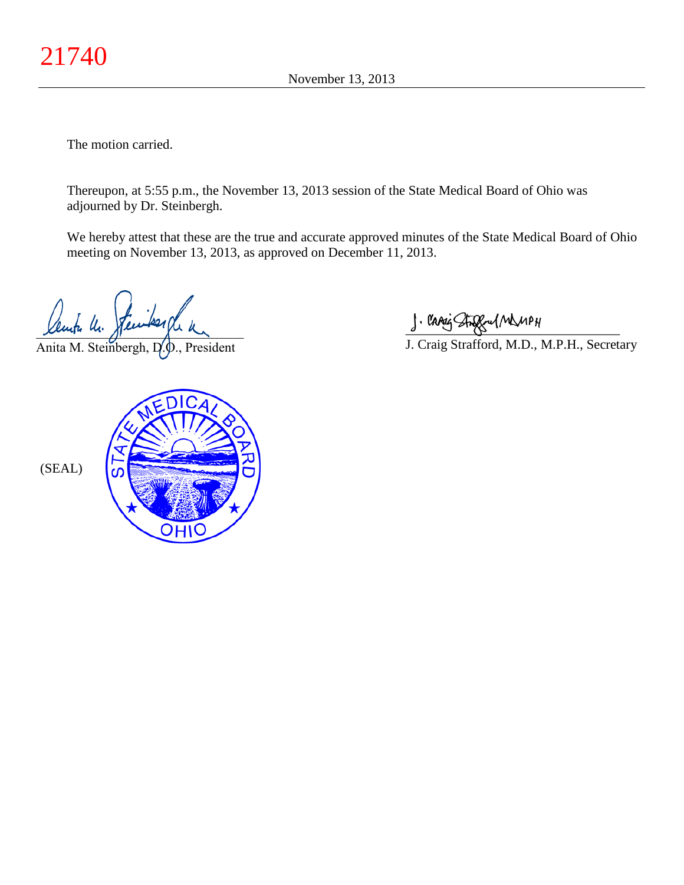The motion carried.

Thereupon, at 5:55 p.m., the November 13, 2013 session of the State Medical Board of Ohio was adjourned by Dr. Steinbergh.

We hereby attest that these are the true and accurate approved minutes of the State Medical Board of Ohio meeting on November 13, 2013, as approved on December 11, 2013.

Lengte Un.

Anita M. Steinbergh, D., President

\_\_\_\_\_\_\_\_\_\_\_\_\_\_\_\_\_\_\_\_\_\_\_\_\_\_\_\_\_\_\_\_

J. Craig Strafford, M.D., M.P.H., Secretary

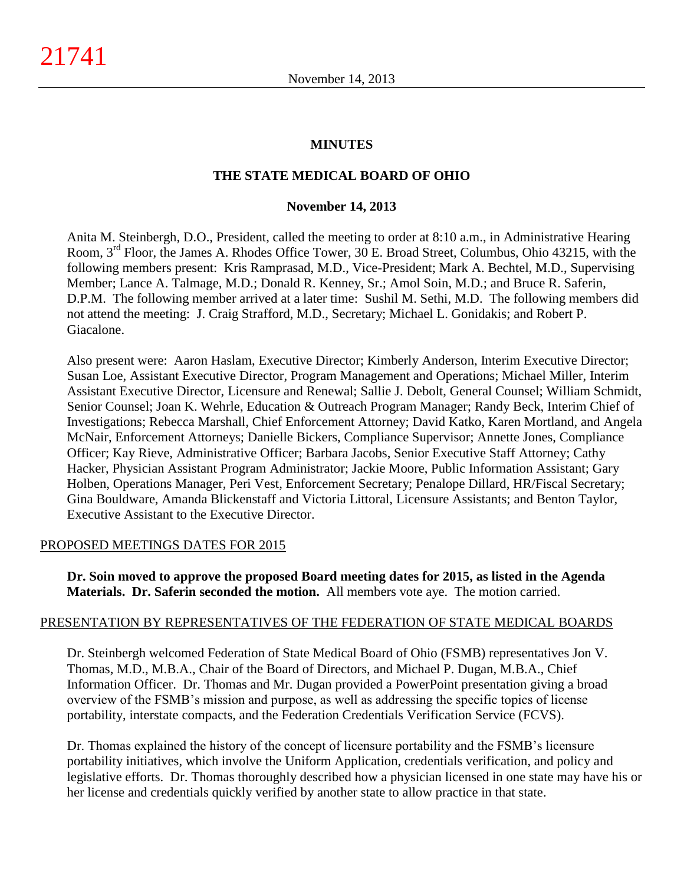#### **MINUTES**

#### **THE STATE MEDICAL BOARD OF OHIO**

#### **November 14, 2013**

Anita M. Steinbergh, D.O., President, called the meeting to order at 8:10 a.m., in Administrative Hearing Room, 3rd Floor, the James A. Rhodes Office Tower, 30 E. Broad Street, Columbus, Ohio 43215, with the following members present: Kris Ramprasad, M.D., Vice-President; Mark A. Bechtel, M.D., Supervising Member; Lance A. Talmage, M.D.; Donald R. Kenney, Sr.; Amol Soin, M.D.; and Bruce R. Saferin, D.P.M. The following member arrived at a later time: Sushil M. Sethi, M.D. The following members did not attend the meeting: J. Craig Strafford, M.D., Secretary; Michael L. Gonidakis; and Robert P. Giacalone.

Also present were: Aaron Haslam, Executive Director; Kimberly Anderson, Interim Executive Director; Susan Loe, Assistant Executive Director, Program Management and Operations; Michael Miller, Interim Assistant Executive Director, Licensure and Renewal; Sallie J. Debolt, General Counsel; William Schmidt, Senior Counsel; Joan K. Wehrle, Education & Outreach Program Manager; Randy Beck, Interim Chief of Investigations; Rebecca Marshall, Chief Enforcement Attorney; David Katko, Karen Mortland, and Angela McNair, Enforcement Attorneys; Danielle Bickers, Compliance Supervisor; Annette Jones, Compliance Officer; Kay Rieve, Administrative Officer; Barbara Jacobs, Senior Executive Staff Attorney; Cathy Hacker, Physician Assistant Program Administrator; Jackie Moore, Public Information Assistant; Gary Holben, Operations Manager, Peri Vest, Enforcement Secretary; Penalope Dillard, HR/Fiscal Secretary; Gina Bouldware, Amanda Blickenstaff and Victoria Littoral, Licensure Assistants; and Benton Taylor, Executive Assistant to the Executive Director.

#### PROPOSED MEETINGS DATES FOR 2015

**Dr. Soin moved to approve the proposed Board meeting dates for 2015, as listed in the Agenda Materials. Dr. Saferin seconded the motion.** All members vote aye. The motion carried.

#### PRESENTATION BY REPRESENTATIVES OF THE FEDERATION OF STATE MEDICAL BOARDS

Dr. Steinbergh welcomed Federation of State Medical Board of Ohio (FSMB) representatives Jon V. Thomas, M.D., M.B.A., Chair of the Board of Directors, and Michael P. Dugan, M.B.A., Chief Information Officer. Dr. Thomas and Mr. Dugan provided a PowerPoint presentation giving a broad overview of the FSMB's mission and purpose, as well as addressing the specific topics of license portability, interstate compacts, and the Federation Credentials Verification Service (FCVS).

Dr. Thomas explained the history of the concept of licensure portability and the FSMB's licensure portability initiatives, which involve the Uniform Application, credentials verification, and policy and legislative efforts. Dr. Thomas thoroughly described how a physician licensed in one state may have his or her license and credentials quickly verified by another state to allow practice in that state.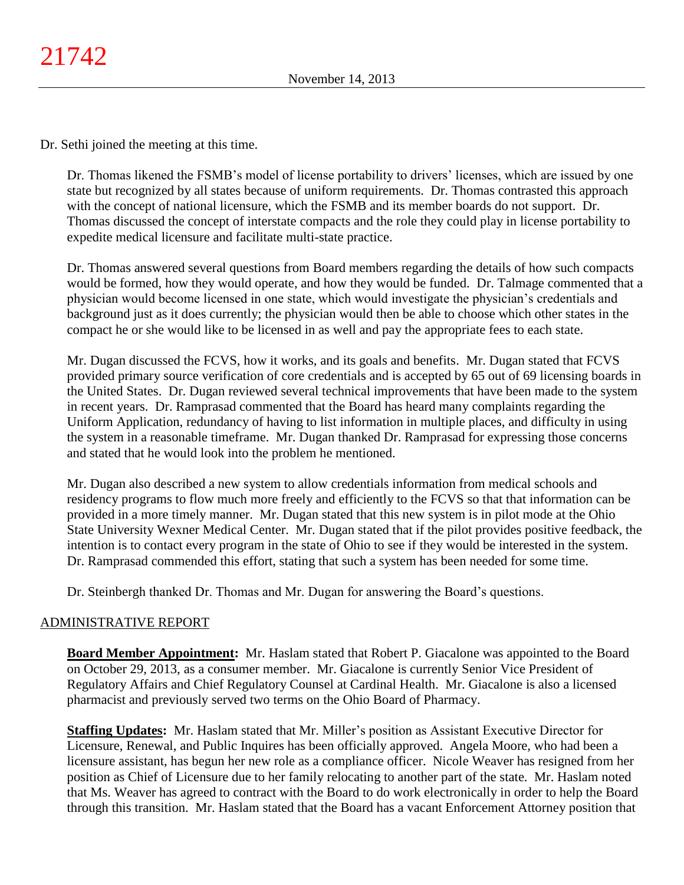Dr. Sethi joined the meeting at this time.

Dr. Thomas likened the FSMB's model of license portability to drivers' licenses, which are issued by one state but recognized by all states because of uniform requirements. Dr. Thomas contrasted this approach with the concept of national licensure, which the FSMB and its member boards do not support. Dr. Thomas discussed the concept of interstate compacts and the role they could play in license portability to expedite medical licensure and facilitate multi-state practice.

Dr. Thomas answered several questions from Board members regarding the details of how such compacts would be formed, how they would operate, and how they would be funded. Dr. Talmage commented that a physician would become licensed in one state, which would investigate the physician's credentials and background just as it does currently; the physician would then be able to choose which other states in the compact he or she would like to be licensed in as well and pay the appropriate fees to each state.

Mr. Dugan discussed the FCVS, how it works, and its goals and benefits. Mr. Dugan stated that FCVS provided primary source verification of core credentials and is accepted by 65 out of 69 licensing boards in the United States. Dr. Dugan reviewed several technical improvements that have been made to the system in recent years. Dr. Ramprasad commented that the Board has heard many complaints regarding the Uniform Application, redundancy of having to list information in multiple places, and difficulty in using the system in a reasonable timeframe. Mr. Dugan thanked Dr. Ramprasad for expressing those concerns and stated that he would look into the problem he mentioned.

Mr. Dugan also described a new system to allow credentials information from medical schools and residency programs to flow much more freely and efficiently to the FCVS so that that information can be provided in a more timely manner. Mr. Dugan stated that this new system is in pilot mode at the Ohio State University Wexner Medical Center. Mr. Dugan stated that if the pilot provides positive feedback, the intention is to contact every program in the state of Ohio to see if they would be interested in the system. Dr. Ramprasad commended this effort, stating that such a system has been needed for some time.

Dr. Steinbergh thanked Dr. Thomas and Mr. Dugan for answering the Board's questions.

## ADMINISTRATIVE REPORT

**Board Member Appointment:** Mr. Haslam stated that Robert P. Giacalone was appointed to the Board on October 29, 2013, as a consumer member. Mr. Giacalone is currently Senior Vice President of Regulatory Affairs and Chief Regulatory Counsel at Cardinal Health. Mr. Giacalone is also a licensed pharmacist and previously served two terms on the Ohio Board of Pharmacy.

**Staffing Updates:** Mr. Haslam stated that Mr. Miller's position as Assistant Executive Director for Licensure, Renewal, and Public Inquires has been officially approved. Angela Moore, who had been a licensure assistant, has begun her new role as a compliance officer. Nicole Weaver has resigned from her position as Chief of Licensure due to her family relocating to another part of the state. Mr. Haslam noted that Ms. Weaver has agreed to contract with the Board to do work electronically in order to help the Board through this transition. Mr. Haslam stated that the Board has a vacant Enforcement Attorney position that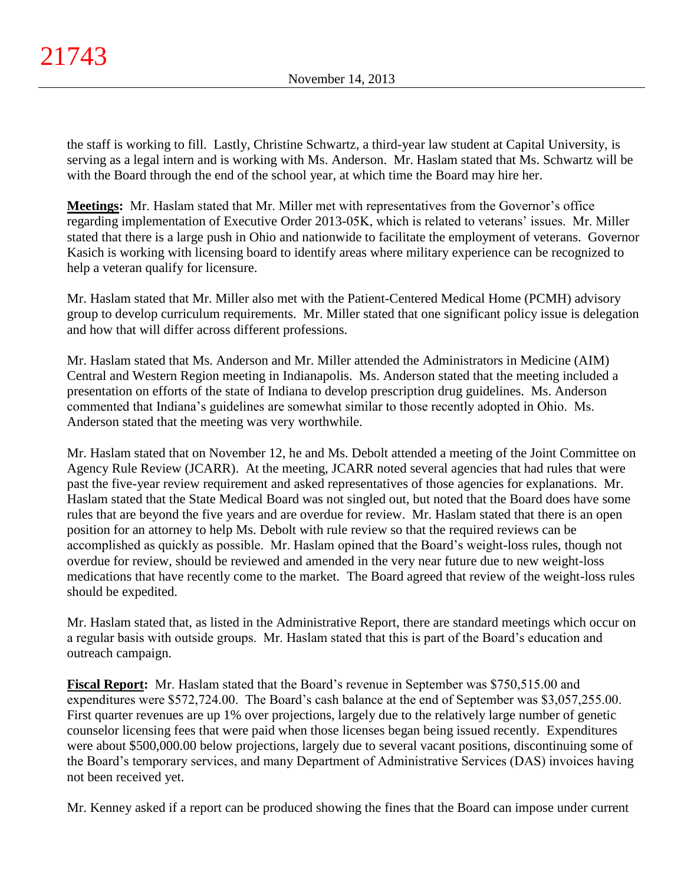the staff is working to fill. Lastly, Christine Schwartz, a third-year law student at Capital University, is serving as a legal intern and is working with Ms. Anderson. Mr. Haslam stated that Ms. Schwartz will be with the Board through the end of the school year, at which time the Board may hire her.

**Meetings:** Mr. Haslam stated that Mr. Miller met with representatives from the Governor's office regarding implementation of Executive Order 2013-05K, which is related to veterans' issues. Mr. Miller stated that there is a large push in Ohio and nationwide to facilitate the employment of veterans. Governor Kasich is working with licensing board to identify areas where military experience can be recognized to help a veteran qualify for licensure.

Mr. Haslam stated that Mr. Miller also met with the Patient-Centered Medical Home (PCMH) advisory group to develop curriculum requirements. Mr. Miller stated that one significant policy issue is delegation and how that will differ across different professions.

Mr. Haslam stated that Ms. Anderson and Mr. Miller attended the Administrators in Medicine (AIM) Central and Western Region meeting in Indianapolis. Ms. Anderson stated that the meeting included a presentation on efforts of the state of Indiana to develop prescription drug guidelines. Ms. Anderson commented that Indiana's guidelines are somewhat similar to those recently adopted in Ohio. Ms. Anderson stated that the meeting was very worthwhile.

Mr. Haslam stated that on November 12, he and Ms. Debolt attended a meeting of the Joint Committee on Agency Rule Review (JCARR). At the meeting, JCARR noted several agencies that had rules that were past the five-year review requirement and asked representatives of those agencies for explanations. Mr. Haslam stated that the State Medical Board was not singled out, but noted that the Board does have some rules that are beyond the five years and are overdue for review. Mr. Haslam stated that there is an open position for an attorney to help Ms. Debolt with rule review so that the required reviews can be accomplished as quickly as possible. Mr. Haslam opined that the Board's weight-loss rules, though not overdue for review, should be reviewed and amended in the very near future due to new weight-loss medications that have recently come to the market. The Board agreed that review of the weight-loss rules should be expedited.

Mr. Haslam stated that, as listed in the Administrative Report, there are standard meetings which occur on a regular basis with outside groups. Mr. Haslam stated that this is part of the Board's education and outreach campaign.

**Fiscal Report:** Mr. Haslam stated that the Board's revenue in September was \$750,515.00 and expenditures were \$572,724.00. The Board's cash balance at the end of September was \$3,057,255.00. First quarter revenues are up 1% over projections, largely due to the relatively large number of genetic counselor licensing fees that were paid when those licenses began being issued recently. Expenditures were about \$500,000.00 below projections, largely due to several vacant positions, discontinuing some of the Board's temporary services, and many Department of Administrative Services (DAS) invoices having not been received yet.

Mr. Kenney asked if a report can be produced showing the fines that the Board can impose under current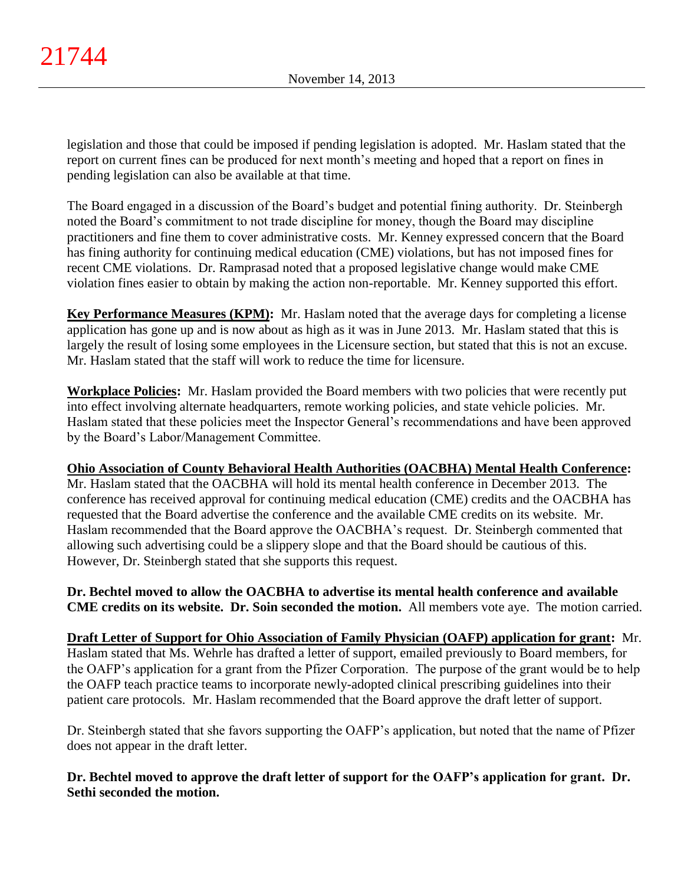legislation and those that could be imposed if pending legislation is adopted. Mr. Haslam stated that the report on current fines can be produced for next month's meeting and hoped that a report on fines in pending legislation can also be available at that time.

The Board engaged in a discussion of the Board's budget and potential fining authority. Dr. Steinbergh noted the Board's commitment to not trade discipline for money, though the Board may discipline practitioners and fine them to cover administrative costs. Mr. Kenney expressed concern that the Board has fining authority for continuing medical education (CME) violations, but has not imposed fines for recent CME violations. Dr. Ramprasad noted that a proposed legislative change would make CME violation fines easier to obtain by making the action non-reportable. Mr. Kenney supported this effort.

**Key Performance Measures (KPM):** Mr. Haslam noted that the average days for completing a license application has gone up and is now about as high as it was in June 2013. Mr. Haslam stated that this is largely the result of losing some employees in the Licensure section, but stated that this is not an excuse. Mr. Haslam stated that the staff will work to reduce the time for licensure.

**Workplace Policies:** Mr. Haslam provided the Board members with two policies that were recently put into effect involving alternate headquarters, remote working policies, and state vehicle policies. Mr. Haslam stated that these policies meet the Inspector General's recommendations and have been approved by the Board's Labor/Management Committee.

# **Ohio Association of County Behavioral Health Authorities (OACBHA) Mental Health Conference:**

Mr. Haslam stated that the OACBHA will hold its mental health conference in December 2013. The conference has received approval for continuing medical education (CME) credits and the OACBHA has requested that the Board advertise the conference and the available CME credits on its website. Mr. Haslam recommended that the Board approve the OACBHA's request. Dr. Steinbergh commented that allowing such advertising could be a slippery slope and that the Board should be cautious of this. However, Dr. Steinbergh stated that she supports this request.

**Dr. Bechtel moved to allow the OACBHA to advertise its mental health conference and available CME credits on its website. Dr. Soin seconded the motion.** All members vote aye. The motion carried.

**Draft Letter of Support for Ohio Association of Family Physician (OAFP) application for grant:** Mr. Haslam stated that Ms. Wehrle has drafted a letter of support, emailed previously to Board members, for the OAFP's application for a grant from the Pfizer Corporation. The purpose of the grant would be to help the OAFP teach practice teams to incorporate newly-adopted clinical prescribing guidelines into their patient care protocols. Mr. Haslam recommended that the Board approve the draft letter of support.

Dr. Steinbergh stated that she favors supporting the OAFP's application, but noted that the name of Pfizer does not appear in the draft letter.

**Dr. Bechtel moved to approve the draft letter of support for the OAFP's application for grant. Dr. Sethi seconded the motion.**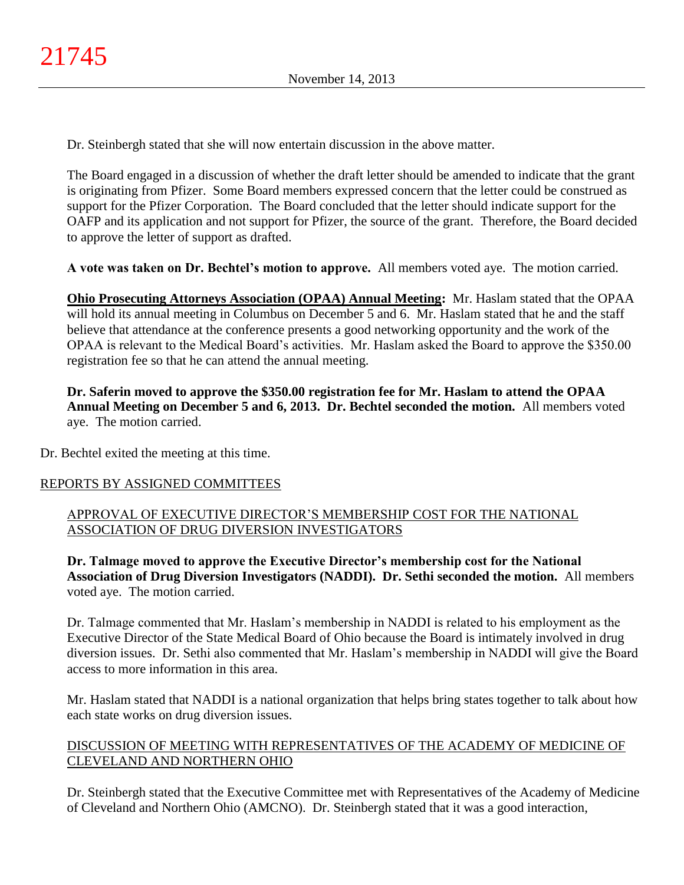Dr. Steinbergh stated that she will now entertain discussion in the above matter.

The Board engaged in a discussion of whether the draft letter should be amended to indicate that the grant is originating from Pfizer. Some Board members expressed concern that the letter could be construed as support for the Pfizer Corporation. The Board concluded that the letter should indicate support for the OAFP and its application and not support for Pfizer, the source of the grant. Therefore, the Board decided to approve the letter of support as drafted.

**A vote was taken on Dr. Bechtel's motion to approve.** All members voted aye. The motion carried.

**Ohio Prosecuting Attorneys Association (OPAA) Annual Meeting:** Mr. Haslam stated that the OPAA will hold its annual meeting in Columbus on December 5 and 6. Mr. Haslam stated that he and the staff believe that attendance at the conference presents a good networking opportunity and the work of the OPAA is relevant to the Medical Board's activities. Mr. Haslam asked the Board to approve the \$350.00 registration fee so that he can attend the annual meeting.

**Dr. Saferin moved to approve the \$350.00 registration fee for Mr. Haslam to attend the OPAA Annual Meeting on December 5 and 6, 2013. Dr. Bechtel seconded the motion.** All members voted aye. The motion carried.

Dr. Bechtel exited the meeting at this time.

## REPORTS BY ASSIGNED COMMITTEES

## APPROVAL OF EXECUTIVE DIRECTOR'S MEMBERSHIP COST FOR THE NATIONAL ASSOCIATION OF DRUG DIVERSION INVESTIGATORS

**Dr. Talmage moved to approve the Executive Director's membership cost for the National Association of Drug Diversion Investigators (NADDI). Dr. Sethi seconded the motion.** All members voted aye. The motion carried.

Dr. Talmage commented that Mr. Haslam's membership in NADDI is related to his employment as the Executive Director of the State Medical Board of Ohio because the Board is intimately involved in drug diversion issues. Dr. Sethi also commented that Mr. Haslam's membership in NADDI will give the Board access to more information in this area.

Mr. Haslam stated that NADDI is a national organization that helps bring states together to talk about how each state works on drug diversion issues.

## DISCUSSION OF MEETING WITH REPRESENTATIVES OF THE ACADEMY OF MEDICINE OF CLEVELAND AND NORTHERN OHIO

Dr. Steinbergh stated that the Executive Committee met with Representatives of the Academy of Medicine of Cleveland and Northern Ohio (AMCNO). Dr. Steinbergh stated that it was a good interaction,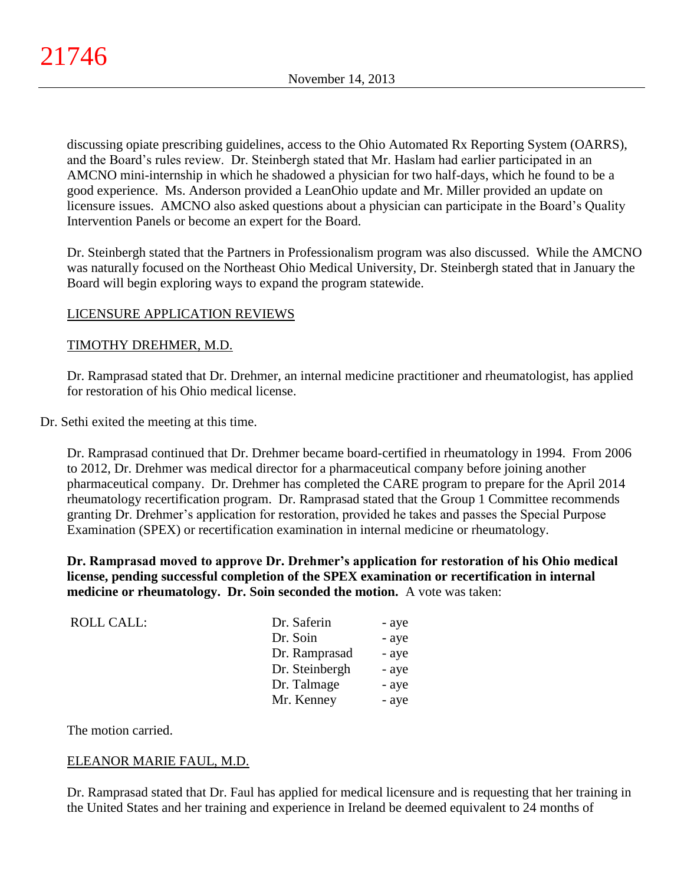discussing opiate prescribing guidelines, access to the Ohio Automated Rx Reporting System (OARRS), and the Board's rules review. Dr. Steinbergh stated that Mr. Haslam had earlier participated in an AMCNO mini-internship in which he shadowed a physician for two half-days, which he found to be a good experience. Ms. Anderson provided a LeanOhio update and Mr. Miller provided an update on licensure issues. AMCNO also asked questions about a physician can participate in the Board's Quality Intervention Panels or become an expert for the Board.

Dr. Steinbergh stated that the Partners in Professionalism program was also discussed. While the AMCNO was naturally focused on the Northeast Ohio Medical University, Dr. Steinbergh stated that in January the Board will begin exploring ways to expand the program statewide.

## LICENSURE APPLICATION REVIEWS

## TIMOTHY DREHMER, M.D.

Dr. Ramprasad stated that Dr. Drehmer, an internal medicine practitioner and rheumatologist, has applied for restoration of his Ohio medical license.

Dr. Sethi exited the meeting at this time.

Dr. Ramprasad continued that Dr. Drehmer became board-certified in rheumatology in 1994. From 2006 to 2012, Dr. Drehmer was medical director for a pharmaceutical company before joining another pharmaceutical company. Dr. Drehmer has completed the CARE program to prepare for the April 2014 rheumatology recertification program. Dr. Ramprasad stated that the Group 1 Committee recommends granting Dr. Drehmer's application for restoration, provided he takes and passes the Special Purpose Examination (SPEX) or recertification examination in internal medicine or rheumatology.

**Dr. Ramprasad moved to approve Dr. Drehmer's application for restoration of his Ohio medical license, pending successful completion of the SPEX examination or recertification in internal medicine or rheumatology. Dr. Soin seconded the motion.** A vote was taken:

| <b>ROLL CALL:</b> | Dr. Saferin    | - aye |
|-------------------|----------------|-------|
|                   | Dr. Soin       | - aye |
|                   | Dr. Ramprasad  | - aye |
|                   | Dr. Steinbergh | - aye |
|                   | Dr. Talmage    | - aye |
|                   | Mr. Kenney     | - aye |

The motion carried.

## ELEANOR MARIE FAUL, M.D.

Dr. Ramprasad stated that Dr. Faul has applied for medical licensure and is requesting that her training in the United States and her training and experience in Ireland be deemed equivalent to 24 months of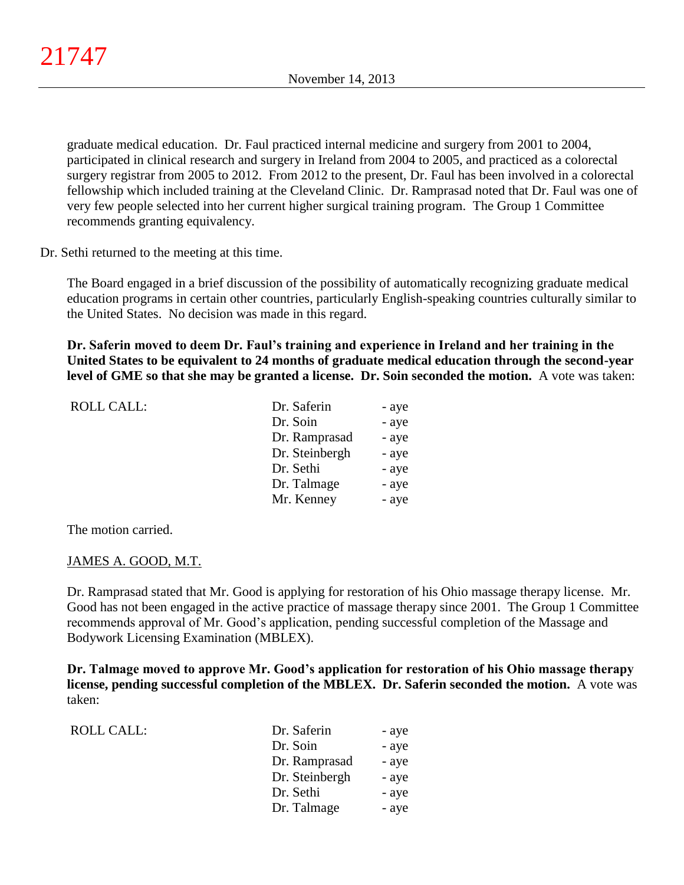graduate medical education. Dr. Faul practiced internal medicine and surgery from 2001 to 2004, participated in clinical research and surgery in Ireland from 2004 to 2005, and practiced as a colorectal surgery registrar from 2005 to 2012. From 2012 to the present, Dr. Faul has been involved in a colorectal fellowship which included training at the Cleveland Clinic. Dr. Ramprasad noted that Dr. Faul was one of very few people selected into her current higher surgical training program. The Group 1 Committee recommends granting equivalency.

Dr. Sethi returned to the meeting at this time.

The Board engaged in a brief discussion of the possibility of automatically recognizing graduate medical education programs in certain other countries, particularly English-speaking countries culturally similar to the United States. No decision was made in this regard.

**Dr. Saferin moved to deem Dr. Faul's training and experience in Ireland and her training in the United States to be equivalent to 24 months of graduate medical education through the second-year level of GME so that she may be granted a license. Dr. Soin seconded the motion.** A vote was taken:

| <b>ROLL CALL:</b> | Dr. Saferin    | - aye |
|-------------------|----------------|-------|
|                   | Dr. Soin       | - aye |
|                   | Dr. Ramprasad  | - aye |
|                   | Dr. Steinbergh | - aye |
|                   | Dr. Sethi      | - aye |
|                   | Dr. Talmage    | - aye |
|                   | Mr. Kenney     | - aye |

The motion carried.

### JAMES A. GOOD, M.T.

Dr. Ramprasad stated that Mr. Good is applying for restoration of his Ohio massage therapy license. Mr. Good has not been engaged in the active practice of massage therapy since 2001. The Group 1 Committee recommends approval of Mr. Good's application, pending successful completion of the Massage and Bodywork Licensing Examination (MBLEX).

**Dr. Talmage moved to approve Mr. Good's application for restoration of his Ohio massage therapy license, pending successful completion of the MBLEX. Dr. Saferin seconded the motion.** A vote was taken:

| <b>ROLL CALL:</b> | Dr. Saferin    | - aye |
|-------------------|----------------|-------|
|                   | Dr. Soin       | - aye |
|                   | Dr. Ramprasad  | - aye |
|                   | Dr. Steinbergh | - aye |
|                   | Dr. Sethi      | - aye |
|                   | Dr. Talmage    | - aye |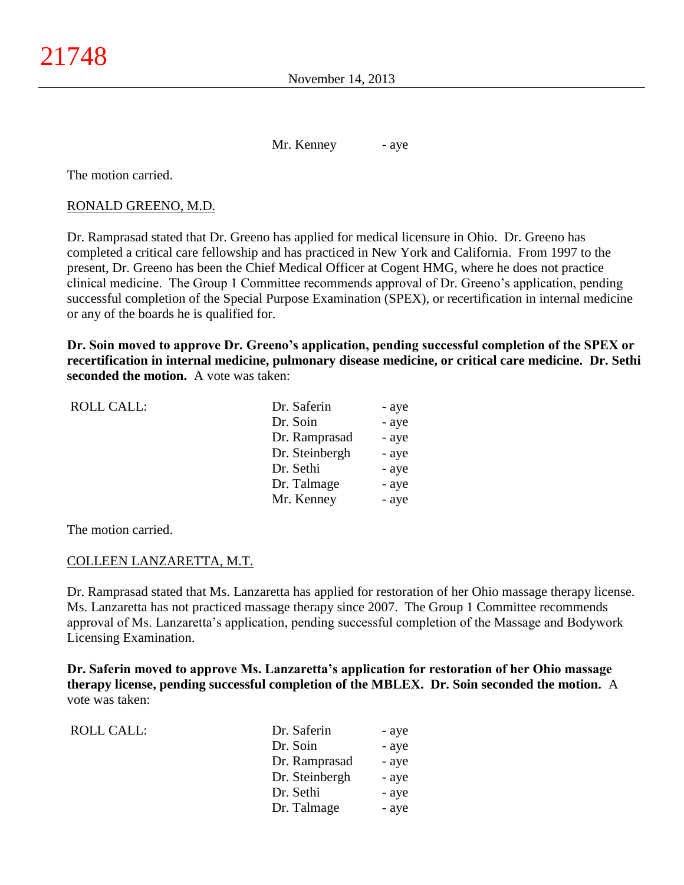Mr. Kenney - aye

The motion carried.

### RONALD GREENO, M.D.

Dr. Ramprasad stated that Dr. Greeno has applied for medical licensure in Ohio. Dr. Greeno has completed a critical care fellowship and has practiced in New York and California. From 1997 to the present, Dr. Greeno has been the Chief Medical Officer at Cogent HMG, where he does not practice clinical medicine. The Group 1 Committee recommends approval of Dr. Greeno's application, pending successful completion of the Special Purpose Examination (SPEX), or recertification in internal medicine or any of the boards he is qualified for.

**Dr. Soin moved to approve Dr. Greeno's application, pending successful completion of the SPEX or recertification in internal medicine, pulmonary disease medicine, or critical care medicine. Dr. Sethi seconded the motion.** A vote was taken:

| <b>ROLL CALL:</b> | Dr. Saferin    | - aye |
|-------------------|----------------|-------|
|                   | Dr. Soin       | - aye |
|                   | Dr. Ramprasad  | - aye |
|                   | Dr. Steinbergh | - aye |
|                   | Dr. Sethi      | - aye |
|                   | Dr. Talmage    | - aye |
|                   | Mr. Kenney     | - aye |
|                   |                |       |

The motion carried.

### COLLEEN LANZARETTA, M.T.

Dr. Ramprasad stated that Ms. Lanzaretta has applied for restoration of her Ohio massage therapy license. Ms. Lanzaretta has not practiced massage therapy since 2007. The Group 1 Committee recommends approval of Ms. Lanzaretta's application, pending successful completion of the Massage and Bodywork Licensing Examination.

**Dr. Saferin moved to approve Ms. Lanzaretta's application for restoration of her Ohio massage therapy license, pending successful completion of the MBLEX. Dr. Soin seconded the motion.** A vote was taken:

| <b>ROLL CALL:</b> | Dr. Saferin    | - aye |
|-------------------|----------------|-------|
|                   | Dr. Soin       | - aye |
|                   | Dr. Ramprasad  | - aye |
|                   | Dr. Steinbergh | - aye |
|                   | Dr. Sethi      | - aye |
|                   | Dr. Talmage    | - aye |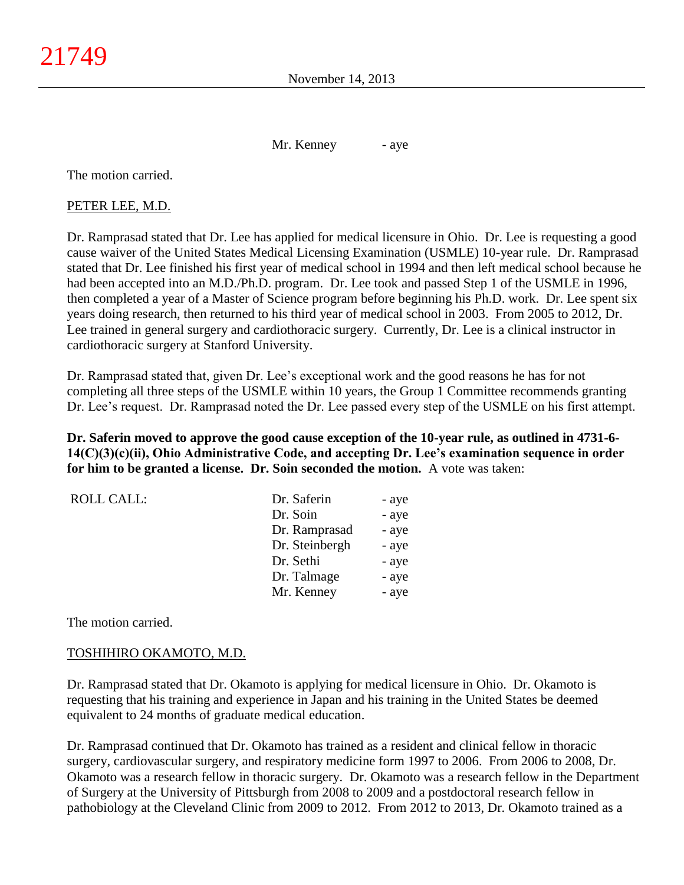November 14, 2013

Mr. Kenney - aye

The motion carried.

### PETER LEE, M.D.

Dr. Ramprasad stated that Dr. Lee has applied for medical licensure in Ohio. Dr. Lee is requesting a good cause waiver of the United States Medical Licensing Examination (USMLE) 10-year rule. Dr. Ramprasad stated that Dr. Lee finished his first year of medical school in 1994 and then left medical school because he had been accepted into an M.D./Ph.D. program. Dr. Lee took and passed Step 1 of the USMLE in 1996, then completed a year of a Master of Science program before beginning his Ph.D. work. Dr. Lee spent six years doing research, then returned to his third year of medical school in 2003. From 2005 to 2012, Dr. Lee trained in general surgery and cardiothoracic surgery. Currently, Dr. Lee is a clinical instructor in cardiothoracic surgery at Stanford University.

Dr. Ramprasad stated that, given Dr. Lee's exceptional work and the good reasons he has for not completing all three steps of the USMLE within 10 years, the Group 1 Committee recommends granting Dr. Lee's request. Dr. Ramprasad noted the Dr. Lee passed every step of the USMLE on his first attempt.

**Dr. Saferin moved to approve the good cause exception of the 10-year rule, as outlined in 4731-6- 14(C)(3)(c)(ii), Ohio Administrative Code, and accepting Dr. Lee's examination sequence in order for him to be granted a license. Dr. Soin seconded the motion.** A vote was taken:

| <b>ROLL CALL:</b> | Dr. Saferin    | - aye |
|-------------------|----------------|-------|
|                   | Dr. Soin       | - aye |
|                   | Dr. Ramprasad  | - aye |
|                   | Dr. Steinbergh | - aye |
|                   | Dr. Sethi      | - aye |
|                   | Dr. Talmage    | - aye |
|                   | Mr. Kenney     | - aye |
|                   |                |       |

The motion carried.

#### TOSHIHIRO OKAMOTO, M.D.

Dr. Ramprasad stated that Dr. Okamoto is applying for medical licensure in Ohio. Dr. Okamoto is requesting that his training and experience in Japan and his training in the United States be deemed equivalent to 24 months of graduate medical education.

Dr. Ramprasad continued that Dr. Okamoto has trained as a resident and clinical fellow in thoracic surgery, cardiovascular surgery, and respiratory medicine form 1997 to 2006. From 2006 to 2008, Dr. Okamoto was a research fellow in thoracic surgery. Dr. Okamoto was a research fellow in the Department of Surgery at the University of Pittsburgh from 2008 to 2009 and a postdoctoral research fellow in pathobiology at the Cleveland Clinic from 2009 to 2012. From 2012 to 2013, Dr. Okamoto trained as a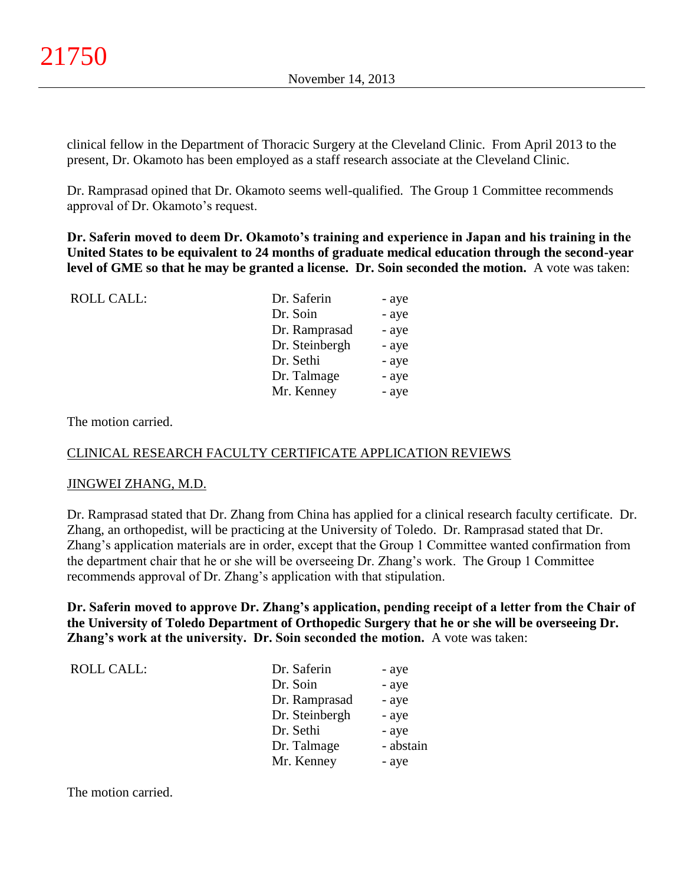clinical fellow in the Department of Thoracic Surgery at the Cleveland Clinic. From April 2013 to the present, Dr. Okamoto has been employed as a staff research associate at the Cleveland Clinic.

Dr. Ramprasad opined that Dr. Okamoto seems well-qualified. The Group 1 Committee recommends approval of Dr. Okamoto's request.

**Dr. Saferin moved to deem Dr. Okamoto's training and experience in Japan and his training in the United States to be equivalent to 24 months of graduate medical education through the second-year level of GME so that he may be granted a license. Dr. Soin seconded the motion.** A vote was taken:

| <b>ROLL CALL:</b> | Dr. Saferin    | - aye |
|-------------------|----------------|-------|
|                   | Dr. Soin       | - aye |
|                   | Dr. Ramprasad  | - aye |
|                   | Dr. Steinbergh | - aye |
|                   | Dr. Sethi      | - aye |
|                   | Dr. Talmage    | - aye |
|                   | Mr. Kenney     | - aye |
|                   |                |       |

The motion carried.

### CLINICAL RESEARCH FACULTY CERTIFICATE APPLICATION REVIEWS

#### JINGWEI ZHANG, M.D.

Dr. Ramprasad stated that Dr. Zhang from China has applied for a clinical research faculty certificate. Dr. Zhang, an orthopedist, will be practicing at the University of Toledo. Dr. Ramprasad stated that Dr. Zhang's application materials are in order, except that the Group 1 Committee wanted confirmation from the department chair that he or she will be overseeing Dr. Zhang's work. The Group 1 Committee recommends approval of Dr. Zhang's application with that stipulation.

**Dr. Saferin moved to approve Dr. Zhang's application, pending receipt of a letter from the Chair of the University of Toledo Department of Orthopedic Surgery that he or she will be overseeing Dr. Zhang's work at the university. Dr. Soin seconded the motion.** A vote was taken:

| <b>ROLL CALL:</b> | Dr. Saferin    | - aye     |
|-------------------|----------------|-----------|
|                   | Dr. Soin       | - aye     |
|                   | Dr. Ramprasad  | - aye     |
|                   | Dr. Steinbergh | - aye     |
|                   | Dr. Sethi      | - aye     |
|                   | Dr. Talmage    | - abstain |
|                   | Mr. Kenney     | - aye     |

The motion carried.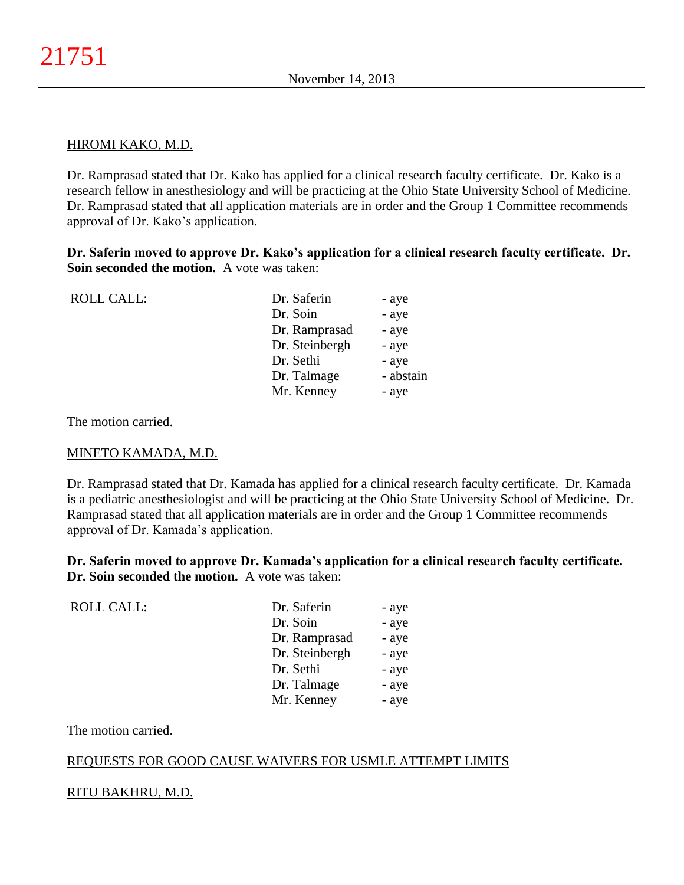#### HIROMI KAKO, M.D.

Dr. Ramprasad stated that Dr. Kako has applied for a clinical research faculty certificate. Dr. Kako is a research fellow in anesthesiology and will be practicing at the Ohio State University School of Medicine. Dr. Ramprasad stated that all application materials are in order and the Group 1 Committee recommends approval of Dr. Kako's application.

**Dr. Saferin moved to approve Dr. Kako's application for a clinical research faculty certificate. Dr. Soin seconded the motion.** A vote was taken:

| <b>ROLL CALL:</b> | Dr. Saferin    | - aye     |
|-------------------|----------------|-----------|
|                   | Dr. Soin       | - aye     |
|                   | Dr. Ramprasad  | - aye     |
|                   | Dr. Steinbergh | - aye     |
|                   | Dr. Sethi      | - aye     |
|                   | Dr. Talmage    | - abstain |
|                   | Mr. Kenney     | - aye     |
|                   |                |           |

The motion carried.

#### MINETO KAMADA, M.D.

Dr. Ramprasad stated that Dr. Kamada has applied for a clinical research faculty certificate. Dr. Kamada is a pediatric anesthesiologist and will be practicing at the Ohio State University School of Medicine. Dr. Ramprasad stated that all application materials are in order and the Group 1 Committee recommends approval of Dr. Kamada's application.

**Dr. Saferin moved to approve Dr. Kamada's application for a clinical research faculty certificate. Dr. Soin seconded the motion.** A vote was taken:

| <b>ROLL CALL:</b> | Dr. Saferin    | - aye |
|-------------------|----------------|-------|
|                   | Dr. Soin       | - aye |
|                   | Dr. Ramprasad  | - aye |
|                   | Dr. Steinbergh | - aye |
|                   | Dr. Sethi      | - aye |
|                   | Dr. Talmage    | - aye |
|                   | Mr. Kenney     | - aye |
|                   |                |       |

The motion carried.

### REQUESTS FOR GOOD CAUSE WAIVERS FOR USMLE ATTEMPT LIMITS

#### RITU BAKHRU, M.D.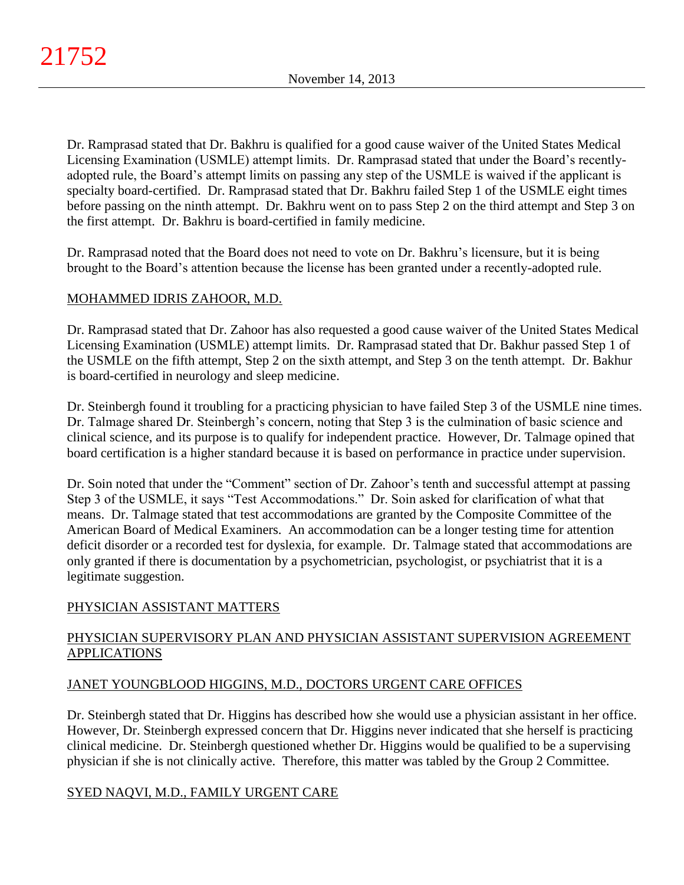Dr. Ramprasad stated that Dr. Bakhru is qualified for a good cause waiver of the United States Medical Licensing Examination (USMLE) attempt limits. Dr. Ramprasad stated that under the Board's recentlyadopted rule, the Board's attempt limits on passing any step of the USMLE is waived if the applicant is specialty board-certified. Dr. Ramprasad stated that Dr. Bakhru failed Step 1 of the USMLE eight times before passing on the ninth attempt. Dr. Bakhru went on to pass Step 2 on the third attempt and Step 3 on the first attempt. Dr. Bakhru is board-certified in family medicine.

Dr. Ramprasad noted that the Board does not need to vote on Dr. Bakhru's licensure, but it is being brought to the Board's attention because the license has been granted under a recently-adopted rule.

# MOHAMMED IDRIS ZAHOOR, M.D.

Dr. Ramprasad stated that Dr. Zahoor has also requested a good cause waiver of the United States Medical Licensing Examination (USMLE) attempt limits. Dr. Ramprasad stated that Dr. Bakhur passed Step 1 of the USMLE on the fifth attempt, Step 2 on the sixth attempt, and Step 3 on the tenth attempt. Dr. Bakhur is board-certified in neurology and sleep medicine.

Dr. Steinbergh found it troubling for a practicing physician to have failed Step 3 of the USMLE nine times. Dr. Talmage shared Dr. Steinbergh's concern, noting that Step 3 is the culmination of basic science and clinical science, and its purpose is to qualify for independent practice. However, Dr. Talmage opined that board certification is a higher standard because it is based on performance in practice under supervision.

Dr. Soin noted that under the "Comment" section of Dr. Zahoor's tenth and successful attempt at passing Step 3 of the USMLE, it says "Test Accommodations." Dr. Soin asked for clarification of what that means. Dr. Talmage stated that test accommodations are granted by the Composite Committee of the American Board of Medical Examiners. An accommodation can be a longer testing time for attention deficit disorder or a recorded test for dyslexia, for example. Dr. Talmage stated that accommodations are only granted if there is documentation by a psychometrician, psychologist, or psychiatrist that it is a legitimate suggestion.

# PHYSICIAN ASSISTANT MATTERS

# PHYSICIAN SUPERVISORY PLAN AND PHYSICIAN ASSISTANT SUPERVISION AGREEMENT **APPLICATIONS**

## JANET YOUNGBLOOD HIGGINS, M.D., DOCTORS URGENT CARE OFFICES

Dr. Steinbergh stated that Dr. Higgins has described how she would use a physician assistant in her office. However, Dr. Steinbergh expressed concern that Dr. Higgins never indicated that she herself is practicing clinical medicine. Dr. Steinbergh questioned whether Dr. Higgins would be qualified to be a supervising physician if she is not clinically active. Therefore, this matter was tabled by the Group 2 Committee.

## SYED NAQVI, M.D., FAMILY URGENT CARE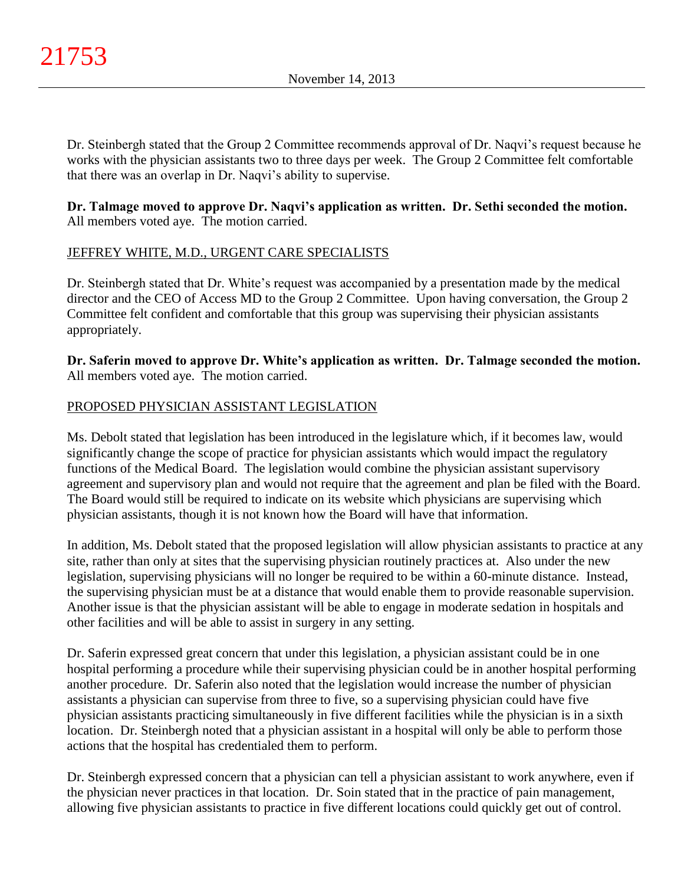Dr. Steinbergh stated that the Group 2 Committee recommends approval of Dr. Naqvi's request because he works with the physician assistants two to three days per week. The Group 2 Committee felt comfortable that there was an overlap in Dr. Naqvi's ability to supervise.

## **Dr. Talmage moved to approve Dr. Naqvi's application as written. Dr. Sethi seconded the motion.** All members voted aye. The motion carried.

# JEFFREY WHITE, M.D., URGENT CARE SPECIALISTS

Dr. Steinbergh stated that Dr. White's request was accompanied by a presentation made by the medical director and the CEO of Access MD to the Group 2 Committee. Upon having conversation, the Group 2 Committee felt confident and comfortable that this group was supervising their physician assistants appropriately.

**Dr. Saferin moved to approve Dr. White's application as written. Dr. Talmage seconded the motion.** All members voted aye. The motion carried.

## PROPOSED PHYSICIAN ASSISTANT LEGISLATION

Ms. Debolt stated that legislation has been introduced in the legislature which, if it becomes law, would significantly change the scope of practice for physician assistants which would impact the regulatory functions of the Medical Board. The legislation would combine the physician assistant supervisory agreement and supervisory plan and would not require that the agreement and plan be filed with the Board. The Board would still be required to indicate on its website which physicians are supervising which physician assistants, though it is not known how the Board will have that information.

In addition, Ms. Debolt stated that the proposed legislation will allow physician assistants to practice at any site, rather than only at sites that the supervising physician routinely practices at. Also under the new legislation, supervising physicians will no longer be required to be within a 60-minute distance. Instead, the supervising physician must be at a distance that would enable them to provide reasonable supervision. Another issue is that the physician assistant will be able to engage in moderate sedation in hospitals and other facilities and will be able to assist in surgery in any setting.

Dr. Saferin expressed great concern that under this legislation, a physician assistant could be in one hospital performing a procedure while their supervising physician could be in another hospital performing another procedure. Dr. Saferin also noted that the legislation would increase the number of physician assistants a physician can supervise from three to five, so a supervising physician could have five physician assistants practicing simultaneously in five different facilities while the physician is in a sixth location. Dr. Steinbergh noted that a physician assistant in a hospital will only be able to perform those actions that the hospital has credentialed them to perform.

Dr. Steinbergh expressed concern that a physician can tell a physician assistant to work anywhere, even if the physician never practices in that location. Dr. Soin stated that in the practice of pain management, allowing five physician assistants to practice in five different locations could quickly get out of control.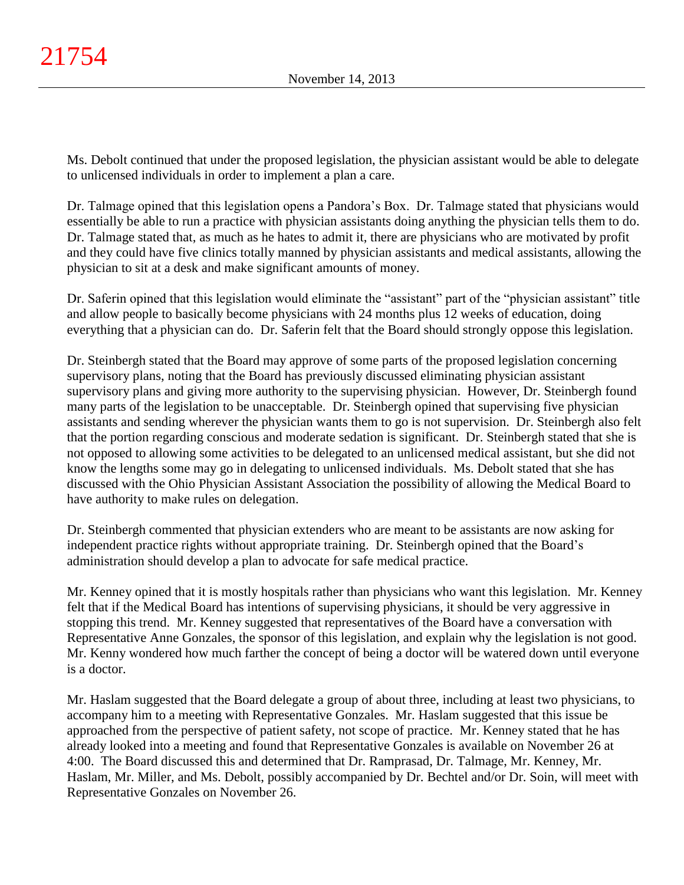Ms. Debolt continued that under the proposed legislation, the physician assistant would be able to delegate to unlicensed individuals in order to implement a plan a care.

Dr. Talmage opined that this legislation opens a Pandora's Box. Dr. Talmage stated that physicians would essentially be able to run a practice with physician assistants doing anything the physician tells them to do. Dr. Talmage stated that, as much as he hates to admit it, there are physicians who are motivated by profit and they could have five clinics totally manned by physician assistants and medical assistants, allowing the physician to sit at a desk and make significant amounts of money.

Dr. Saferin opined that this legislation would eliminate the "assistant" part of the "physician assistant" title and allow people to basically become physicians with 24 months plus 12 weeks of education, doing everything that a physician can do. Dr. Saferin felt that the Board should strongly oppose this legislation.

Dr. Steinbergh stated that the Board may approve of some parts of the proposed legislation concerning supervisory plans, noting that the Board has previously discussed eliminating physician assistant supervisory plans and giving more authority to the supervising physician. However, Dr. Steinbergh found many parts of the legislation to be unacceptable. Dr. Steinbergh opined that supervising five physician assistants and sending wherever the physician wants them to go is not supervision. Dr. Steinbergh also felt that the portion regarding conscious and moderate sedation is significant. Dr. Steinbergh stated that she is not opposed to allowing some activities to be delegated to an unlicensed medical assistant, but she did not know the lengths some may go in delegating to unlicensed individuals. Ms. Debolt stated that she has discussed with the Ohio Physician Assistant Association the possibility of allowing the Medical Board to have authority to make rules on delegation.

Dr. Steinbergh commented that physician extenders who are meant to be assistants are now asking for independent practice rights without appropriate training. Dr. Steinbergh opined that the Board's administration should develop a plan to advocate for safe medical practice.

Mr. Kenney opined that it is mostly hospitals rather than physicians who want this legislation. Mr. Kenney felt that if the Medical Board has intentions of supervising physicians, it should be very aggressive in stopping this trend. Mr. Kenney suggested that representatives of the Board have a conversation with Representative Anne Gonzales, the sponsor of this legislation, and explain why the legislation is not good. Mr. Kenny wondered how much farther the concept of being a doctor will be watered down until everyone is a doctor.

Mr. Haslam suggested that the Board delegate a group of about three, including at least two physicians, to accompany him to a meeting with Representative Gonzales. Mr. Haslam suggested that this issue be approached from the perspective of patient safety, not scope of practice. Mr. Kenney stated that he has already looked into a meeting and found that Representative Gonzales is available on November 26 at 4:00. The Board discussed this and determined that Dr. Ramprasad, Dr. Talmage, Mr. Kenney, Mr. Haslam, Mr. Miller, and Ms. Debolt, possibly accompanied by Dr. Bechtel and/or Dr. Soin, will meet with Representative Gonzales on November 26.